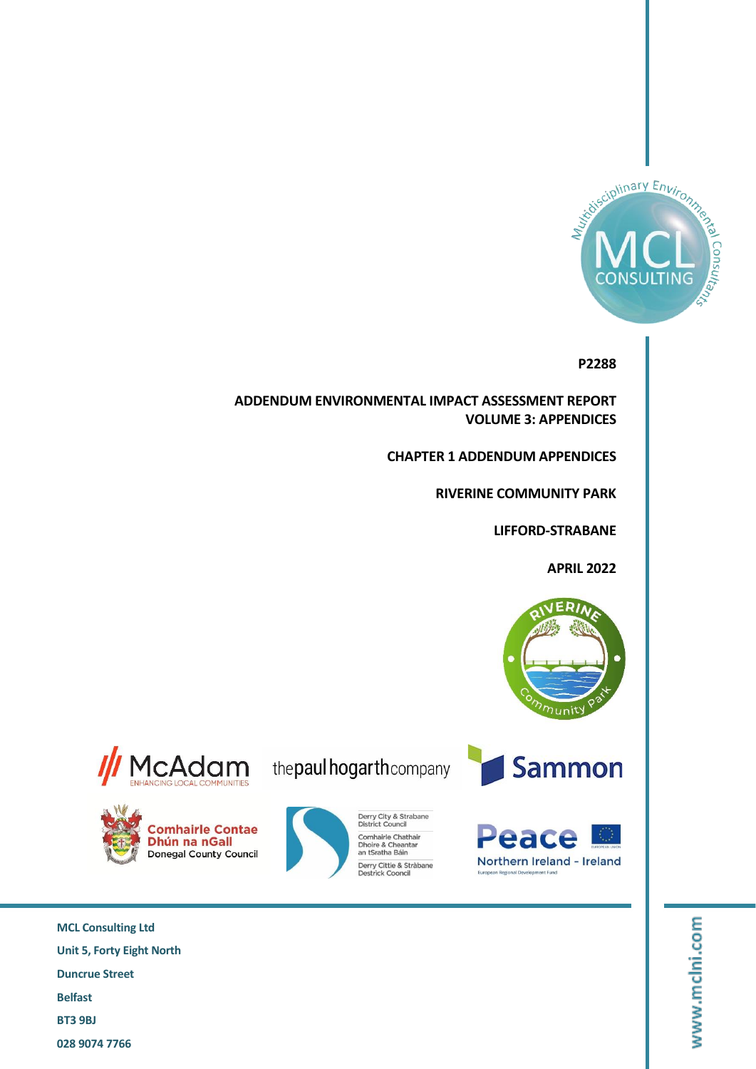

### **P2288**

**ADDENDUM ENVIRONMENTAL IMPACT ASSESSMENT REPORT VOLUME 3: APPENDICES**

**CHAPTER 1 ADDENDUM APPENDICES**

**RIVERINE COMMUNITY PARK**

**LIFFORD-STRABANE**

**APRIL 2022**



**Sammon** 

Derry City & Strabane<br>District Council

Comhairle Chathair<br>Dhoire & Cheantar<br>an tSratha Báin

Derry Cittie & Stràbane<br>Destrick Cooncil







www.mclni.com

**MCL Consulting Ltd Unit 5, Forty Eight North Duncrue Street Belfast BT3 9BJ 028 9074 7766**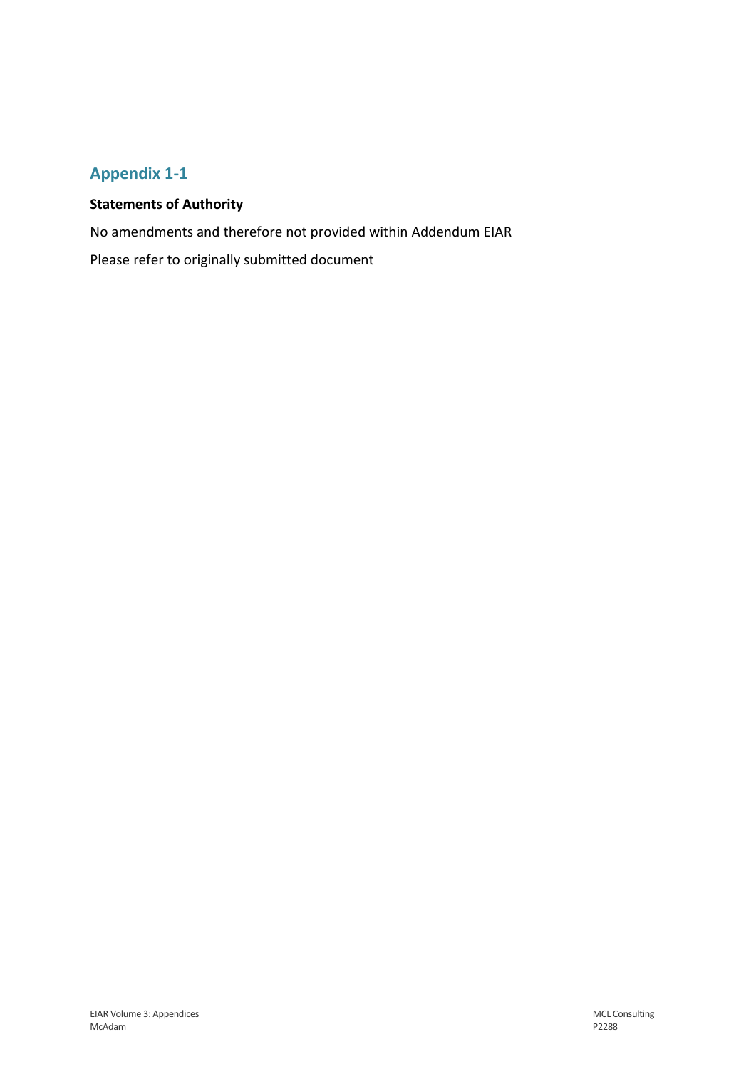# **Appendix 1-1**

### **Statements of Authority**

No amendments and therefore not provided within Addendum EIAR

Please refer to originally submitted document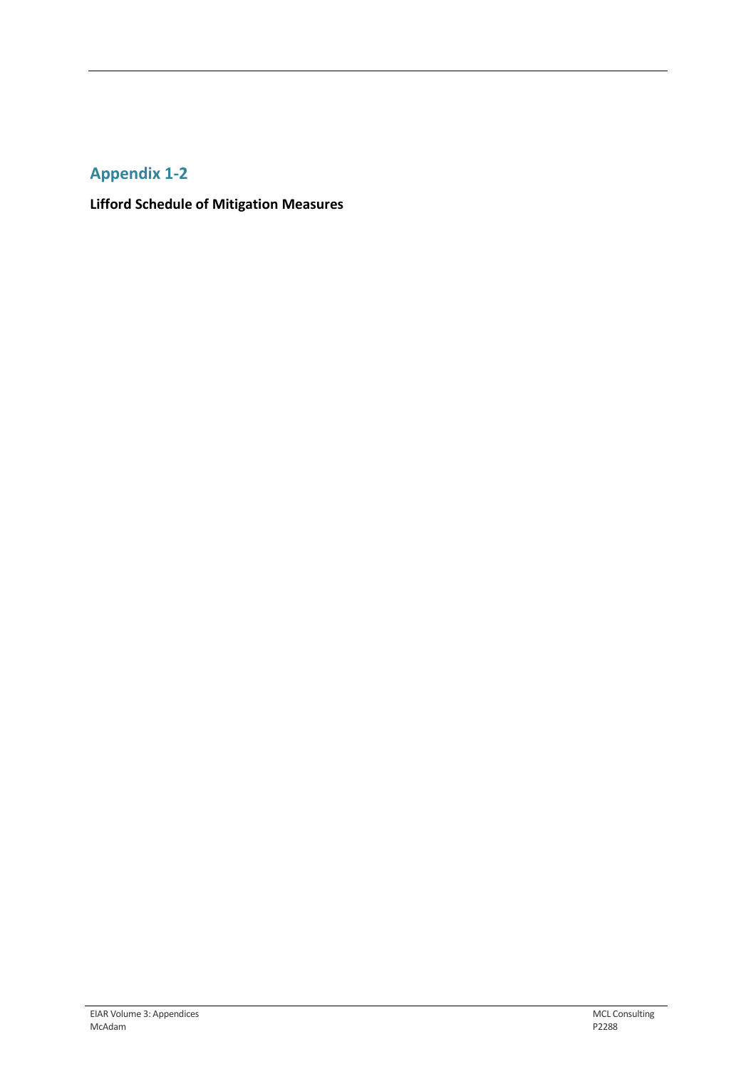## **Appendix 1-2**

**Lifford Schedule of Mitigation Measures**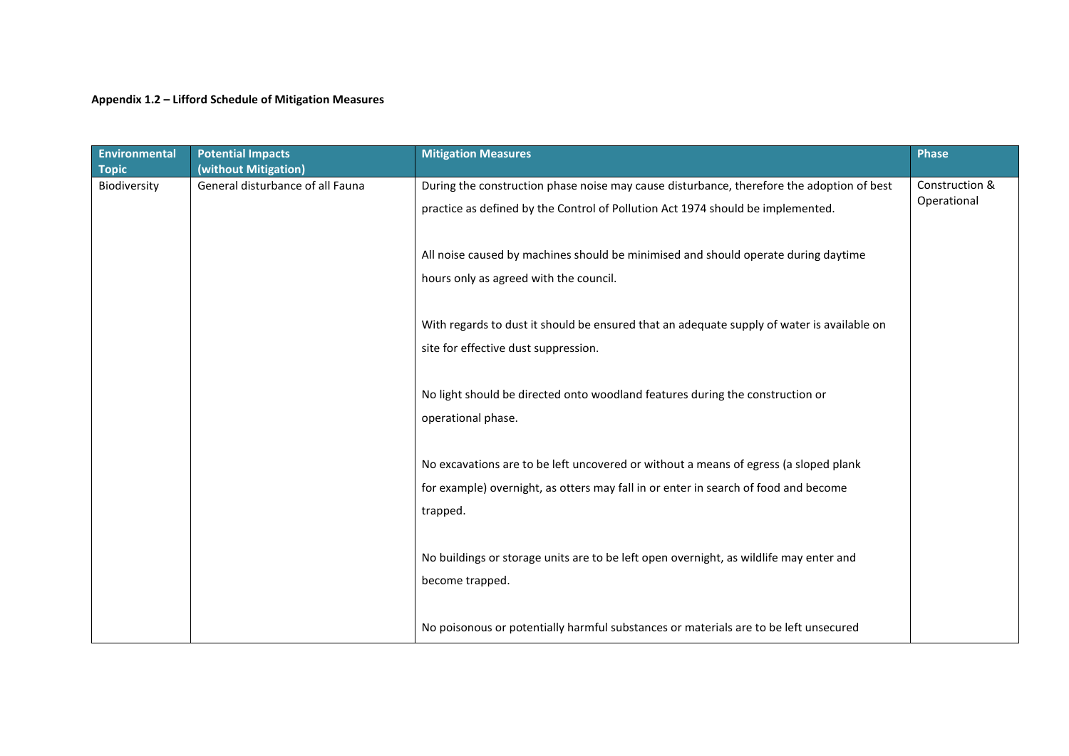#### **Appendix 1.2 – Lifford Schedule of Mitigation Measures**

| <b>Environmental</b><br><b>Topic</b> | <b>Potential Impacts</b><br>(without Mitigation) | <b>Mitigation Measures</b>                                                                 | <b>Phase</b>   |
|--------------------------------------|--------------------------------------------------|--------------------------------------------------------------------------------------------|----------------|
| Biodiversity                         | General disturbance of all Fauna                 | During the construction phase noise may cause disturbance, therefore the adoption of best  | Construction & |
|                                      |                                                  | practice as defined by the Control of Pollution Act 1974 should be implemented.            | Operational    |
|                                      |                                                  | All noise caused by machines should be minimised and should operate during daytime         |                |
|                                      |                                                  | hours only as agreed with the council.                                                     |                |
|                                      |                                                  | With regards to dust it should be ensured that an adequate supply of water is available on |                |
|                                      |                                                  | site for effective dust suppression.                                                       |                |
|                                      |                                                  | No light should be directed onto woodland features during the construction or              |                |
|                                      |                                                  | operational phase.                                                                         |                |
|                                      |                                                  | No excavations are to be left uncovered or without a means of egress (a sloped plank       |                |
|                                      |                                                  | for example) overnight, as otters may fall in or enter in search of food and become        |                |
|                                      |                                                  | trapped.                                                                                   |                |
|                                      |                                                  | No buildings or storage units are to be left open overnight, as wildlife may enter and     |                |
|                                      |                                                  | become trapped.                                                                            |                |
|                                      |                                                  | No poisonous or potentially harmful substances or materials are to be left unsecured       |                |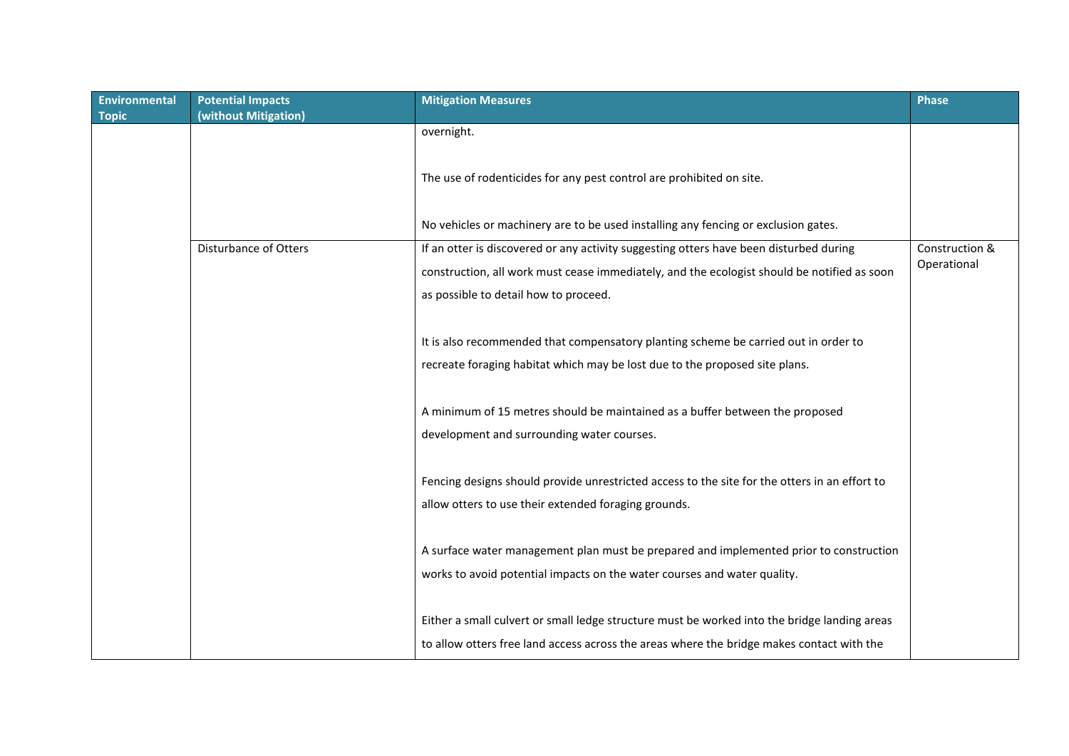| <b>Environmental</b> | <b>Potential Impacts</b> | <b>Mitigation Measures</b>                                                                                                                                                                | <b>Phase</b>   |
|----------------------|--------------------------|-------------------------------------------------------------------------------------------------------------------------------------------------------------------------------------------|----------------|
| <b>Topic</b>         | (without Mitigation)     |                                                                                                                                                                                           |                |
|                      |                          | overnight.                                                                                                                                                                                |                |
|                      |                          | The use of rodenticides for any pest control are prohibited on site.                                                                                                                      |                |
|                      |                          | No vehicles or machinery are to be used installing any fencing or exclusion gates.                                                                                                        |                |
|                      | Disturbance of Otters    | If an otter is discovered or any activity suggesting otters have been disturbed during                                                                                                    | Construction & |
|                      |                          | construction, all work must cease immediately, and the ecologist should be notified as soon                                                                                               | Operational    |
|                      |                          | as possible to detail how to proceed.                                                                                                                                                     |                |
|                      |                          | It is also recommended that compensatory planting scheme be carried out in order to<br>recreate foraging habitat which may be lost due to the proposed site plans.                        |                |
|                      |                          |                                                                                                                                                                                           |                |
|                      |                          | A minimum of 15 metres should be maintained as a buffer between the proposed<br>development and surrounding water courses.                                                                |                |
|                      |                          |                                                                                                                                                                                           |                |
|                      |                          | Fencing designs should provide unrestricted access to the site for the otters in an effort to                                                                                             |                |
|                      |                          | allow otters to use their extended foraging grounds.                                                                                                                                      |                |
|                      |                          | A surface water management plan must be prepared and implemented prior to construction                                                                                                    |                |
|                      |                          | works to avoid potential impacts on the water courses and water quality.                                                                                                                  |                |
|                      |                          | Either a small culvert or small ledge structure must be worked into the bridge landing areas<br>to allow otters free land access across the areas where the bridge makes contact with the |                |
|                      |                          |                                                                                                                                                                                           |                |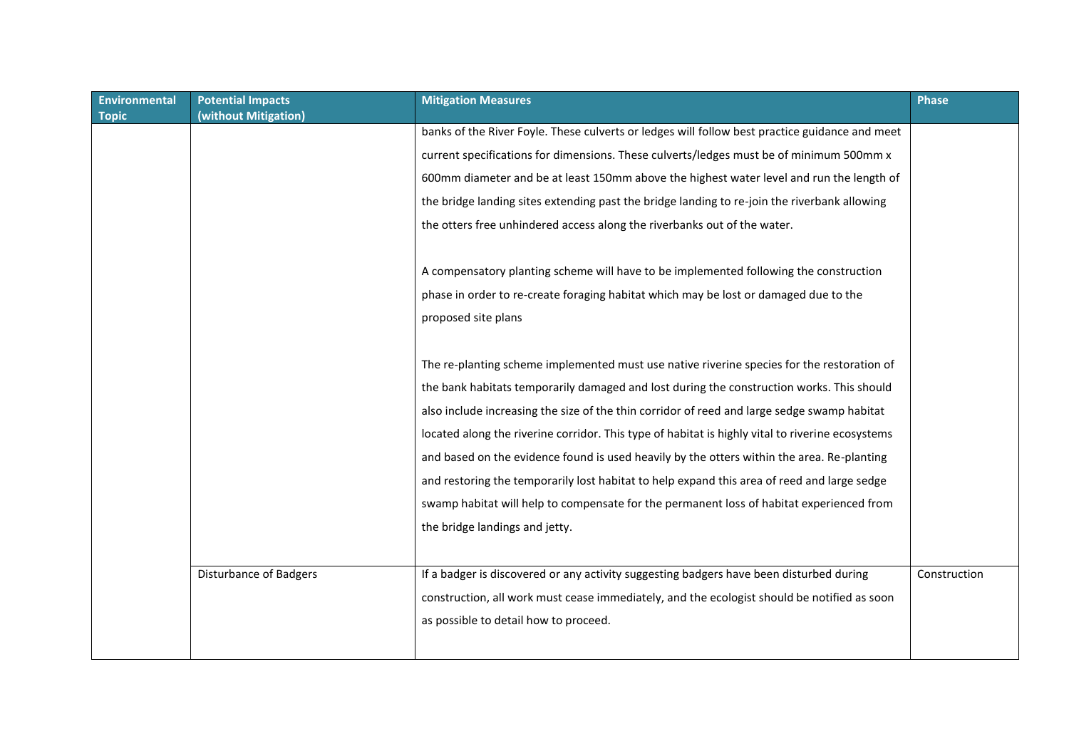| <b>Environmental</b><br><b>Topic</b> | <b>Potential Impacts</b><br>(without Mitigation) | <b>Mitigation Measures</b>                                                                       | <b>Phase</b> |
|--------------------------------------|--------------------------------------------------|--------------------------------------------------------------------------------------------------|--------------|
|                                      |                                                  | banks of the River Foyle. These culverts or ledges will follow best practice guidance and meet   |              |
|                                      |                                                  | current specifications for dimensions. These culverts/ledges must be of minimum 500mm x          |              |
|                                      |                                                  | 600mm diameter and be at least 150mm above the highest water level and run the length of         |              |
|                                      |                                                  | the bridge landing sites extending past the bridge landing to re-join the riverbank allowing     |              |
|                                      |                                                  | the otters free unhindered access along the riverbanks out of the water.                         |              |
|                                      |                                                  |                                                                                                  |              |
|                                      |                                                  | A compensatory planting scheme will have to be implemented following the construction            |              |
|                                      |                                                  | phase in order to re-create foraging habitat which may be lost or damaged due to the             |              |
|                                      |                                                  |                                                                                                  |              |
|                                      |                                                  | proposed site plans                                                                              |              |
|                                      |                                                  |                                                                                                  |              |
|                                      |                                                  | The re-planting scheme implemented must use native riverine species for the restoration of       |              |
|                                      |                                                  | the bank habitats temporarily damaged and lost during the construction works. This should        |              |
|                                      |                                                  | also include increasing the size of the thin corridor of reed and large sedge swamp habitat      |              |
|                                      |                                                  | located along the riverine corridor. This type of habitat is highly vital to riverine ecosystems |              |
|                                      |                                                  | and based on the evidence found is used heavily by the otters within the area. Re-planting       |              |
|                                      |                                                  | and restoring the temporarily lost habitat to help expand this area of reed and large sedge      |              |
|                                      |                                                  | swamp habitat will help to compensate for the permanent loss of habitat experienced from         |              |
|                                      |                                                  | the bridge landings and jetty.                                                                   |              |
|                                      |                                                  |                                                                                                  |              |
|                                      | <b>Disturbance of Badgers</b>                    | If a badger is discovered or any activity suggesting badgers have been disturbed during          | Construction |
|                                      |                                                  | construction, all work must cease immediately, and the ecologist should be notified as soon      |              |
|                                      |                                                  |                                                                                                  |              |
|                                      |                                                  | as possible to detail how to proceed.                                                            |              |
|                                      |                                                  |                                                                                                  |              |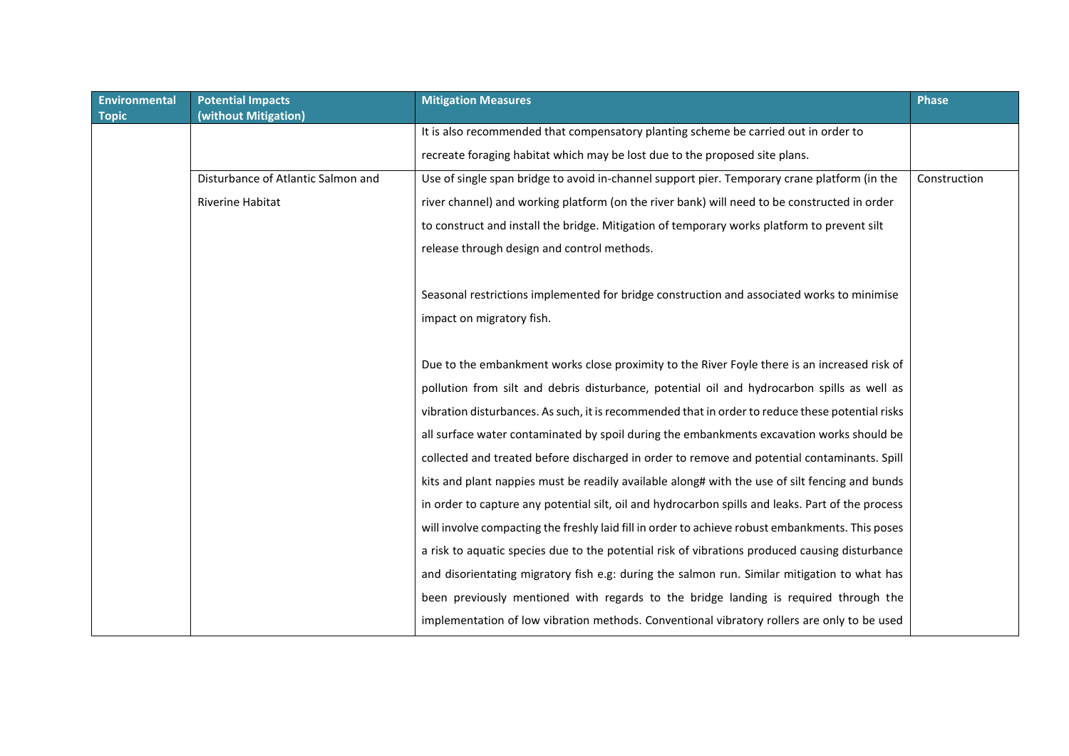| <b>Environmental</b> | <b>Potential Impacts</b>           | <b>Mitigation Measures</b>                                                                        | <b>Phase</b> |
|----------------------|------------------------------------|---------------------------------------------------------------------------------------------------|--------------|
| <b>Topic</b>         | (without Mitigation)               |                                                                                                   |              |
|                      |                                    | It is also recommended that compensatory planting scheme be carried out in order to               |              |
|                      |                                    | recreate foraging habitat which may be lost due to the proposed site plans.                       |              |
|                      | Disturbance of Atlantic Salmon and | Use of single span bridge to avoid in-channel support pier. Temporary crane platform (in the      | Construction |
|                      | <b>Riverine Habitat</b>            | river channel) and working platform (on the river bank) will need to be constructed in order      |              |
|                      |                                    | to construct and install the bridge. Mitigation of temporary works platform to prevent silt       |              |
|                      |                                    | release through design and control methods.                                                       |              |
|                      |                                    |                                                                                                   |              |
|                      |                                    | Seasonal restrictions implemented for bridge construction and associated works to minimise        |              |
|                      |                                    | impact on migratory fish.                                                                         |              |
|                      |                                    |                                                                                                   |              |
|                      |                                    | Due to the embankment works close proximity to the River Foyle there is an increased risk of      |              |
|                      |                                    | pollution from silt and debris disturbance, potential oil and hydrocarbon spills as well as       |              |
|                      |                                    | vibration disturbances. As such, it is recommended that in order to reduce these potential risks  |              |
|                      |                                    | all surface water contaminated by spoil during the embankments excavation works should be         |              |
|                      |                                    | collected and treated before discharged in order to remove and potential contaminants. Spill      |              |
|                      |                                    | kits and plant nappies must be readily available along# with the use of silt fencing and bunds    |              |
|                      |                                    | in order to capture any potential silt, oil and hydrocarbon spills and leaks. Part of the process |              |
|                      |                                    | will involve compacting the freshly laid fill in order to achieve robust embankments. This poses  |              |
|                      |                                    | a risk to aquatic species due to the potential risk of vibrations produced causing disturbance    |              |
|                      |                                    | and disorientating migratory fish e.g: during the salmon run. Similar mitigation to what has      |              |
|                      |                                    | been previously mentioned with regards to the bridge landing is required through the              |              |
|                      |                                    | implementation of low vibration methods. Conventional vibratory rollers are only to be used       |              |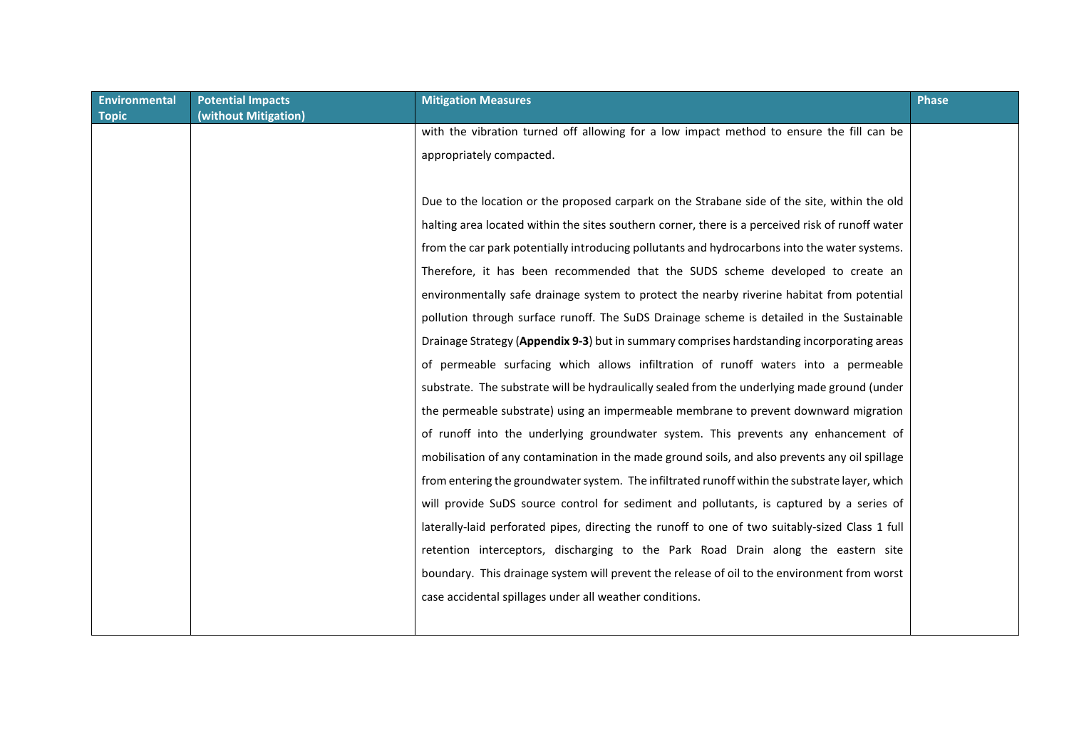| <b>Environmental</b><br><b>Topic</b> | <b>Potential Impacts</b><br>(without Mitigation) | <b>Mitigation Measures</b>                                                                       | <b>Phase</b> |
|--------------------------------------|--------------------------------------------------|--------------------------------------------------------------------------------------------------|--------------|
|                                      |                                                  | with the vibration turned off allowing for a low impact method to ensure the fill can be         |              |
|                                      |                                                  | appropriately compacted.                                                                         |              |
|                                      |                                                  |                                                                                                  |              |
|                                      |                                                  | Due to the location or the proposed carpark on the Strabane side of the site, within the old     |              |
|                                      |                                                  | halting area located within the sites southern corner, there is a perceived risk of runoff water |              |
|                                      |                                                  | from the car park potentially introducing pollutants and hydrocarbons into the water systems.    |              |
|                                      |                                                  | Therefore, it has been recommended that the SUDS scheme developed to create an                   |              |
|                                      |                                                  | environmentally safe drainage system to protect the nearby riverine habitat from potential       |              |
|                                      |                                                  | pollution through surface runoff. The SuDS Drainage scheme is detailed in the Sustainable        |              |
|                                      |                                                  | Drainage Strategy (Appendix 9-3) but in summary comprises hardstanding incorporating areas       |              |
|                                      |                                                  | of permeable surfacing which allows infiltration of runoff waters into a permeable               |              |
|                                      |                                                  | substrate. The substrate will be hydraulically sealed from the underlying made ground (under     |              |
|                                      |                                                  | the permeable substrate) using an impermeable membrane to prevent downward migration             |              |
|                                      |                                                  | of runoff into the underlying groundwater system. This prevents any enhancement of               |              |
|                                      |                                                  | mobilisation of any contamination in the made ground soils, and also prevents any oil spillage   |              |
|                                      |                                                  | from entering the groundwater system. The infiltrated runoff within the substrate layer, which   |              |
|                                      |                                                  | will provide SuDS source control for sediment and pollutants, is captured by a series of         |              |
|                                      |                                                  | laterally-laid perforated pipes, directing the runoff to one of two suitably-sized Class 1 full  |              |
|                                      |                                                  | retention interceptors, discharging to the Park Road Drain along the eastern site                |              |
|                                      |                                                  | boundary. This drainage system will prevent the release of oil to the environment from worst     |              |
|                                      |                                                  | case accidental spillages under all weather conditions.                                          |              |
|                                      |                                                  |                                                                                                  |              |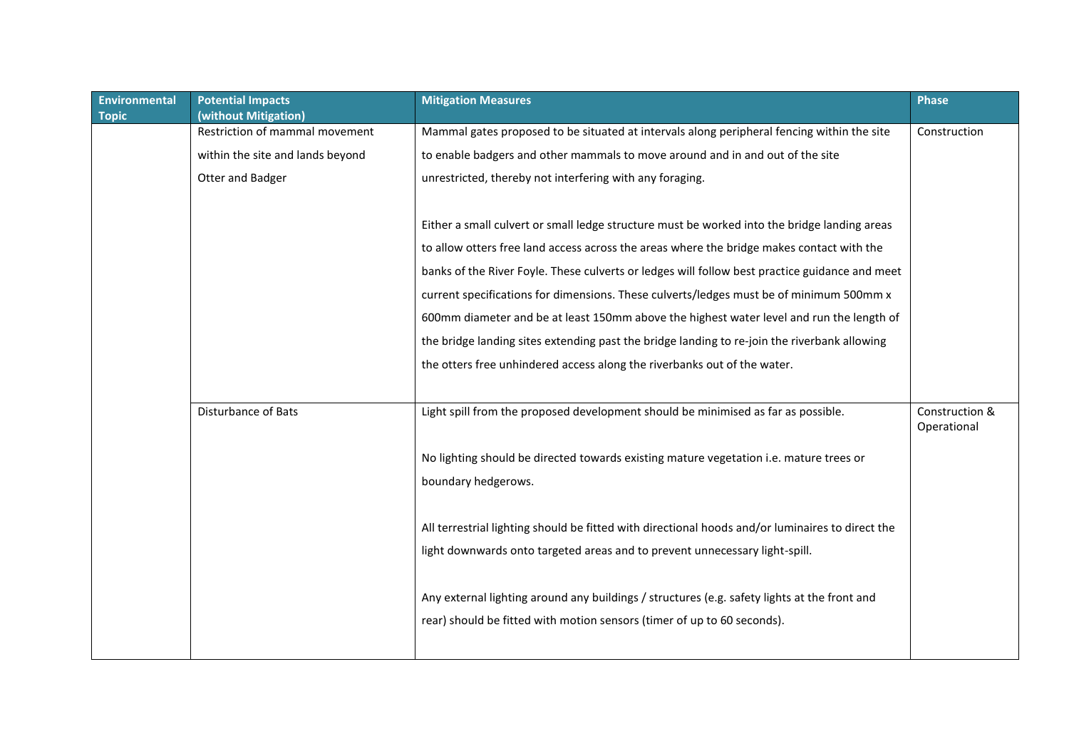| Environmental<br><b>Topic</b> | <b>Potential Impacts</b><br>(without Mitigation) | <b>Mitigation Measures</b>                                                                       | <b>Phase</b>                  |
|-------------------------------|--------------------------------------------------|--------------------------------------------------------------------------------------------------|-------------------------------|
|                               | Restriction of mammal movement                   | Mammal gates proposed to be situated at intervals along peripheral fencing within the site       | Construction                  |
|                               | within the site and lands beyond                 | to enable badgers and other mammals to move around and in and out of the site                    |                               |
|                               | Otter and Badger                                 | unrestricted, thereby not interfering with any foraging.                                         |                               |
|                               |                                                  |                                                                                                  |                               |
|                               |                                                  | Either a small culvert or small ledge structure must be worked into the bridge landing areas     |                               |
|                               |                                                  | to allow otters free land access across the areas where the bridge makes contact with the        |                               |
|                               |                                                  | banks of the River Foyle. These culverts or ledges will follow best practice guidance and meet   |                               |
|                               |                                                  | current specifications for dimensions. These culverts/ledges must be of minimum 500mm x          |                               |
|                               |                                                  | 600mm diameter and be at least 150mm above the highest water level and run the length of         |                               |
|                               |                                                  | the bridge landing sites extending past the bridge landing to re-join the riverbank allowing     |                               |
|                               |                                                  | the otters free unhindered access along the riverbanks out of the water.                         |                               |
|                               |                                                  |                                                                                                  |                               |
|                               | <b>Disturbance of Bats</b>                       | Light spill from the proposed development should be minimised as far as possible.                | Construction &<br>Operational |
|                               |                                                  | No lighting should be directed towards existing mature vegetation i.e. mature trees or           |                               |
|                               |                                                  | boundary hedgerows.                                                                              |                               |
|                               |                                                  |                                                                                                  |                               |
|                               |                                                  | All terrestrial lighting should be fitted with directional hoods and/or luminaires to direct the |                               |
|                               |                                                  | light downwards onto targeted areas and to prevent unnecessary light-spill.                      |                               |
|                               |                                                  |                                                                                                  |                               |
|                               |                                                  | Any external lighting around any buildings / structures (e.g. safety lights at the front and     |                               |
|                               |                                                  | rear) should be fitted with motion sensors (timer of up to 60 seconds).                          |                               |
|                               |                                                  |                                                                                                  |                               |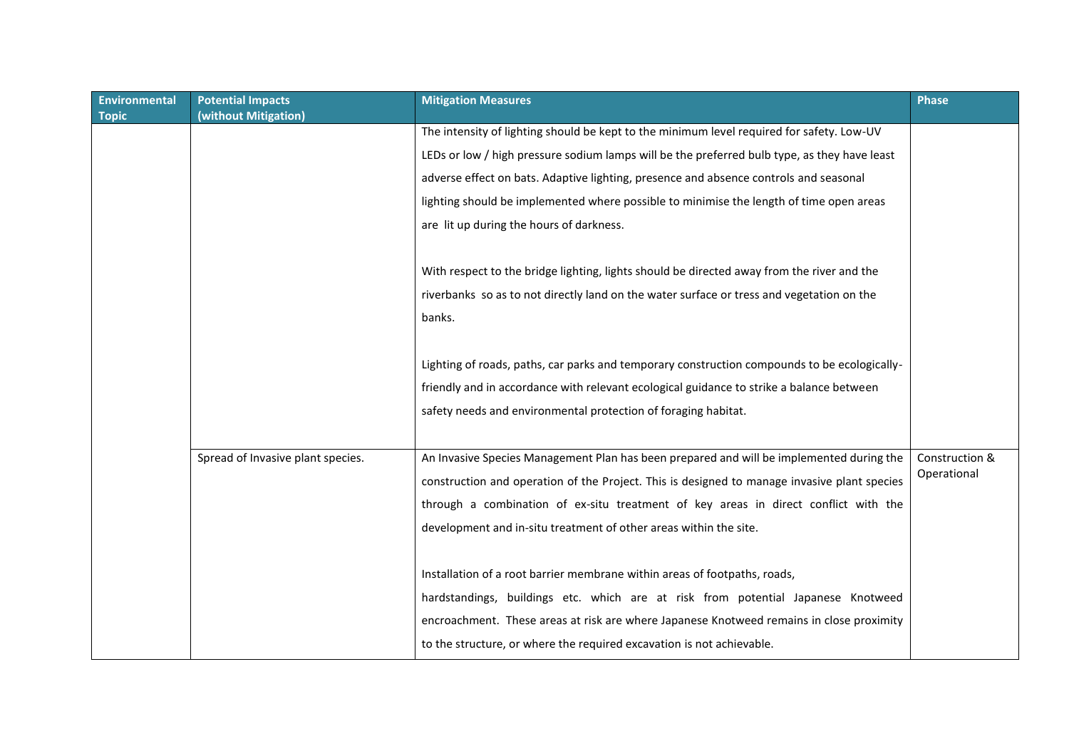| <b>Environmental</b><br><b>Topic</b> | <b>Potential Impacts</b><br>(without Mitigation) | <b>Mitigation Measures</b>                                                                   | <b>Phase</b>   |
|--------------------------------------|--------------------------------------------------|----------------------------------------------------------------------------------------------|----------------|
|                                      |                                                  | The intensity of lighting should be kept to the minimum level required for safety. Low-UV    |                |
|                                      |                                                  | LEDs or low / high pressure sodium lamps will be the preferred bulb type, as they have least |                |
|                                      |                                                  | adverse effect on bats. Adaptive lighting, presence and absence controls and seasonal        |                |
|                                      |                                                  | lighting should be implemented where possible to minimise the length of time open areas      |                |
|                                      |                                                  | are lit up during the hours of darkness.                                                     |                |
|                                      |                                                  |                                                                                              |                |
|                                      |                                                  | With respect to the bridge lighting, lights should be directed away from the river and the   |                |
|                                      |                                                  | riverbanks so as to not directly land on the water surface or tress and vegetation on the    |                |
|                                      |                                                  | banks.                                                                                       |                |
|                                      |                                                  |                                                                                              |                |
|                                      |                                                  | Lighting of roads, paths, car parks and temporary construction compounds to be ecologically- |                |
|                                      |                                                  | friendly and in accordance with relevant ecological guidance to strike a balance between     |                |
|                                      |                                                  | safety needs and environmental protection of foraging habitat.                               |                |
|                                      |                                                  |                                                                                              |                |
|                                      | Spread of Invasive plant species.                | An Invasive Species Management Plan has been prepared and will be implemented during the     | Construction & |
|                                      |                                                  | construction and operation of the Project. This is designed to manage invasive plant species | Operational    |
|                                      |                                                  | through a combination of ex-situ treatment of key areas in direct conflict with the          |                |
|                                      |                                                  | development and in-situ treatment of other areas within the site.                            |                |
|                                      |                                                  |                                                                                              |                |
|                                      |                                                  | Installation of a root barrier membrane within areas of footpaths, roads,                    |                |
|                                      |                                                  | hardstandings, buildings etc. which are at risk from potential Japanese Knotweed             |                |
|                                      |                                                  | encroachment. These areas at risk are where Japanese Knotweed remains in close proximity     |                |
|                                      |                                                  | to the structure, or where the required excavation is not achievable.                        |                |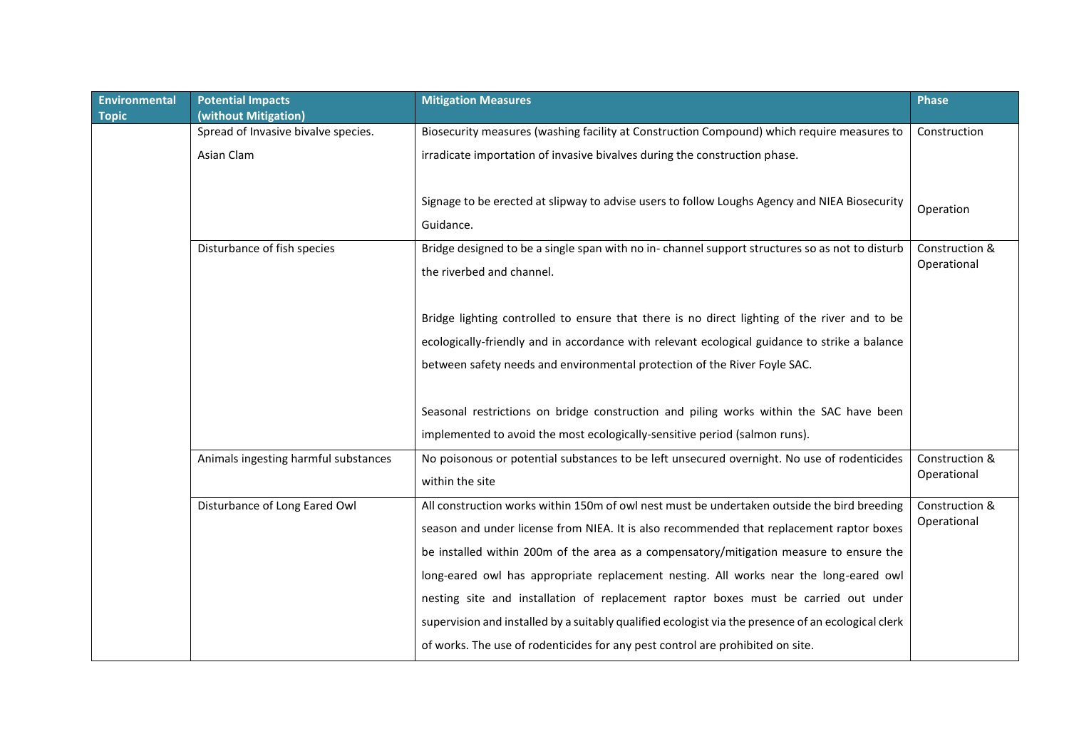| <b>Environmental</b> | <b>Potential Impacts</b>             | <b>Mitigation Measures</b>                                                                          | <b>Phase</b>                  |
|----------------------|--------------------------------------|-----------------------------------------------------------------------------------------------------|-------------------------------|
| <b>Topic</b>         | (without Mitigation)                 |                                                                                                     |                               |
|                      | Spread of Invasive bivalve species.  | Biosecurity measures (washing facility at Construction Compound) which require measures to          | Construction                  |
|                      | Asian Clam                           | irradicate importation of invasive bivalves during the construction phase.                          |                               |
|                      |                                      |                                                                                                     |                               |
|                      |                                      |                                                                                                     |                               |
|                      |                                      | Signage to be erected at slipway to advise users to follow Loughs Agency and NIEA Biosecurity       | Operation                     |
|                      |                                      | Guidance.                                                                                           |                               |
|                      | Disturbance of fish species          | Bridge designed to be a single span with no in-channel support structures so as not to disturb      | Construction &                |
|                      |                                      |                                                                                                     | Operational                   |
|                      |                                      | the riverbed and channel.                                                                           |                               |
|                      |                                      |                                                                                                     |                               |
|                      |                                      | Bridge lighting controlled to ensure that there is no direct lighting of the river and to be        |                               |
|                      |                                      | ecologically-friendly and in accordance with relevant ecological guidance to strike a balance       |                               |
|                      |                                      | between safety needs and environmental protection of the River Foyle SAC.                           |                               |
|                      |                                      |                                                                                                     |                               |
|                      |                                      |                                                                                                     |                               |
|                      |                                      | Seasonal restrictions on bridge construction and piling works within the SAC have been              |                               |
|                      |                                      | implemented to avoid the most ecologically-sensitive period (salmon runs).                          |                               |
|                      | Animals ingesting harmful substances | No poisonous or potential substances to be left unsecured overnight. No use of rodenticides         | Construction &                |
|                      |                                      | within the site                                                                                     | Operational                   |
|                      |                                      |                                                                                                     |                               |
|                      | Disturbance of Long Eared Owl        | All construction works within 150m of owl nest must be undertaken outside the bird breeding         | Construction &<br>Operational |
|                      |                                      | season and under license from NIEA. It is also recommended that replacement raptor boxes            |                               |
|                      |                                      | be installed within 200m of the area as a compensatory/mitigation measure to ensure the             |                               |
|                      |                                      | long-eared owl has appropriate replacement nesting. All works near the long-eared owl               |                               |
|                      |                                      | nesting site and installation of replacement raptor boxes must be carried out under                 |                               |
|                      |                                      | supervision and installed by a suitably qualified ecologist via the presence of an ecological clerk |                               |
|                      |                                      | of works. The use of rodenticides for any pest control are prohibited on site.                      |                               |
|                      |                                      |                                                                                                     |                               |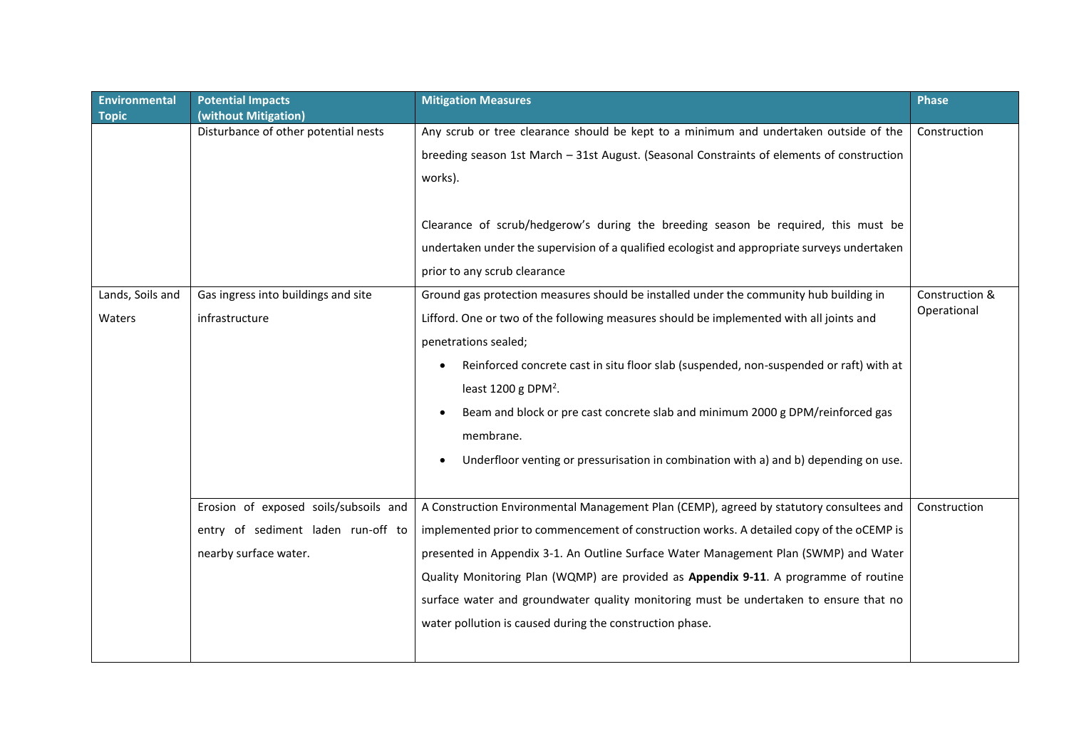| <b>Environmental</b> | <b>Potential Impacts</b>              | <b>Mitigation Measures</b>                                                                   | <b>Phase</b>   |
|----------------------|---------------------------------------|----------------------------------------------------------------------------------------------|----------------|
| <b>Topic</b>         | (without Mitigation)                  |                                                                                              |                |
|                      | Disturbance of other potential nests  | Any scrub or tree clearance should be kept to a minimum and undertaken outside of the        | Construction   |
|                      |                                       | breeding season 1st March - 31st August. (Seasonal Constraints of elements of construction   |                |
|                      |                                       | works).                                                                                      |                |
|                      |                                       |                                                                                              |                |
|                      |                                       | Clearance of scrub/hedgerow's during the breeding season be required, this must be           |                |
|                      |                                       | undertaken under the supervision of a qualified ecologist and appropriate surveys undertaken |                |
|                      |                                       | prior to any scrub clearance                                                                 |                |
| Lands, Soils and     | Gas ingress into buildings and site   | Ground gas protection measures should be installed under the community hub building in       | Construction & |
| Waters               | infrastructure                        | Lifford. One or two of the following measures should be implemented with all joints and      | Operational    |
|                      |                                       | penetrations sealed;                                                                         |                |
|                      |                                       | Reinforced concrete cast in situ floor slab (suspended, non-suspended or raft) with at       |                |
|                      |                                       | least 1200 g DPM <sup>2</sup> .                                                              |                |
|                      |                                       | Beam and block or pre cast concrete slab and minimum 2000 g DPM/reinforced gas               |                |
|                      |                                       | membrane.                                                                                    |                |
|                      |                                       | Underfloor venting or pressurisation in combination with a) and b) depending on use.         |                |
|                      |                                       |                                                                                              |                |
|                      | Erosion of exposed soils/subsoils and | A Construction Environmental Management Plan (CEMP), agreed by statutory consultees and      | Construction   |
|                      | entry of sediment laden run-off to    | implemented prior to commencement of construction works. A detailed copy of the oCEMP is     |                |
|                      | nearby surface water.                 | presented in Appendix 3-1. An Outline Surface Water Management Plan (SWMP) and Water         |                |
|                      |                                       | Quality Monitoring Plan (WQMP) are provided as Appendix 9-11. A programme of routine         |                |
|                      |                                       | surface water and groundwater quality monitoring must be undertaken to ensure that no        |                |
|                      |                                       | water pollution is caused during the construction phase.                                     |                |
|                      |                                       |                                                                                              |                |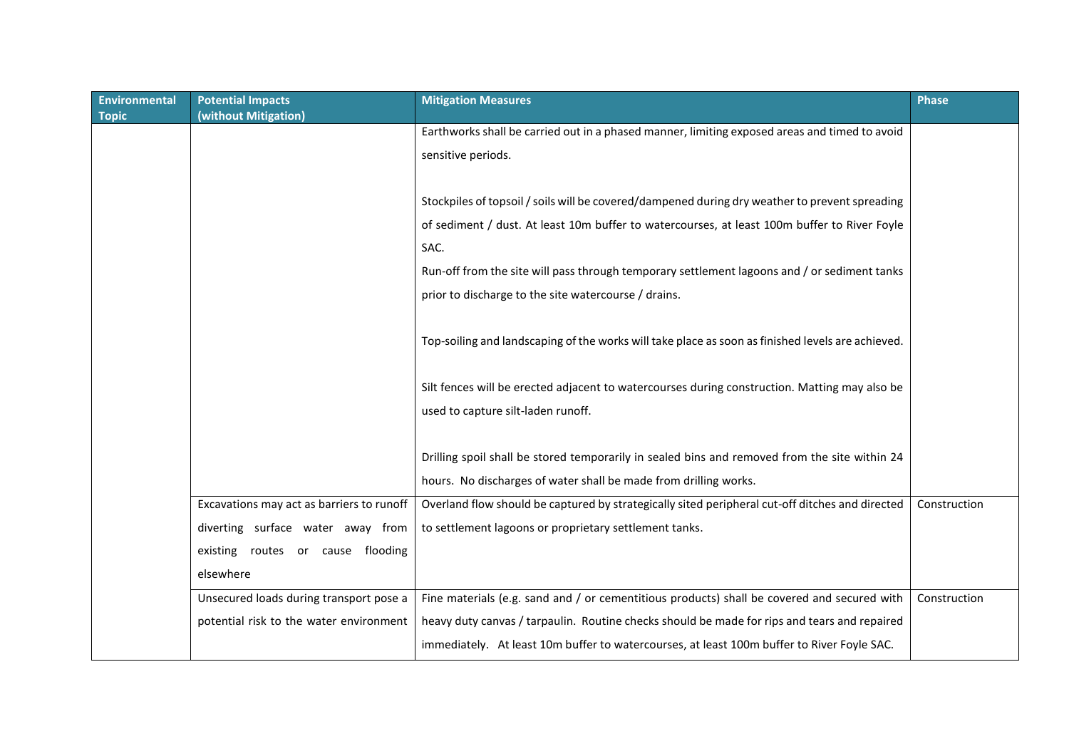| <b>Environmental</b><br><b>Topic</b> | <b>Potential Impacts</b><br>(without Mitigation) | <b>Mitigation Measures</b>                                                                        | <b>Phase</b> |
|--------------------------------------|--------------------------------------------------|---------------------------------------------------------------------------------------------------|--------------|
|                                      |                                                  | Earthworks shall be carried out in a phased manner, limiting exposed areas and timed to avoid     |              |
|                                      |                                                  | sensitive periods.                                                                                |              |
|                                      |                                                  |                                                                                                   |              |
|                                      |                                                  | Stockpiles of topsoil / soils will be covered/dampened during dry weather to prevent spreading    |              |
|                                      |                                                  | of sediment / dust. At least 10m buffer to watercourses, at least 100m buffer to River Foyle      |              |
|                                      |                                                  | SAC.                                                                                              |              |
|                                      |                                                  | Run-off from the site will pass through temporary settlement lagoons and / or sediment tanks      |              |
|                                      |                                                  | prior to discharge to the site watercourse / drains.                                              |              |
|                                      |                                                  |                                                                                                   |              |
|                                      |                                                  | Top-soiling and landscaping of the works will take place as soon as finished levels are achieved. |              |
|                                      |                                                  |                                                                                                   |              |
|                                      |                                                  | Silt fences will be erected adjacent to watercourses during construction. Matting may also be     |              |
|                                      |                                                  | used to capture silt-laden runoff.                                                                |              |
|                                      |                                                  |                                                                                                   |              |
|                                      |                                                  | Drilling spoil shall be stored temporarily in sealed bins and removed from the site within 24     |              |
|                                      |                                                  | hours. No discharges of water shall be made from drilling works.                                  |              |
|                                      | Excavations may act as barriers to runoff        | Overland flow should be captured by strategically sited peripheral cut-off ditches and directed   | Construction |
|                                      | diverting surface water away from                | to settlement lagoons or proprietary settlement tanks.                                            |              |
|                                      | existing routes or cause flooding                |                                                                                                   |              |
|                                      | elsewhere                                        |                                                                                                   |              |
|                                      | Unsecured loads during transport pose a          | Fine materials (e.g. sand and / or cementitious products) shall be covered and secured with       | Construction |
|                                      | potential risk to the water environment          | heavy duty canvas / tarpaulin. Routine checks should be made for rips and tears and repaired      |              |
|                                      |                                                  | immediately. At least 10m buffer to watercourses, at least 100m buffer to River Foyle SAC.        |              |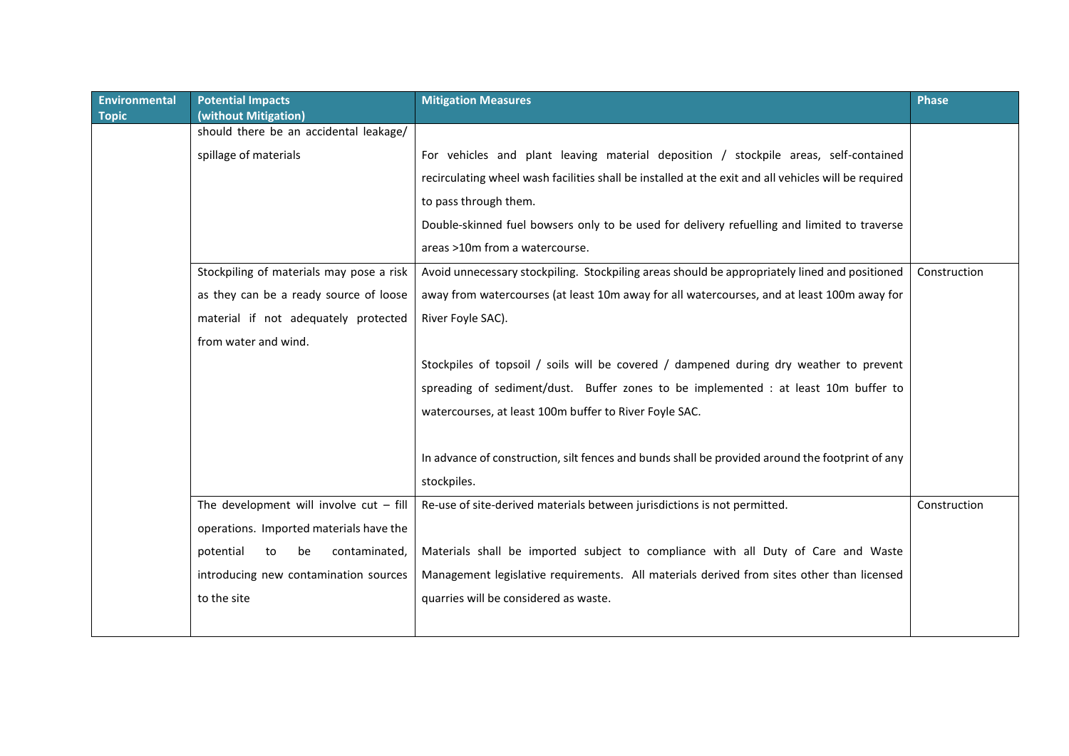| <b>Environmental</b><br><b>Topic</b> | <b>Potential Impacts</b><br>(without Mitigation) | <b>Mitigation Measures</b>                                                                           | <b>Phase</b> |
|--------------------------------------|--------------------------------------------------|------------------------------------------------------------------------------------------------------|--------------|
|                                      | should there be an accidental leakage/           |                                                                                                      |              |
|                                      | spillage of materials                            | For vehicles and plant leaving material deposition / stockpile areas, self-contained                 |              |
|                                      |                                                  | recirculating wheel wash facilities shall be installed at the exit and all vehicles will be required |              |
|                                      |                                                  | to pass through them.                                                                                |              |
|                                      |                                                  | Double-skinned fuel bowsers only to be used for delivery refuelling and limited to traverse          |              |
|                                      |                                                  | areas >10m from a watercourse.                                                                       |              |
|                                      | Stockpiling of materials may pose a risk         | Avoid unnecessary stockpiling. Stockpiling areas should be appropriately lined and positioned        | Construction |
|                                      | as they can be a ready source of loose           | away from watercourses (at least 10m away for all watercourses, and at least 100m away for           |              |
|                                      | material if not adequately protected             | River Foyle SAC).                                                                                    |              |
|                                      | from water and wind.                             |                                                                                                      |              |
|                                      |                                                  | Stockpiles of topsoil / soils will be covered / dampened during dry weather to prevent               |              |
|                                      |                                                  | spreading of sediment/dust. Buffer zones to be implemented : at least 10m buffer to                  |              |
|                                      |                                                  | watercourses, at least 100m buffer to River Foyle SAC.                                               |              |
|                                      |                                                  |                                                                                                      |              |
|                                      |                                                  | In advance of construction, silt fences and bunds shall be provided around the footprint of any      |              |
|                                      |                                                  | stockpiles.                                                                                          |              |
|                                      | The development will involve $cut - fill$        | Re-use of site-derived materials between jurisdictions is not permitted.                             | Construction |
|                                      | operations. Imported materials have the          |                                                                                                      |              |
|                                      | potential<br>contaminated,<br>to<br>be           | Materials shall be imported subject to compliance with all Duty of Care and Waste                    |              |
|                                      | introducing new contamination sources            | Management legislative requirements. All materials derived from sites other than licensed            |              |
|                                      | to the site                                      | quarries will be considered as waste.                                                                |              |
|                                      |                                                  |                                                                                                      |              |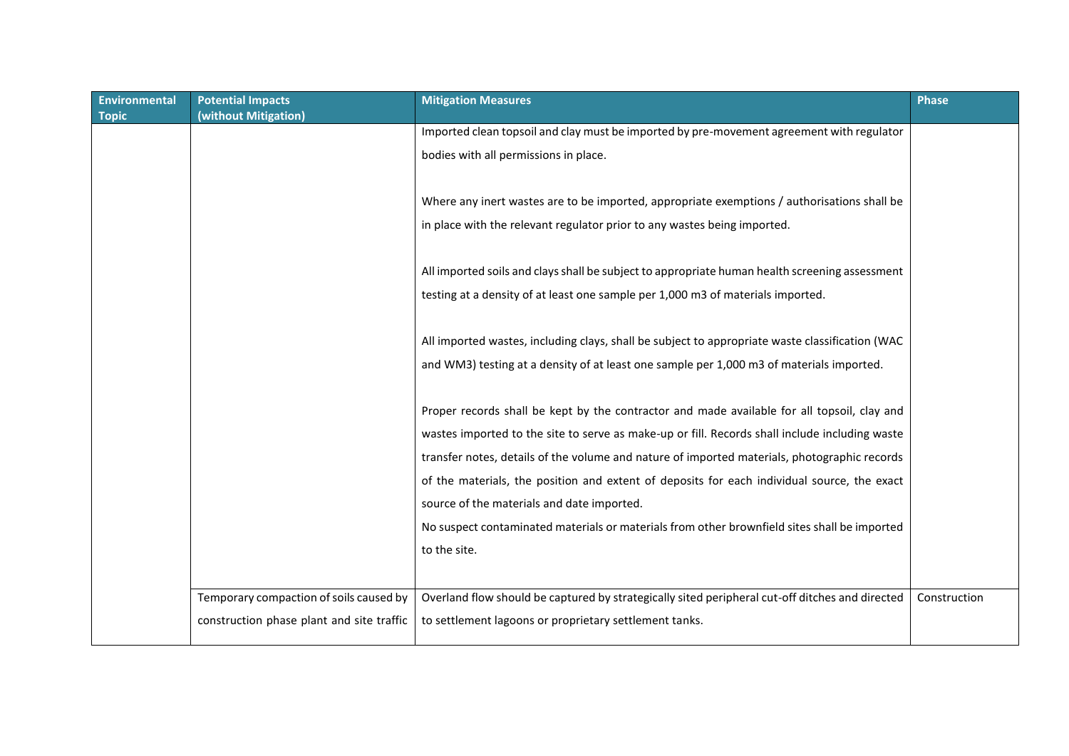| <b>Environmental</b><br><b>Topic</b> | <b>Potential Impacts</b><br>(without Mitigation) | <b>Mitigation Measures</b>                                                                      | <b>Phase</b> |
|--------------------------------------|--------------------------------------------------|-------------------------------------------------------------------------------------------------|--------------|
|                                      |                                                  | Imported clean topsoil and clay must be imported by pre-movement agreement with regulator       |              |
|                                      |                                                  | bodies with all permissions in place.                                                           |              |
|                                      |                                                  |                                                                                                 |              |
|                                      |                                                  | Where any inert wastes are to be imported, appropriate exemptions / authorisations shall be     |              |
|                                      |                                                  | in place with the relevant regulator prior to any wastes being imported.                        |              |
|                                      |                                                  |                                                                                                 |              |
|                                      |                                                  | All imported soils and clays shall be subject to appropriate human health screening assessment  |              |
|                                      |                                                  | testing at a density of at least one sample per 1,000 m3 of materials imported.                 |              |
|                                      |                                                  |                                                                                                 |              |
|                                      |                                                  | All imported wastes, including clays, shall be subject to appropriate waste classification (WAC |              |
|                                      |                                                  | and WM3) testing at a density of at least one sample per 1,000 m3 of materials imported.        |              |
|                                      |                                                  |                                                                                                 |              |
|                                      |                                                  | Proper records shall be kept by the contractor and made available for all topsoil, clay and     |              |
|                                      |                                                  | wastes imported to the site to serve as make-up or fill. Records shall include including waste  |              |
|                                      |                                                  | transfer notes, details of the volume and nature of imported materials, photographic records    |              |
|                                      |                                                  | of the materials, the position and extent of deposits for each individual source, the exact     |              |
|                                      |                                                  | source of the materials and date imported.                                                      |              |
|                                      |                                                  | No suspect contaminated materials or materials from other brownfield sites shall be imported    |              |
|                                      |                                                  | to the site.                                                                                    |              |
|                                      |                                                  |                                                                                                 |              |
|                                      | Temporary compaction of soils caused by          | Overland flow should be captured by strategically sited peripheral cut-off ditches and directed | Construction |
|                                      | construction phase plant and site traffic        | to settlement lagoons or proprietary settlement tanks.                                          |              |
|                                      |                                                  |                                                                                                 |              |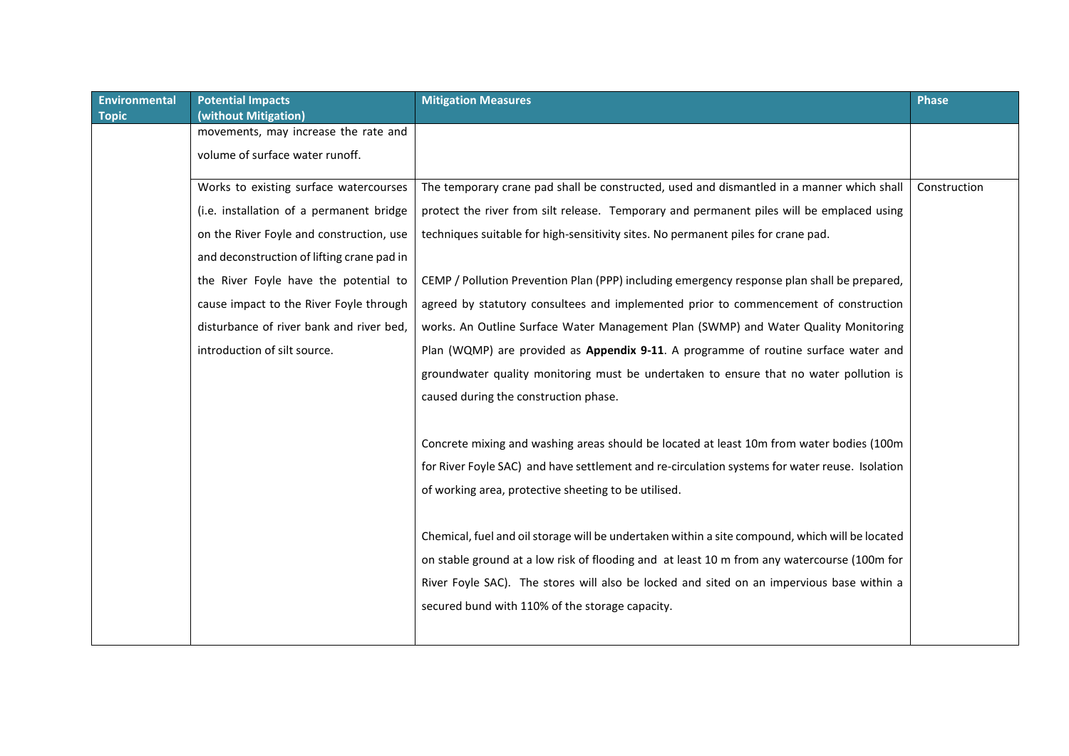| <b>Environmental</b> | <b>Potential Impacts</b>                   | <b>Mitigation Measures</b>                                                                      | <b>Phase</b> |
|----------------------|--------------------------------------------|-------------------------------------------------------------------------------------------------|--------------|
| <b>Topic</b>         | (without Mitigation)                       |                                                                                                 |              |
|                      | movements, may increase the rate and       |                                                                                                 |              |
|                      | volume of surface water runoff.            |                                                                                                 |              |
|                      | Works to existing surface watercourses     | The temporary crane pad shall be constructed, used and dismantled in a manner which shall       | Construction |
|                      | (i.e. installation of a permanent bridge   | protect the river from silt release. Temporary and permanent piles will be emplaced using       |              |
|                      | on the River Foyle and construction, use   | techniques suitable for high-sensitivity sites. No permanent piles for crane pad.               |              |
|                      | and deconstruction of lifting crane pad in |                                                                                                 |              |
|                      | the River Foyle have the potential to      | CEMP / Pollution Prevention Plan (PPP) including emergency response plan shall be prepared,     |              |
|                      | cause impact to the River Foyle through    | agreed by statutory consultees and implemented prior to commencement of construction            |              |
|                      | disturbance of river bank and river bed,   | works. An Outline Surface Water Management Plan (SWMP) and Water Quality Monitoring             |              |
|                      | introduction of silt source.               | Plan (WQMP) are provided as Appendix 9-11. A programme of routine surface water and             |              |
|                      |                                            | groundwater quality monitoring must be undertaken to ensure that no water pollution is          |              |
|                      |                                            | caused during the construction phase.                                                           |              |
|                      |                                            |                                                                                                 |              |
|                      |                                            | Concrete mixing and washing areas should be located at least 10m from water bodies (100m        |              |
|                      |                                            | for River Foyle SAC) and have settlement and re-circulation systems for water reuse. Isolation  |              |
|                      |                                            | of working area, protective sheeting to be utilised.                                            |              |
|                      |                                            |                                                                                                 |              |
|                      |                                            | Chemical, fuel and oil storage will be undertaken within a site compound, which will be located |              |
|                      |                                            | on stable ground at a low risk of flooding and at least 10 m from any watercourse (100m for     |              |
|                      |                                            | River Foyle SAC). The stores will also be locked and sited on an impervious base within a       |              |
|                      |                                            | secured bund with 110% of the storage capacity.                                                 |              |
|                      |                                            |                                                                                                 |              |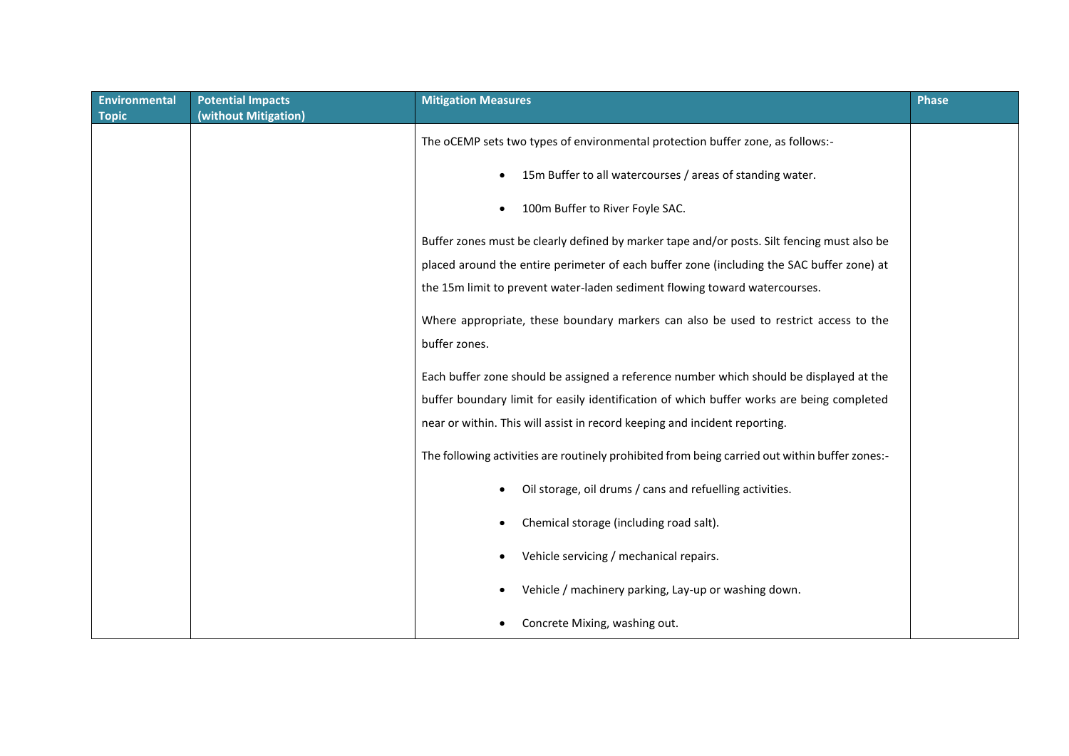| <b>Environmental</b> | <b>Potential Impacts</b> | <b>Mitigation Measures</b>                                                                     | <b>Phase</b> |
|----------------------|--------------------------|------------------------------------------------------------------------------------------------|--------------|
| <b>Topic</b>         | (without Mitigation)     |                                                                                                |              |
|                      |                          | The oCEMP sets two types of environmental protection buffer zone, as follows:-                 |              |
|                      |                          | 15m Buffer to all watercourses / areas of standing water.                                      |              |
|                      |                          | 100m Buffer to River Foyle SAC.                                                                |              |
|                      |                          | Buffer zones must be clearly defined by marker tape and/or posts. Silt fencing must also be    |              |
|                      |                          | placed around the entire perimeter of each buffer zone (including the SAC buffer zone) at      |              |
|                      |                          | the 15m limit to prevent water-laden sediment flowing toward watercourses.                     |              |
|                      |                          | Where appropriate, these boundary markers can also be used to restrict access to the           |              |
|                      |                          | buffer zones.                                                                                  |              |
|                      |                          | Each buffer zone should be assigned a reference number which should be displayed at the        |              |
|                      |                          | buffer boundary limit for easily identification of which buffer works are being completed      |              |
|                      |                          | near or within. This will assist in record keeping and incident reporting.                     |              |
|                      |                          | The following activities are routinely prohibited from being carried out within buffer zones:- |              |
|                      |                          | Oil storage, oil drums / cans and refuelling activities.                                       |              |
|                      |                          | Chemical storage (including road salt).                                                        |              |
|                      |                          | Vehicle servicing / mechanical repairs.                                                        |              |
|                      |                          | Vehicle / machinery parking, Lay-up or washing down.                                           |              |
|                      |                          | Concrete Mixing, washing out.                                                                  |              |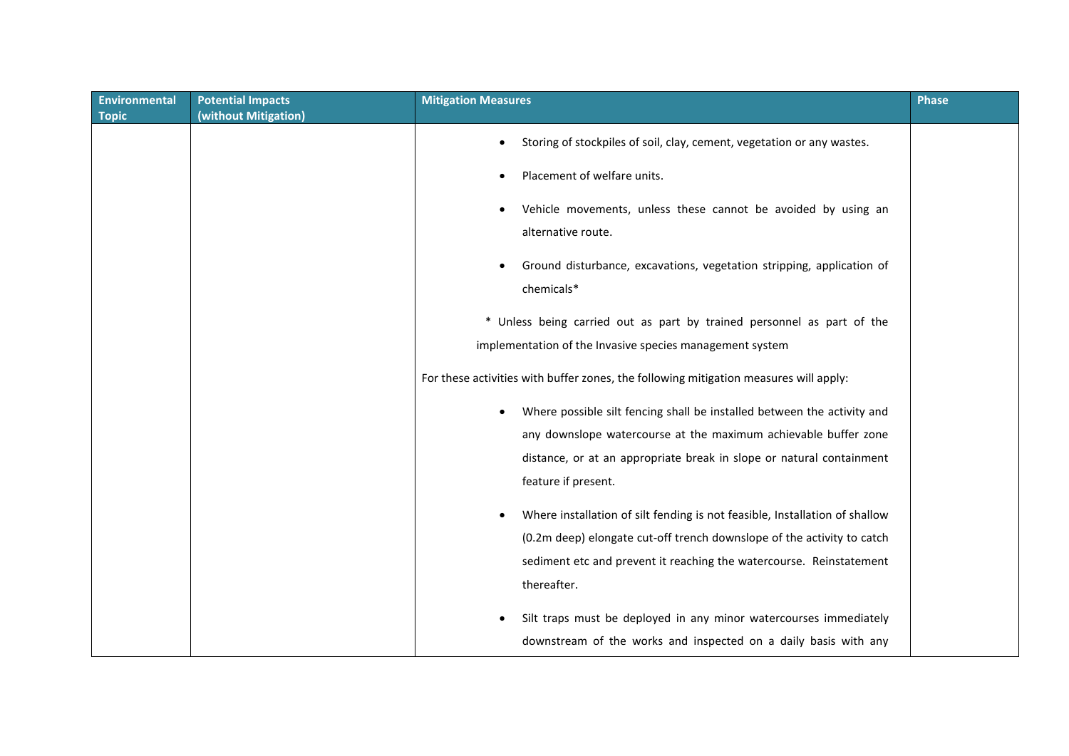| <b>Environmental</b> | <b>Potential Impacts</b> | <b>Mitigation Measures</b>                                                                                                                                                                                                                                                                                                                                                          | <b>Phase</b> |
|----------------------|--------------------------|-------------------------------------------------------------------------------------------------------------------------------------------------------------------------------------------------------------------------------------------------------------------------------------------------------------------------------------------------------------------------------------|--------------|
| <b>Topic</b>         | (without Mitigation)     | Storing of stockpiles of soil, clay, cement, vegetation or any wastes.<br>Placement of welfare units.<br>Vehicle movements, unless these cannot be avoided by using an<br>alternative route.<br>Ground disturbance, excavations, vegetation stripping, application of<br>chemicals*                                                                                                 |              |
|                      |                          | * Unless being carried out as part by trained personnel as part of the<br>implementation of the Invasive species management system<br>For these activities with buffer zones, the following mitigation measures will apply:                                                                                                                                                         |              |
|                      |                          | Where possible silt fencing shall be installed between the activity and<br>any downslope watercourse at the maximum achievable buffer zone<br>distance, or at an appropriate break in slope or natural containment<br>feature if present.                                                                                                                                           |              |
|                      |                          | Where installation of silt fending is not feasible, Installation of shallow<br>(0.2m deep) elongate cut-off trench downslope of the activity to catch<br>sediment etc and prevent it reaching the watercourse. Reinstatement<br>thereafter.<br>Silt traps must be deployed in any minor watercourses immediately<br>downstream of the works and inspected on a daily basis with any |              |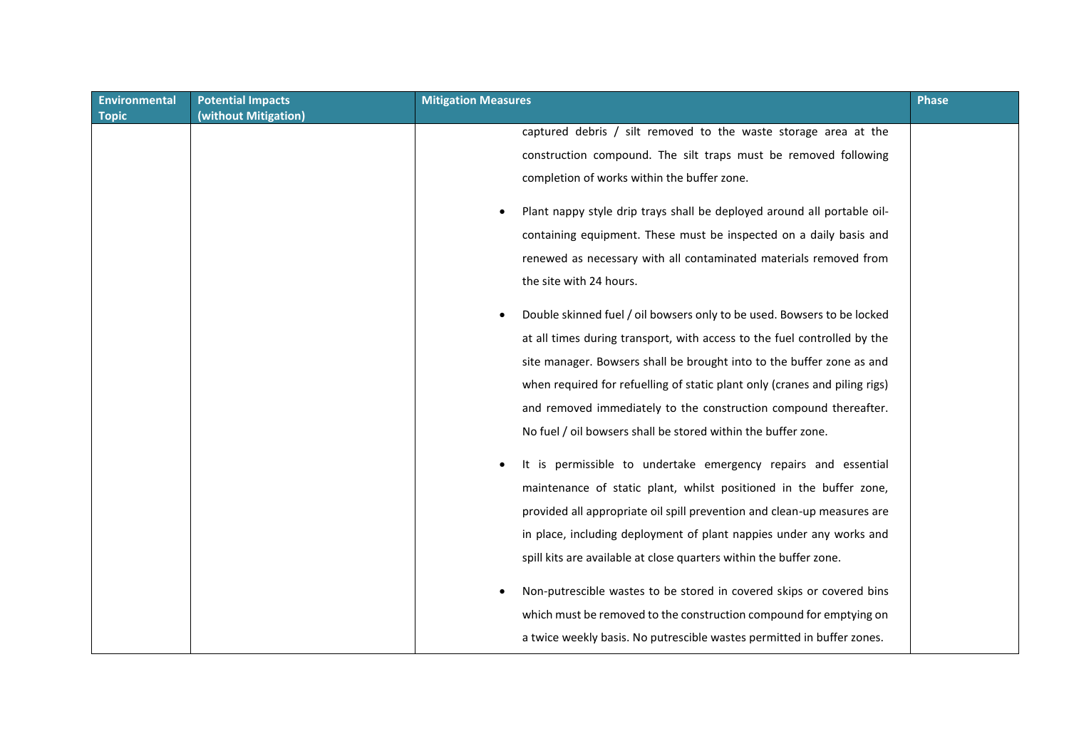| <b>Environmental</b> | <b>Potential Impacts</b> | <b>Mitigation Measures</b>                                                 | <b>Phase</b> |
|----------------------|--------------------------|----------------------------------------------------------------------------|--------------|
| <b>Topic</b>         | (without Mitigation)     |                                                                            |              |
|                      |                          | captured debris / silt removed to the waste storage area at the            |              |
|                      |                          | construction compound. The silt traps must be removed following            |              |
|                      |                          | completion of works within the buffer zone.                                |              |
|                      |                          | Plant nappy style drip trays shall be deployed around all portable oil-    |              |
|                      |                          | containing equipment. These must be inspected on a daily basis and         |              |
|                      |                          | renewed as necessary with all contaminated materials removed from          |              |
|                      |                          | the site with 24 hours.                                                    |              |
|                      |                          | Double skinned fuel / oil bowsers only to be used. Bowsers to be locked    |              |
|                      |                          | at all times during transport, with access to the fuel controlled by the   |              |
|                      |                          | site manager. Bowsers shall be brought into to the buffer zone as and      |              |
|                      |                          | when required for refuelling of static plant only (cranes and piling rigs) |              |
|                      |                          | and removed immediately to the construction compound thereafter.           |              |
|                      |                          | No fuel / oil bowsers shall be stored within the buffer zone.              |              |
|                      |                          | It is permissible to undertake emergency repairs and essential             |              |
|                      |                          | maintenance of static plant, whilst positioned in the buffer zone,         |              |
|                      |                          | provided all appropriate oil spill prevention and clean-up measures are    |              |
|                      |                          | in place, including deployment of plant nappies under any works and        |              |
|                      |                          | spill kits are available at close quarters within the buffer zone.         |              |
|                      |                          | Non-putrescible wastes to be stored in covered skips or covered bins       |              |
|                      |                          | which must be removed to the construction compound for emptying on         |              |
|                      |                          | a twice weekly basis. No putrescible wastes permitted in buffer zones.     |              |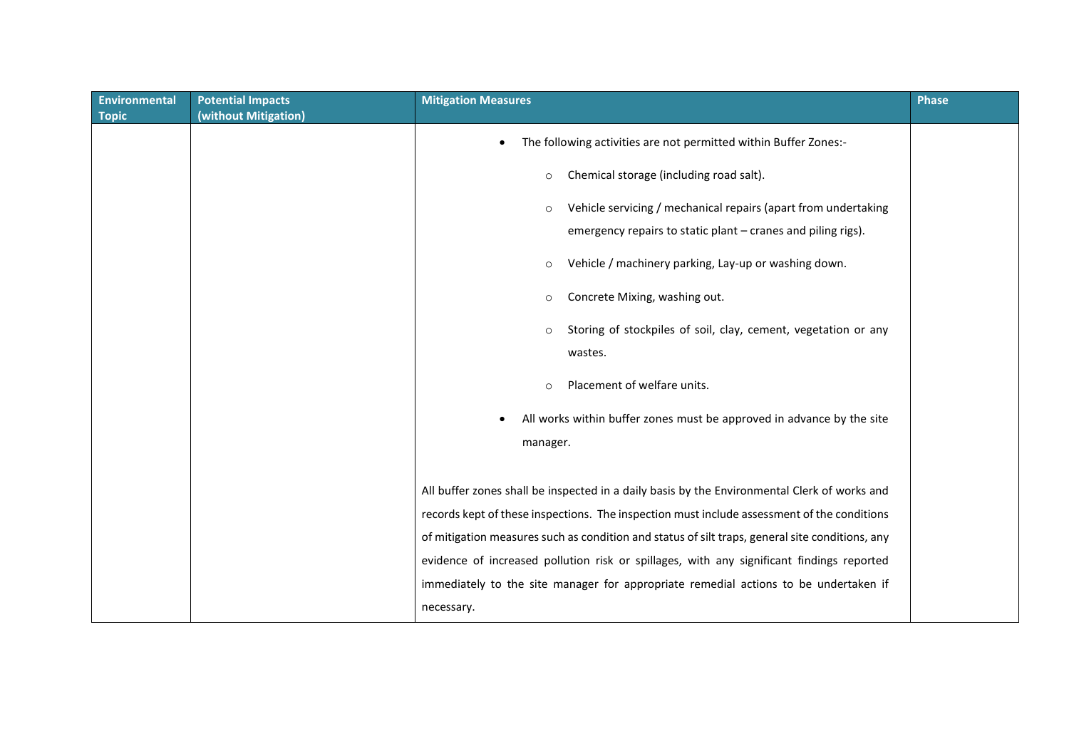| <b>Environmental</b><br><b>Topic</b> | <b>Potential Impacts</b><br>(without Mitigation) | <b>Mitigation Measures</b>                                                                      | <b>Phase</b> |
|--------------------------------------|--------------------------------------------------|-------------------------------------------------------------------------------------------------|--------------|
|                                      |                                                  | The following activities are not permitted within Buffer Zones:-                                |              |
|                                      |                                                  | Chemical storage (including road salt).<br>$\circ$                                              |              |
|                                      |                                                  | Vehicle servicing / mechanical repairs (apart from undertaking<br>$\circ$                       |              |
|                                      |                                                  | emergency repairs to static plant - cranes and piling rigs).                                    |              |
|                                      |                                                  | Vehicle / machinery parking, Lay-up or washing down.<br>$\circ$                                 |              |
|                                      |                                                  | Concrete Mixing, washing out.<br>$\circ$                                                        |              |
|                                      |                                                  | Storing of stockpiles of soil, clay, cement, vegetation or any<br>$\circ$                       |              |
|                                      |                                                  | wastes.                                                                                         |              |
|                                      |                                                  | Placement of welfare units.<br>$\circ$                                                          |              |
|                                      |                                                  | All works within buffer zones must be approved in advance by the site                           |              |
|                                      |                                                  | manager.                                                                                        |              |
|                                      |                                                  |                                                                                                 |              |
|                                      |                                                  | All buffer zones shall be inspected in a daily basis by the Environmental Clerk of works and    |              |
|                                      |                                                  | records kept of these inspections. The inspection must include assessment of the conditions     |              |
|                                      |                                                  | of mitigation measures such as condition and status of silt traps, general site conditions, any |              |
|                                      |                                                  | evidence of increased pollution risk or spillages, with any significant findings reported       |              |
|                                      |                                                  | immediately to the site manager for appropriate remedial actions to be undertaken if            |              |
|                                      |                                                  | necessary.                                                                                      |              |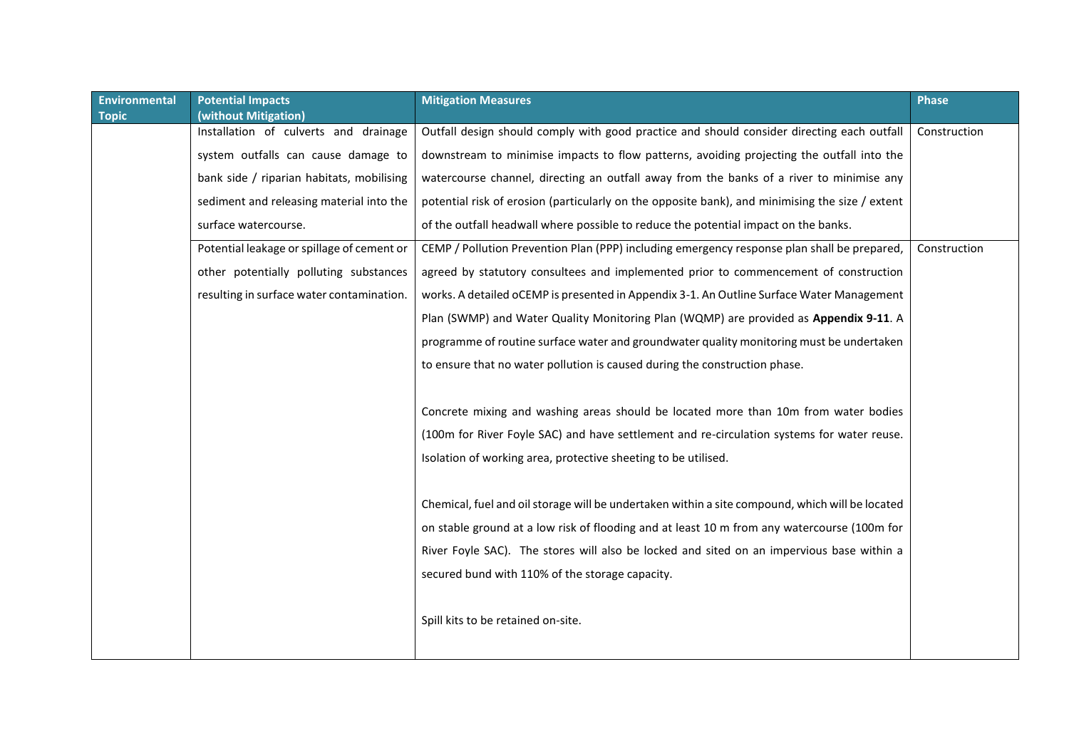| <b>Environmental</b> | <b>Potential Impacts</b>                   | <b>Mitigation Measures</b>                                                                      | <b>Phase</b> |
|----------------------|--------------------------------------------|-------------------------------------------------------------------------------------------------|--------------|
| <b>Topic</b>         | (without Mitigation)                       |                                                                                                 |              |
|                      | Installation of culverts and drainage      | Outfall design should comply with good practice and should consider directing each outfall      | Construction |
|                      | system outfalls can cause damage to        | downstream to minimise impacts to flow patterns, avoiding projecting the outfall into the       |              |
|                      | bank side / riparian habitats, mobilising  | watercourse channel, directing an outfall away from the banks of a river to minimise any        |              |
|                      | sediment and releasing material into the   | potential risk of erosion (particularly on the opposite bank), and minimising the size / extent |              |
|                      | surface watercourse.                       | of the outfall headwall where possible to reduce the potential impact on the banks.             |              |
|                      | Potential leakage or spillage of cement or | CEMP / Pollution Prevention Plan (PPP) including emergency response plan shall be prepared,     | Construction |
|                      | other potentially polluting substances     | agreed by statutory consultees and implemented prior to commencement of construction            |              |
|                      | resulting in surface water contamination.  | works. A detailed oCEMP is presented in Appendix 3-1. An Outline Surface Water Management       |              |
|                      |                                            | Plan (SWMP) and Water Quality Monitoring Plan (WQMP) are provided as Appendix 9-11. A           |              |
|                      |                                            | programme of routine surface water and groundwater quality monitoring must be undertaken        |              |
|                      |                                            | to ensure that no water pollution is caused during the construction phase.                      |              |
|                      |                                            |                                                                                                 |              |
|                      |                                            | Concrete mixing and washing areas should be located more than 10m from water bodies             |              |
|                      |                                            | (100m for River Foyle SAC) and have settlement and re-circulation systems for water reuse.      |              |
|                      |                                            | Isolation of working area, protective sheeting to be utilised.                                  |              |
|                      |                                            |                                                                                                 |              |
|                      |                                            | Chemical, fuel and oil storage will be undertaken within a site compound, which will be located |              |
|                      |                                            | on stable ground at a low risk of flooding and at least 10 m from any watercourse (100m for     |              |
|                      |                                            | River Foyle SAC). The stores will also be locked and sited on an impervious base within a       |              |
|                      |                                            | secured bund with 110% of the storage capacity.                                                 |              |
|                      |                                            | Spill kits to be retained on-site.                                                              |              |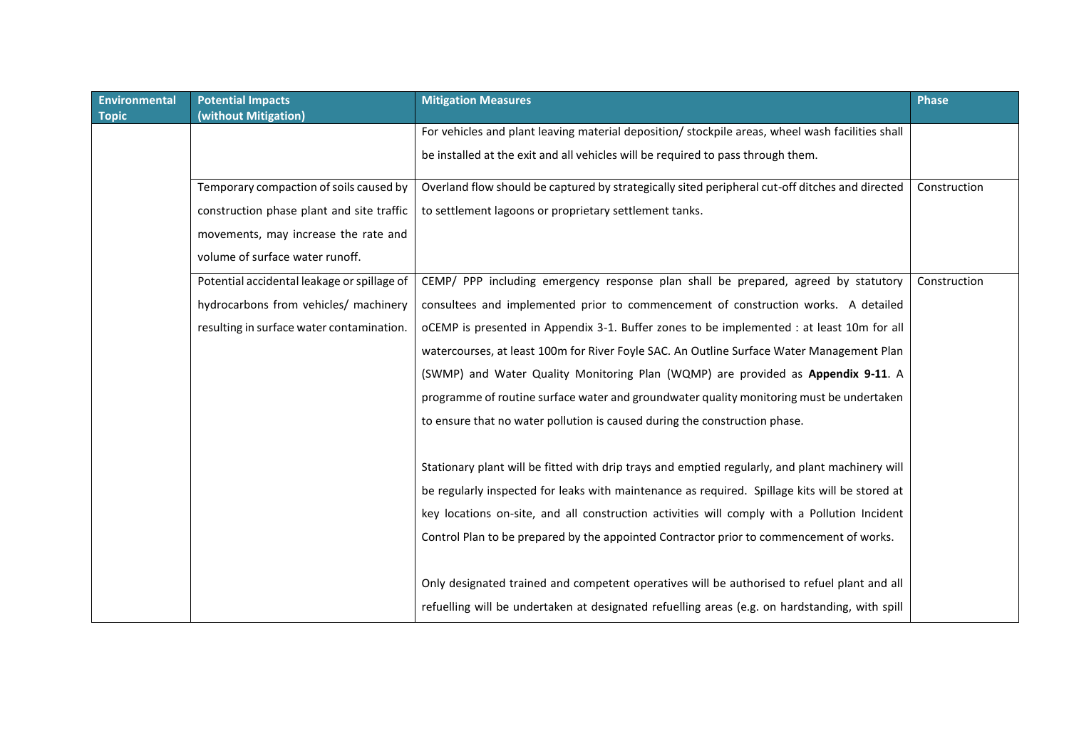| <b>Environmental</b> | <b>Potential Impacts</b>                    | <b>Mitigation Measures</b>                                                                       | <b>Phase</b> |
|----------------------|---------------------------------------------|--------------------------------------------------------------------------------------------------|--------------|
| <b>Topic</b>         | (without Mitigation)                        |                                                                                                  |              |
|                      |                                             | For vehicles and plant leaving material deposition/ stockpile areas, wheel wash facilities shall |              |
|                      |                                             | be installed at the exit and all vehicles will be required to pass through them.                 |              |
|                      | Temporary compaction of soils caused by     | Overland flow should be captured by strategically sited peripheral cut-off ditches and directed  | Construction |
|                      | construction phase plant and site traffic   | to settlement lagoons or proprietary settlement tanks.                                           |              |
|                      | movements, may increase the rate and        |                                                                                                  |              |
|                      | volume of surface water runoff.             |                                                                                                  |              |
|                      | Potential accidental leakage or spillage of | CEMP/ PPP including emergency response plan shall be prepared, agreed by statutory               | Construction |
|                      | hydrocarbons from vehicles/ machinery       | consultees and implemented prior to commencement of construction works. A detailed               |              |
|                      | resulting in surface water contamination.   | oCEMP is presented in Appendix 3-1. Buffer zones to be implemented : at least 10m for all        |              |
|                      |                                             | watercourses, at least 100m for River Foyle SAC. An Outline Surface Water Management Plan        |              |
|                      |                                             | (SWMP) and Water Quality Monitoring Plan (WQMP) are provided as Appendix 9-11. A                 |              |
|                      |                                             | programme of routine surface water and groundwater quality monitoring must be undertaken         |              |
|                      |                                             | to ensure that no water pollution is caused during the construction phase.                       |              |
|                      |                                             |                                                                                                  |              |
|                      |                                             | Stationary plant will be fitted with drip trays and emptied regularly, and plant machinery will  |              |
|                      |                                             | be regularly inspected for leaks with maintenance as required. Spillage kits will be stored at   |              |
|                      |                                             | key locations on-site, and all construction activities will comply with a Pollution Incident     |              |
|                      |                                             | Control Plan to be prepared by the appointed Contractor prior to commencement of works.          |              |
|                      |                                             |                                                                                                  |              |
|                      |                                             | Only designated trained and competent operatives will be authorised to refuel plant and all      |              |
|                      |                                             | refuelling will be undertaken at designated refuelling areas (e.g. on hardstanding, with spill   |              |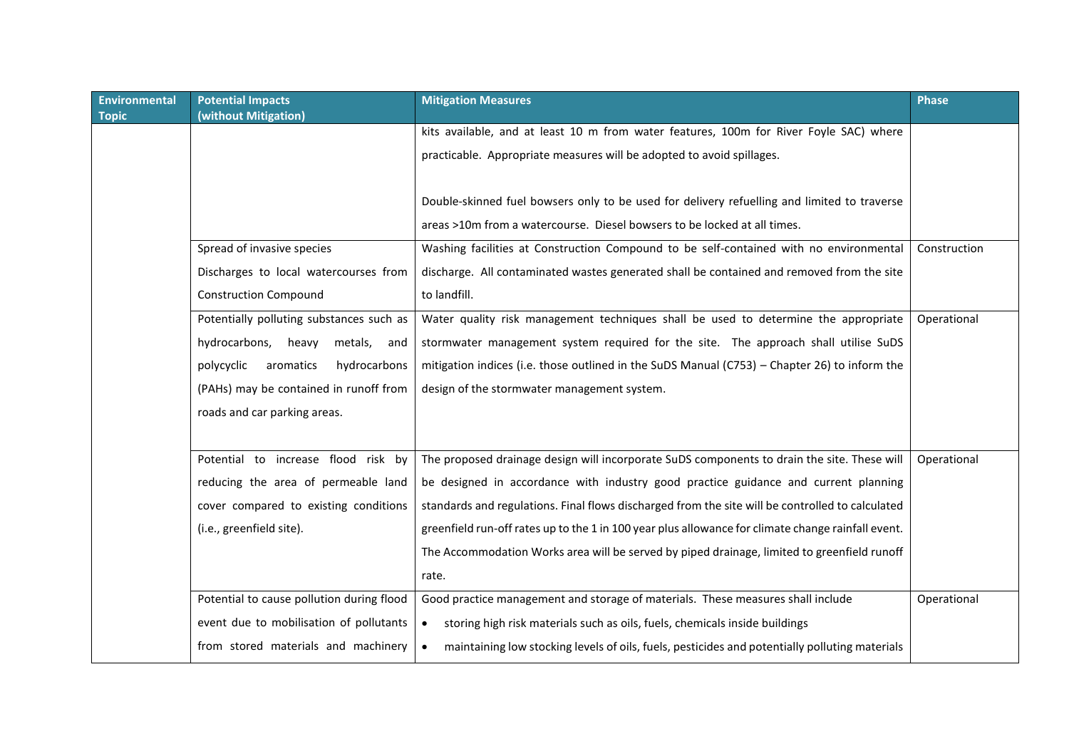| <b>Environmental</b> | <b>Potential Impacts</b>                  | <b>Mitigation Measures</b>                                                                                  | <b>Phase</b> |
|----------------------|-------------------------------------------|-------------------------------------------------------------------------------------------------------------|--------------|
| <b>Topic</b>         | (without Mitigation)                      |                                                                                                             |              |
|                      |                                           | kits available, and at least 10 m from water features, 100m for River Foyle SAC) where                      |              |
|                      |                                           | practicable. Appropriate measures will be adopted to avoid spillages.                                       |              |
|                      |                                           |                                                                                                             |              |
|                      |                                           | Double-skinned fuel bowsers only to be used for delivery refuelling and limited to traverse                 |              |
|                      |                                           |                                                                                                             |              |
|                      |                                           | areas >10m from a watercourse. Diesel bowsers to be locked at all times.                                    |              |
|                      | Spread of invasive species                | Washing facilities at Construction Compound to be self-contained with no environmental                      | Construction |
|                      | Discharges to local watercourses from     | discharge. All contaminated wastes generated shall be contained and removed from the site                   |              |
|                      | <b>Construction Compound</b>              | to landfill.                                                                                                |              |
|                      | Potentially polluting substances such as  | Water quality risk management techniques shall be used to determine the appropriate                         | Operational  |
|                      | hydrocarbons,<br>heavy<br>metals,<br>and  | stormwater management system required for the site. The approach shall utilise SuDS                         |              |
|                      | polycyclic<br>aromatics<br>hydrocarbons   | mitigation indices (i.e. those outlined in the SuDS Manual (C753) – Chapter 26) to inform the               |              |
|                      | (PAHs) may be contained in runoff from    | design of the stormwater management system.                                                                 |              |
|                      | roads and car parking areas.              |                                                                                                             |              |
|                      |                                           |                                                                                                             |              |
|                      | Potential to increase flood risk by       | The proposed drainage design will incorporate SuDS components to drain the site. These will                 | Operational  |
|                      | reducing the area of permeable land       | be designed in accordance with industry good practice guidance and current planning                         |              |
|                      |                                           |                                                                                                             |              |
|                      | cover compared to existing conditions     | standards and regulations. Final flows discharged from the site will be controlled to calculated            |              |
|                      | (i.e., greenfield site).                  | greenfield run-off rates up to the 1 in 100 year plus allowance for climate change rainfall event.          |              |
|                      |                                           | The Accommodation Works area will be served by piped drainage, limited to greenfield runoff                 |              |
|                      |                                           | rate.                                                                                                       |              |
|                      | Potential to cause pollution during flood | Good practice management and storage of materials. These measures shall include                             | Operational  |
|                      | event due to mobilisation of pollutants   | storing high risk materials such as oils, fuels, chemicals inside buildings<br>$\bullet$                    |              |
|                      | from stored materials and machinery       | maintaining low stocking levels of oils, fuels, pesticides and potentially polluting materials<br>$\bullet$ |              |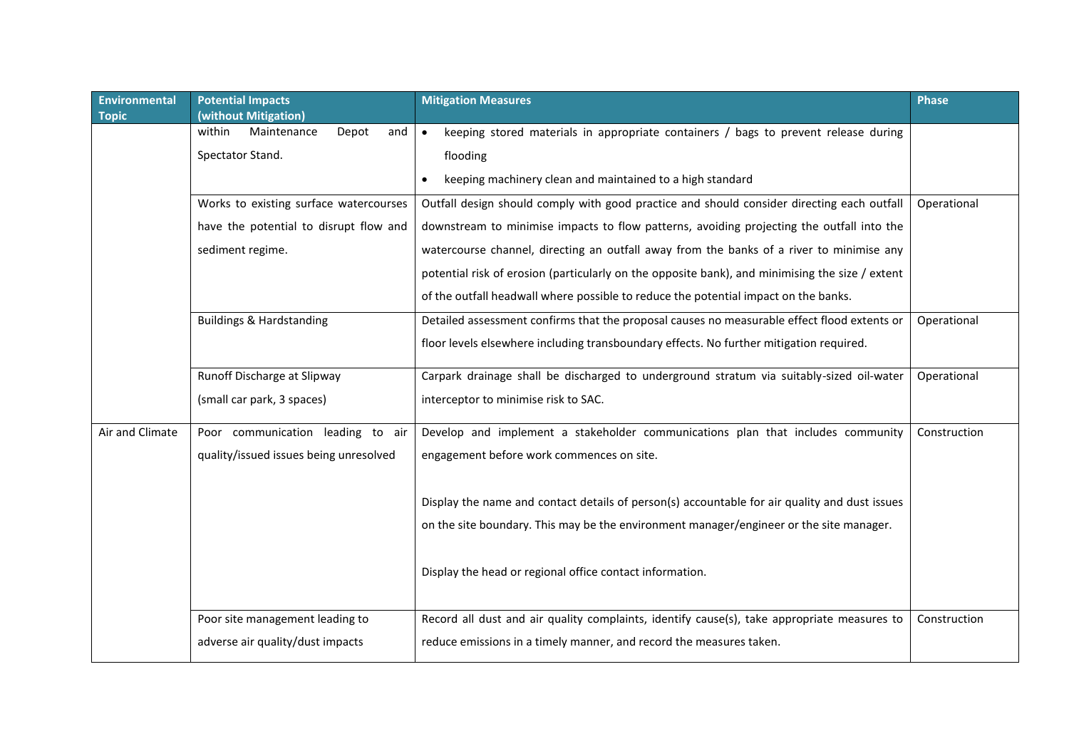| <b>Environmental</b> | <b>Potential Impacts</b>                                      | <b>Mitigation Measures</b>                                                                       | <b>Phase</b> |
|----------------------|---------------------------------------------------------------|--------------------------------------------------------------------------------------------------|--------------|
| <b>Topic</b>         | (without Mitigation)<br>within<br>Maintenance<br>Depot<br>and | keeping stored materials in appropriate containers / bags to prevent release during<br>$\bullet$ |              |
|                      | Spectator Stand.                                              | flooding                                                                                         |              |
|                      |                                                               |                                                                                                  |              |
|                      |                                                               | keeping machinery clean and maintained to a high standard<br>$\bullet$                           |              |
|                      | Works to existing surface watercourses                        | Outfall design should comply with good practice and should consider directing each outfall       | Operational  |
|                      | have the potential to disrupt flow and                        | downstream to minimise impacts to flow patterns, avoiding projecting the outfall into the        |              |
|                      | sediment regime.                                              | watercourse channel, directing an outfall away from the banks of a river to minimise any         |              |
|                      |                                                               | potential risk of erosion (particularly on the opposite bank), and minimising the size / extent  |              |
|                      |                                                               | of the outfall headwall where possible to reduce the potential impact on the banks.              |              |
|                      | <b>Buildings &amp; Hardstanding</b>                           | Detailed assessment confirms that the proposal causes no measurable effect flood extents or      | Operational  |
|                      |                                                               | floor levels elsewhere including transboundary effects. No further mitigation required.          |              |
|                      |                                                               |                                                                                                  |              |
|                      | Runoff Discharge at Slipway                                   | Carpark drainage shall be discharged to underground stratum via suitably-sized oil-water         | Operational  |
|                      | (small car park, 3 spaces)                                    | interceptor to minimise risk to SAC.                                                             |              |
| Air and Climate      | Poor communication leading to air                             | Develop and implement a stakeholder communications plan that includes community                  | Construction |
|                      | quality/issued issues being unresolved                        | engagement before work commences on site.                                                        |              |
|                      |                                                               |                                                                                                  |              |
|                      |                                                               | Display the name and contact details of person(s) accountable for air quality and dust issues    |              |
|                      |                                                               | on the site boundary. This may be the environment manager/engineer or the site manager.          |              |
|                      |                                                               |                                                                                                  |              |
|                      |                                                               | Display the head or regional office contact information.                                         |              |
|                      |                                                               |                                                                                                  |              |
|                      |                                                               |                                                                                                  |              |
|                      | Poor site management leading to                               | Record all dust and air quality complaints, identify cause(s), take appropriate measures to      | Construction |
|                      | adverse air quality/dust impacts                              | reduce emissions in a timely manner, and record the measures taken.                              |              |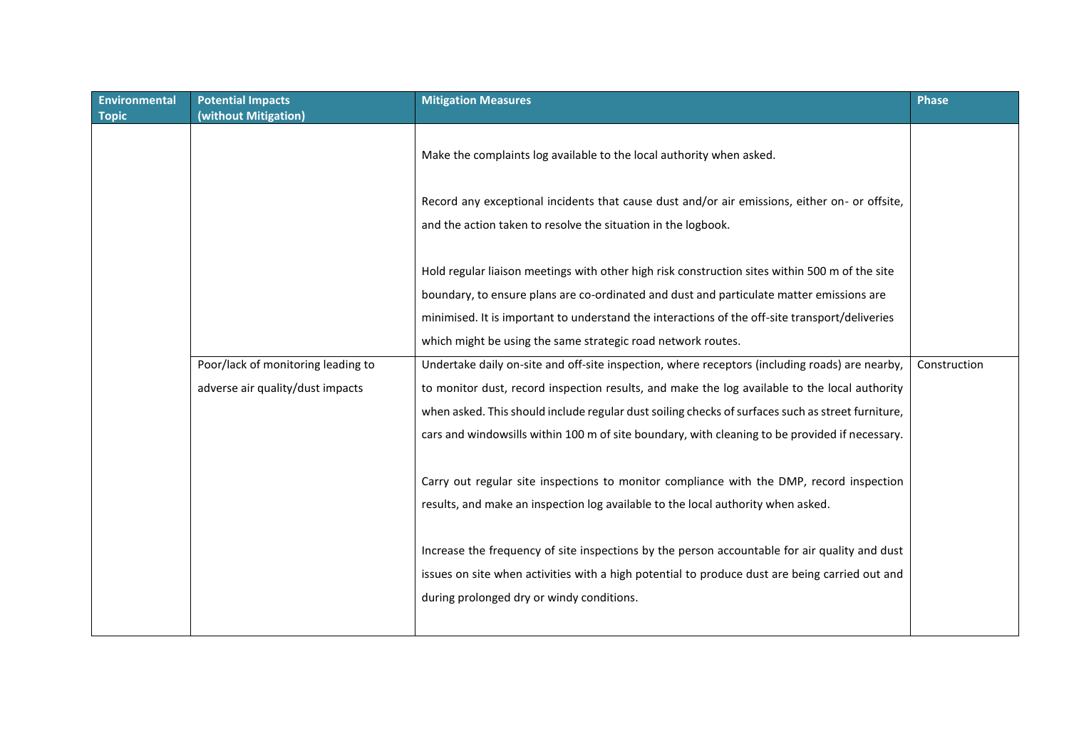| <b>Environmental</b><br><b>Topic</b> | <b>Potential Impacts</b><br>(without Mitigation) | <b>Mitigation Measures</b>                                                                                                                                                                 | <b>Phase</b> |
|--------------------------------------|--------------------------------------------------|--------------------------------------------------------------------------------------------------------------------------------------------------------------------------------------------|--------------|
|                                      |                                                  | Make the complaints log available to the local authority when asked.                                                                                                                       |              |
|                                      |                                                  | Record any exceptional incidents that cause dust and/or air emissions, either on- or offsite,<br>and the action taken to resolve the situation in the logbook.                             |              |
|                                      |                                                  | Hold regular liaison meetings with other high risk construction sites within 500 m of the site                                                                                             |              |
|                                      |                                                  | boundary, to ensure plans are co-ordinated and dust and particulate matter emissions are<br>minimised. It is important to understand the interactions of the off-site transport/deliveries |              |
|                                      |                                                  | which might be using the same strategic road network routes.                                                                                                                               |              |
|                                      | Poor/lack of monitoring leading to               | Undertake daily on-site and off-site inspection, where receptors (including roads) are nearby,                                                                                             | Construction |
|                                      | adverse air quality/dust impacts                 | to monitor dust, record inspection results, and make the log available to the local authority                                                                                              |              |
|                                      |                                                  | when asked. This should include regular dust soiling checks of surfaces such as street furniture,                                                                                          |              |
|                                      |                                                  | cars and windowsills within 100 m of site boundary, with cleaning to be provided if necessary.                                                                                             |              |
|                                      |                                                  | Carry out regular site inspections to monitor compliance with the DMP, record inspection<br>results, and make an inspection log available to the local authority when asked.               |              |
|                                      |                                                  | Increase the frequency of site inspections by the person accountable for air quality and dust                                                                                              |              |
|                                      |                                                  | issues on site when activities with a high potential to produce dust are being carried out and                                                                                             |              |
|                                      |                                                  | during prolonged dry or windy conditions.                                                                                                                                                  |              |
|                                      |                                                  |                                                                                                                                                                                            |              |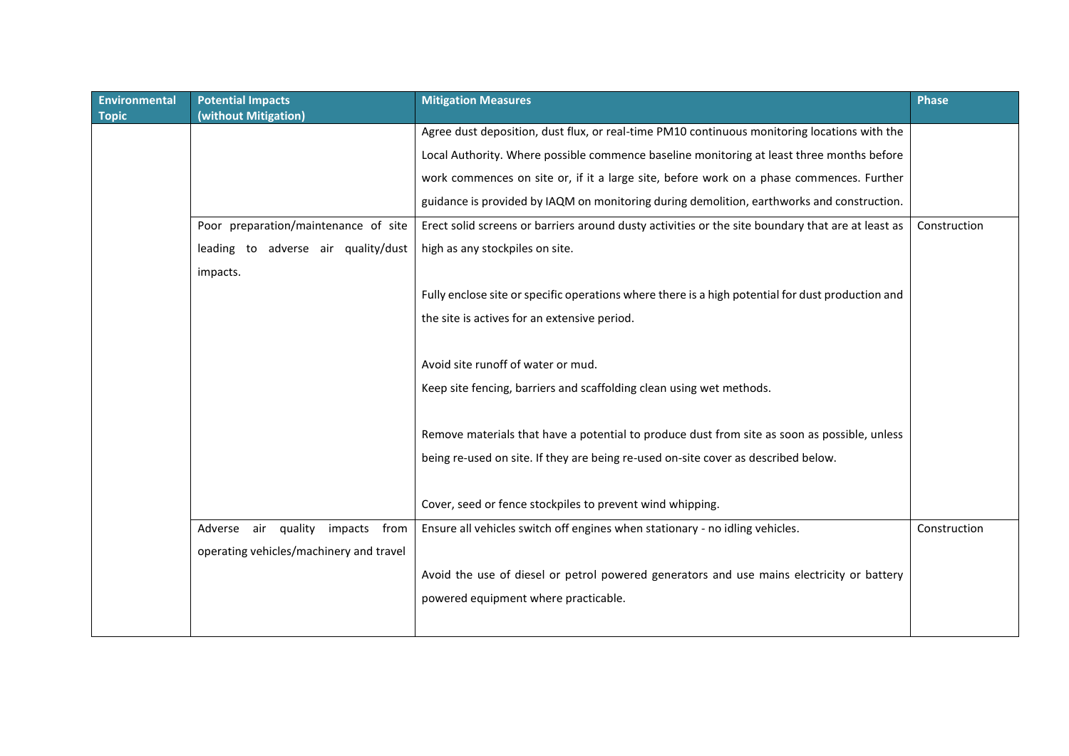| <b>Environmental</b> | <b>Potential Impacts</b>                  | <b>Mitigation Measures</b>                                                                        | <b>Phase</b> |
|----------------------|-------------------------------------------|---------------------------------------------------------------------------------------------------|--------------|
| <b>Topic</b>         | (without Mitigation)                      |                                                                                                   |              |
|                      |                                           | Agree dust deposition, dust flux, or real-time PM10 continuous monitoring locations with the      |              |
|                      |                                           | Local Authority. Where possible commence baseline monitoring at least three months before         |              |
|                      |                                           | work commences on site or, if it a large site, before work on a phase commences. Further          |              |
|                      |                                           | guidance is provided by IAQM on monitoring during demolition, earthworks and construction.        |              |
|                      | Poor preparation/maintenance of site      | Erect solid screens or barriers around dusty activities or the site boundary that are at least as | Construction |
|                      | leading to adverse air quality/dust       | high as any stockpiles on site.                                                                   |              |
|                      | impacts.                                  |                                                                                                   |              |
|                      |                                           | Fully enclose site or specific operations where there is a high potential for dust production and |              |
|                      |                                           | the site is actives for an extensive period.                                                      |              |
|                      |                                           |                                                                                                   |              |
|                      |                                           | Avoid site runoff of water or mud.                                                                |              |
|                      |                                           | Keep site fencing, barriers and scaffolding clean using wet methods.                              |              |
|                      |                                           |                                                                                                   |              |
|                      |                                           | Remove materials that have a potential to produce dust from site as soon as possible, unless      |              |
|                      |                                           | being re-used on site. If they are being re-used on-site cover as described below.                |              |
|                      |                                           |                                                                                                   |              |
|                      |                                           | Cover, seed or fence stockpiles to prevent wind whipping.                                         |              |
|                      | air quality<br>Adverse<br>impacts<br>from | Ensure all vehicles switch off engines when stationary - no idling vehicles.                      | Construction |
|                      | operating vehicles/machinery and travel   |                                                                                                   |              |
|                      |                                           | Avoid the use of diesel or petrol powered generators and use mains electricity or battery         |              |
|                      |                                           | powered equipment where practicable.                                                              |              |
|                      |                                           |                                                                                                   |              |
|                      |                                           |                                                                                                   |              |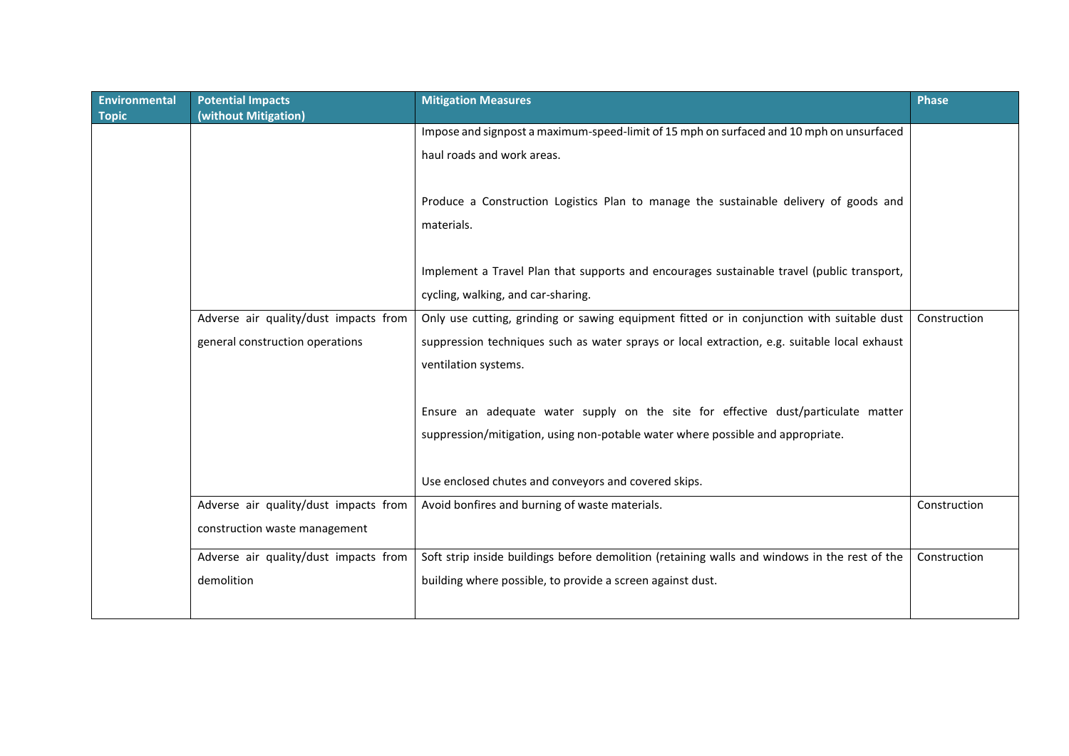| <b>Environmental</b><br><b>Topic</b> | <b>Potential Impacts</b><br>(without Mitigation) | <b>Mitigation Measures</b>                                                                    | <b>Phase</b> |
|--------------------------------------|--------------------------------------------------|-----------------------------------------------------------------------------------------------|--------------|
|                                      |                                                  | Impose and signpost a maximum-speed-limit of 15 mph on surfaced and 10 mph on unsurfaced      |              |
|                                      |                                                  | haul roads and work areas.                                                                    |              |
|                                      |                                                  |                                                                                               |              |
|                                      |                                                  | Produce a Construction Logistics Plan to manage the sustainable delivery of goods and         |              |
|                                      |                                                  | materials.                                                                                    |              |
|                                      |                                                  |                                                                                               |              |
|                                      |                                                  | Implement a Travel Plan that supports and encourages sustainable travel (public transport,    |              |
|                                      |                                                  | cycling, walking, and car-sharing.                                                            |              |
|                                      | Adverse air quality/dust impacts from            | Only use cutting, grinding or sawing equipment fitted or in conjunction with suitable dust    | Construction |
|                                      | general construction operations                  | suppression techniques such as water sprays or local extraction, e.g. suitable local exhaust  |              |
|                                      |                                                  | ventilation systems.                                                                          |              |
|                                      |                                                  |                                                                                               |              |
|                                      |                                                  | Ensure an adequate water supply on the site for effective dust/particulate matter             |              |
|                                      |                                                  | suppression/mitigation, using non-potable water where possible and appropriate.               |              |
|                                      |                                                  |                                                                                               |              |
|                                      |                                                  | Use enclosed chutes and conveyors and covered skips.                                          |              |
|                                      | Adverse air quality/dust impacts from            | Avoid bonfires and burning of waste materials.                                                | Construction |
|                                      | construction waste management                    |                                                                                               |              |
|                                      | Adverse air quality/dust impacts from            | Soft strip inside buildings before demolition (retaining walls and windows in the rest of the | Construction |
|                                      | demolition                                       | building where possible, to provide a screen against dust.                                    |              |
|                                      |                                                  |                                                                                               |              |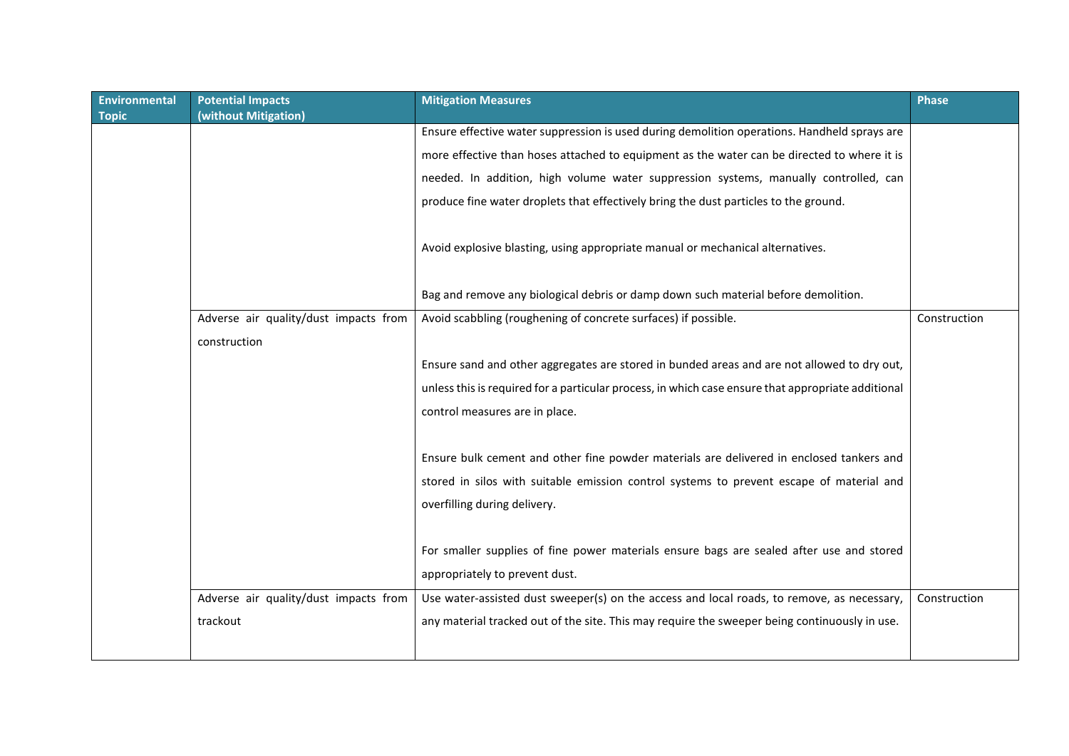| <b>Environmental</b><br><b>Topic</b> | <b>Potential Impacts</b><br>(without Mitigation) | <b>Mitigation Measures</b>                                                                         | <b>Phase</b> |
|--------------------------------------|--------------------------------------------------|----------------------------------------------------------------------------------------------------|--------------|
|                                      |                                                  | Ensure effective water suppression is used during demolition operations. Handheld sprays are       |              |
|                                      |                                                  | more effective than hoses attached to equipment as the water can be directed to where it is        |              |
|                                      |                                                  | needed. In addition, high volume water suppression systems, manually controlled, can               |              |
|                                      |                                                  | produce fine water droplets that effectively bring the dust particles to the ground.               |              |
|                                      |                                                  | Avoid explosive blasting, using appropriate manual or mechanical alternatives.                     |              |
|                                      |                                                  | Bag and remove any biological debris or damp down such material before demolition.                 |              |
|                                      | Adverse air quality/dust impacts from            | Avoid scabbling (roughening of concrete surfaces) if possible.                                     | Construction |
|                                      | construction                                     |                                                                                                    |              |
|                                      |                                                  | Ensure sand and other aggregates are stored in bunded areas and are not allowed to dry out,        |              |
|                                      |                                                  | unless this is required for a particular process, in which case ensure that appropriate additional |              |
|                                      |                                                  | control measures are in place.                                                                     |              |
|                                      |                                                  |                                                                                                    |              |
|                                      |                                                  | Ensure bulk cement and other fine powder materials are delivered in enclosed tankers and           |              |
|                                      |                                                  | stored in silos with suitable emission control systems to prevent escape of material and           |              |
|                                      |                                                  | overfilling during delivery.                                                                       |              |
|                                      |                                                  |                                                                                                    |              |
|                                      |                                                  | For smaller supplies of fine power materials ensure bags are sealed after use and stored           |              |
|                                      |                                                  | appropriately to prevent dust.                                                                     |              |
|                                      | Adverse air quality/dust impacts from            | Use water-assisted dust sweeper(s) on the access and local roads, to remove, as necessary,         | Construction |
|                                      | trackout                                         | any material tracked out of the site. This may require the sweeper being continuously in use.      |              |
|                                      |                                                  |                                                                                                    |              |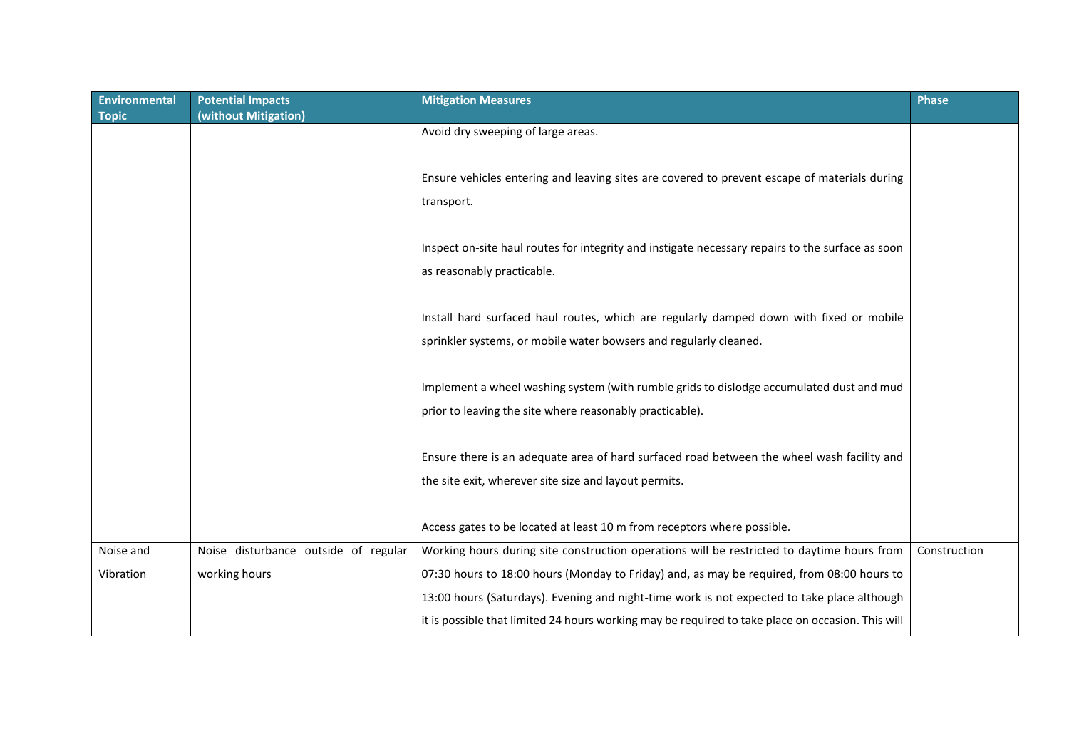| <b>Environmental</b><br><b>Topic</b> | <b>Potential Impacts</b><br>(without Mitigation)      | <b>Mitigation Measures</b>                                                                                                                                                                       | <b>Phase</b> |
|--------------------------------------|-------------------------------------------------------|--------------------------------------------------------------------------------------------------------------------------------------------------------------------------------------------------|--------------|
|                                      |                                                       | Avoid dry sweeping of large areas.                                                                                                                                                               |              |
|                                      |                                                       | Ensure vehicles entering and leaving sites are covered to prevent escape of materials during<br>transport.                                                                                       |              |
|                                      |                                                       | Inspect on-site haul routes for integrity and instigate necessary repairs to the surface as soon<br>as reasonably practicable.                                                                   |              |
|                                      |                                                       | Install hard surfaced haul routes, which are regularly damped down with fixed or mobile<br>sprinkler systems, or mobile water bowsers and regularly cleaned.                                     |              |
|                                      |                                                       | Implement a wheel washing system (with rumble grids to dislodge accumulated dust and mud<br>prior to leaving the site where reasonably practicable).                                             |              |
|                                      |                                                       | Ensure there is an adequate area of hard surfaced road between the wheel wash facility and<br>the site exit, wherever site size and layout permits.                                              |              |
|                                      |                                                       | Access gates to be located at least 10 m from receptors where possible.                                                                                                                          |              |
| Noise and<br>Vibration               | Noise disturbance outside of regular<br>working hours | Working hours during site construction operations will be restricted to daytime hours from<br>07:30 hours to 18:00 hours (Monday to Friday) and, as may be required, from 08:00 hours to         | Construction |
|                                      |                                                       | 13:00 hours (Saturdays). Evening and night-time work is not expected to take place although<br>it is possible that limited 24 hours working may be required to take place on occasion. This will |              |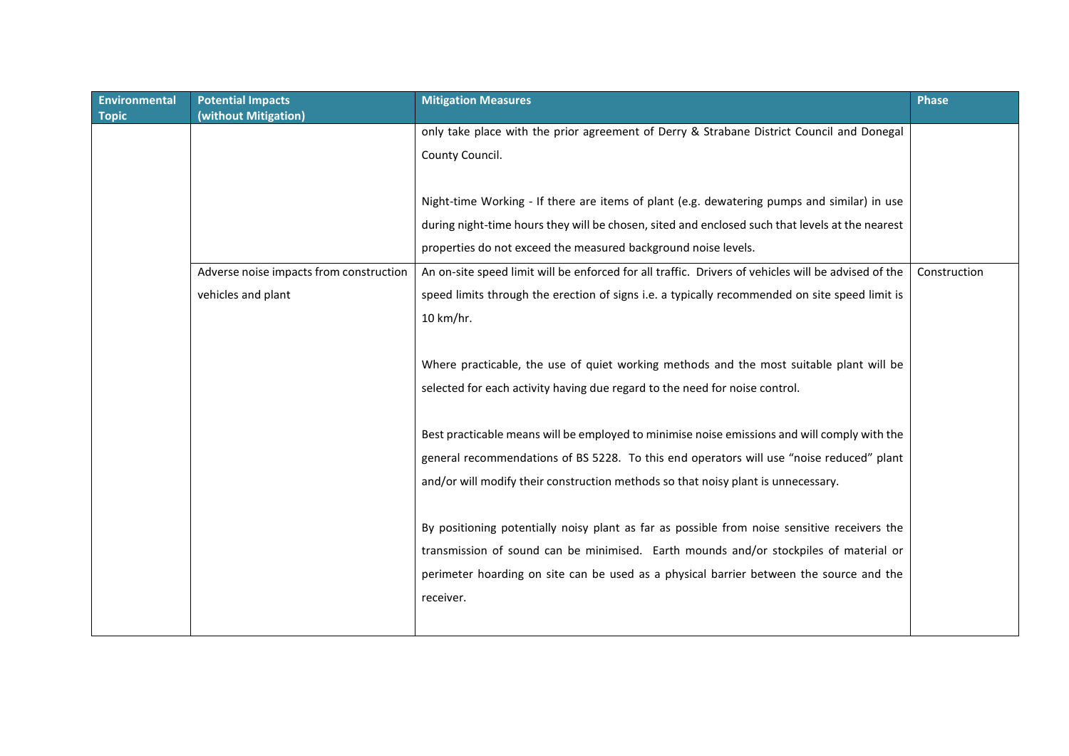| <b>Environmental</b> | <b>Potential Impacts</b>                | <b>Mitigation Measures</b>                                                                          | <b>Phase</b> |
|----------------------|-----------------------------------------|-----------------------------------------------------------------------------------------------------|--------------|
| <b>Topic</b>         | (without Mitigation)                    |                                                                                                     |              |
|                      |                                         | only take place with the prior agreement of Derry & Strabane District Council and Donegal           |              |
|                      |                                         | County Council.                                                                                     |              |
|                      |                                         |                                                                                                     |              |
|                      |                                         | Night-time Working - If there are items of plant (e.g. dewatering pumps and similar) in use         |              |
|                      |                                         | during night-time hours they will be chosen, sited and enclosed such that levels at the nearest     |              |
|                      |                                         | properties do not exceed the measured background noise levels.                                      |              |
|                      | Adverse noise impacts from construction | An on-site speed limit will be enforced for all traffic. Drivers of vehicles will be advised of the | Construction |
|                      | vehicles and plant                      | speed limits through the erection of signs i.e. a typically recommended on site speed limit is      |              |
|                      |                                         | 10 km/hr.                                                                                           |              |
|                      |                                         |                                                                                                     |              |
|                      |                                         | Where practicable, the use of quiet working methods and the most suitable plant will be             |              |
|                      |                                         | selected for each activity having due regard to the need for noise control.                         |              |
|                      |                                         |                                                                                                     |              |
|                      |                                         | Best practicable means will be employed to minimise noise emissions and will comply with the        |              |
|                      |                                         | general recommendations of BS 5228. To this end operators will use "noise reduced" plant            |              |
|                      |                                         | and/or will modify their construction methods so that noisy plant is unnecessary.                   |              |
|                      |                                         |                                                                                                     |              |
|                      |                                         | By positioning potentially noisy plant as far as possible from noise sensitive receivers the        |              |
|                      |                                         |                                                                                                     |              |
|                      |                                         | transmission of sound can be minimised. Earth mounds and/or stockpiles of material or               |              |
|                      |                                         | perimeter hoarding on site can be used as a physical barrier between the source and the             |              |
|                      |                                         | receiver.                                                                                           |              |
|                      |                                         |                                                                                                     |              |
|                      |                                         |                                                                                                     |              |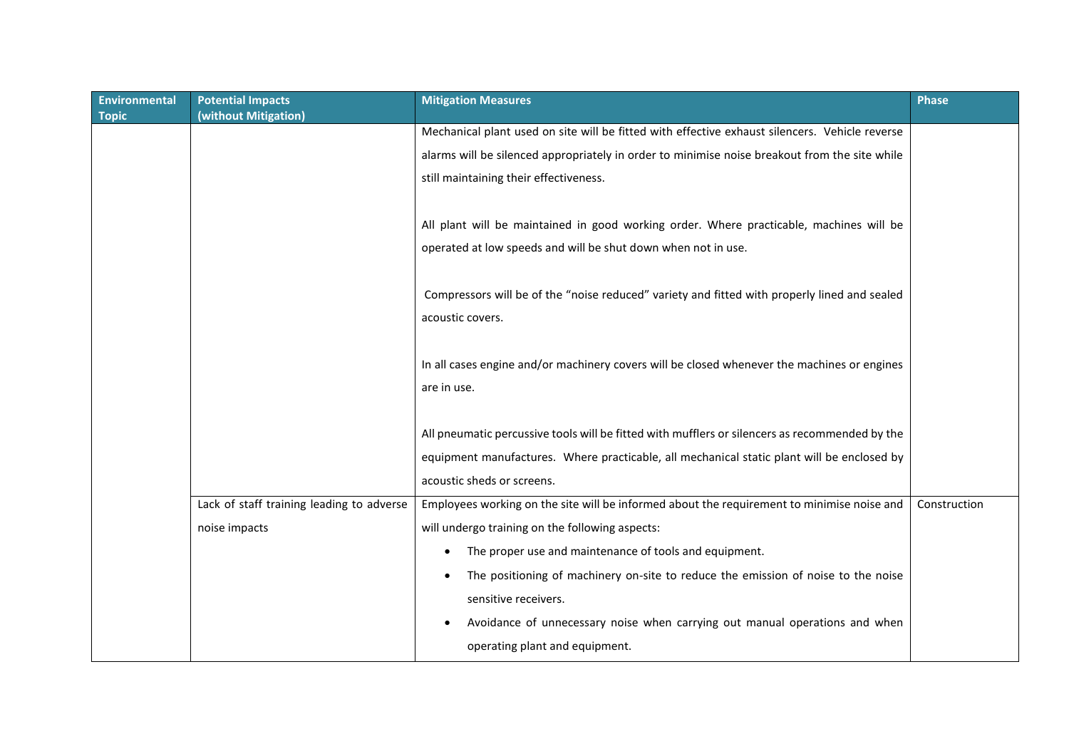| <b>Environmental</b><br>Topic | <b>Potential Impacts</b><br>(without Mitigation) | <b>Mitigation Measures</b>                                                                     | <b>Phase</b> |
|-------------------------------|--------------------------------------------------|------------------------------------------------------------------------------------------------|--------------|
|                               |                                                  | Mechanical plant used on site will be fitted with effective exhaust silencers. Vehicle reverse |              |
|                               |                                                  | alarms will be silenced appropriately in order to minimise noise breakout from the site while  |              |
|                               |                                                  | still maintaining their effectiveness.                                                         |              |
|                               |                                                  |                                                                                                |              |
|                               |                                                  | All plant will be maintained in good working order. Where practicable, machines will be        |              |
|                               |                                                  | operated at low speeds and will be shut down when not in use.                                  |              |
|                               |                                                  |                                                                                                |              |
|                               |                                                  | Compressors will be of the "noise reduced" variety and fitted with properly lined and sealed   |              |
|                               |                                                  | acoustic covers.                                                                               |              |
|                               |                                                  |                                                                                                |              |
|                               |                                                  | In all cases engine and/or machinery covers will be closed whenever the machines or engines    |              |
|                               |                                                  | are in use.                                                                                    |              |
|                               |                                                  |                                                                                                |              |
|                               |                                                  | All pneumatic percussive tools will be fitted with mufflers or silencers as recommended by the |              |
|                               |                                                  | equipment manufactures. Where practicable, all mechanical static plant will be enclosed by     |              |
|                               |                                                  | acoustic sheds or screens.                                                                     |              |
|                               | Lack of staff training leading to adverse        | Employees working on the site will be informed about the requirement to minimise noise and     | Construction |
|                               | noise impacts                                    | will undergo training on the following aspects:                                                |              |
|                               |                                                  | The proper use and maintenance of tools and equipment.<br>$\bullet$                            |              |
|                               |                                                  | The positioning of machinery on-site to reduce the emission of noise to the noise              |              |
|                               |                                                  | sensitive receivers.                                                                           |              |
|                               |                                                  | Avoidance of unnecessary noise when carrying out manual operations and when                    |              |
|                               |                                                  | operating plant and equipment.                                                                 |              |
|                               |                                                  |                                                                                                |              |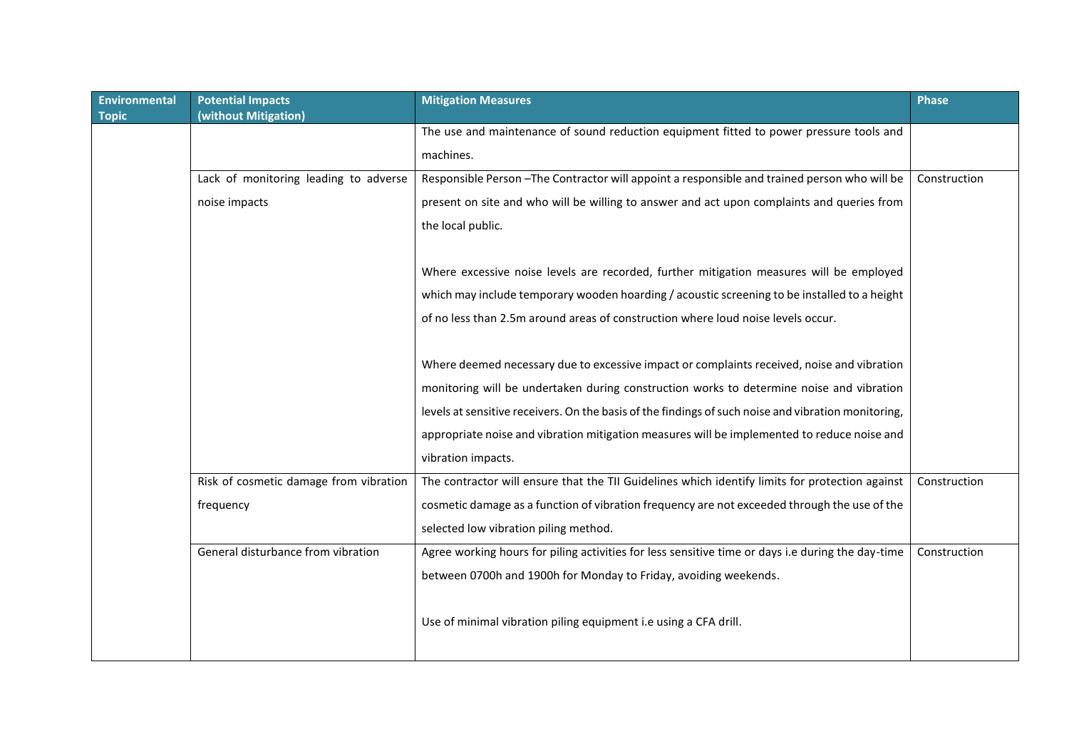| <b>Environmental</b> | <b>Potential Impacts</b>               | <b>Mitigation Measures</b>                                                                          | <b>Phase</b> |
|----------------------|----------------------------------------|-----------------------------------------------------------------------------------------------------|--------------|
| <b>Topic</b>         | (without Mitigation)                   |                                                                                                     |              |
|                      |                                        | The use and maintenance of sound reduction equipment fitted to power pressure tools and             |              |
|                      |                                        | machines.                                                                                           |              |
|                      | Lack of monitoring leading to adverse  | Responsible Person - The Contractor will appoint a responsible and trained person who will be       | Construction |
|                      | noise impacts                          | present on site and who will be willing to answer and act upon complaints and queries from          |              |
|                      |                                        | the local public.                                                                                   |              |
|                      |                                        |                                                                                                     |              |
|                      |                                        | Where excessive noise levels are recorded, further mitigation measures will be employed             |              |
|                      |                                        | which may include temporary wooden hoarding / acoustic screening to be installed to a height        |              |
|                      |                                        | of no less than 2.5m around areas of construction where loud noise levels occur.                    |              |
|                      |                                        |                                                                                                     |              |
|                      |                                        | Where deemed necessary due to excessive impact or complaints received, noise and vibration          |              |
|                      |                                        | monitoring will be undertaken during construction works to determine noise and vibration            |              |
|                      |                                        | levels at sensitive receivers. On the basis of the findings of such noise and vibration monitoring, |              |
|                      |                                        | appropriate noise and vibration mitigation measures will be implemented to reduce noise and         |              |
|                      |                                        | vibration impacts.                                                                                  |              |
|                      | Risk of cosmetic damage from vibration | The contractor will ensure that the TII Guidelines which identify limits for protection against     | Construction |
|                      | frequency                              | cosmetic damage as a function of vibration frequency are not exceeded through the use of the        |              |
|                      |                                        | selected low vibration piling method.                                                               |              |
|                      | General disturbance from vibration     | Agree working hours for piling activities for less sensitive time or days i.e during the day-time   | Construction |
|                      |                                        | between 0700h and 1900h for Monday to Friday, avoiding weekends.                                    |              |
|                      |                                        | Use of minimal vibration piling equipment i.e using a CFA drill.                                    |              |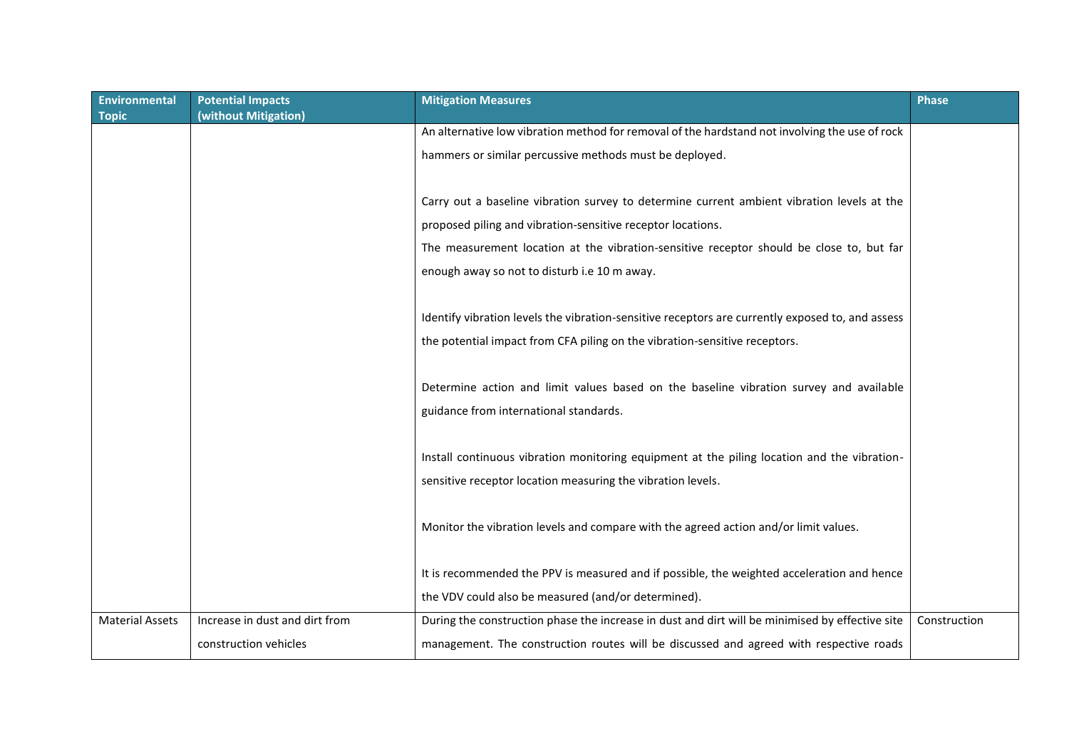| <b>Environmental</b><br><b>Topic</b> | <b>Potential Impacts</b><br>(without Mitigation) | <b>Mitigation Measures</b>                                                                       | Phase        |
|--------------------------------------|--------------------------------------------------|--------------------------------------------------------------------------------------------------|--------------|
|                                      |                                                  | An alternative low vibration method for removal of the hardstand not involving the use of rock   |              |
|                                      |                                                  | hammers or similar percussive methods must be deployed.                                          |              |
|                                      |                                                  |                                                                                                  |              |
|                                      |                                                  | Carry out a baseline vibration survey to determine current ambient vibration levels at the       |              |
|                                      |                                                  | proposed piling and vibration-sensitive receptor locations.                                      |              |
|                                      |                                                  | The measurement location at the vibration-sensitive receptor should be close to, but far         |              |
|                                      |                                                  | enough away so not to disturb i.e 10 m away.                                                     |              |
|                                      |                                                  |                                                                                                  |              |
|                                      |                                                  | Identify vibration levels the vibration-sensitive receptors are currently exposed to, and assess |              |
|                                      |                                                  | the potential impact from CFA piling on the vibration-sensitive receptors.                       |              |
|                                      |                                                  |                                                                                                  |              |
|                                      |                                                  | Determine action and limit values based on the baseline vibration survey and available           |              |
|                                      |                                                  | guidance from international standards.                                                           |              |
|                                      |                                                  |                                                                                                  |              |
|                                      |                                                  | Install continuous vibration monitoring equipment at the piling location and the vibration-      |              |
|                                      |                                                  | sensitive receptor location measuring the vibration levels.                                      |              |
|                                      |                                                  |                                                                                                  |              |
|                                      |                                                  | Monitor the vibration levels and compare with the agreed action and/or limit values.             |              |
|                                      |                                                  |                                                                                                  |              |
|                                      |                                                  | It is recommended the PPV is measured and if possible, the weighted acceleration and hence       |              |
|                                      |                                                  | the VDV could also be measured (and/or determined).                                              |              |
| <b>Material Assets</b>               | Increase in dust and dirt from                   | During the construction phase the increase in dust and dirt will be minimised by effective site  | Construction |
|                                      | construction vehicles                            | management. The construction routes will be discussed and agreed with respective roads           |              |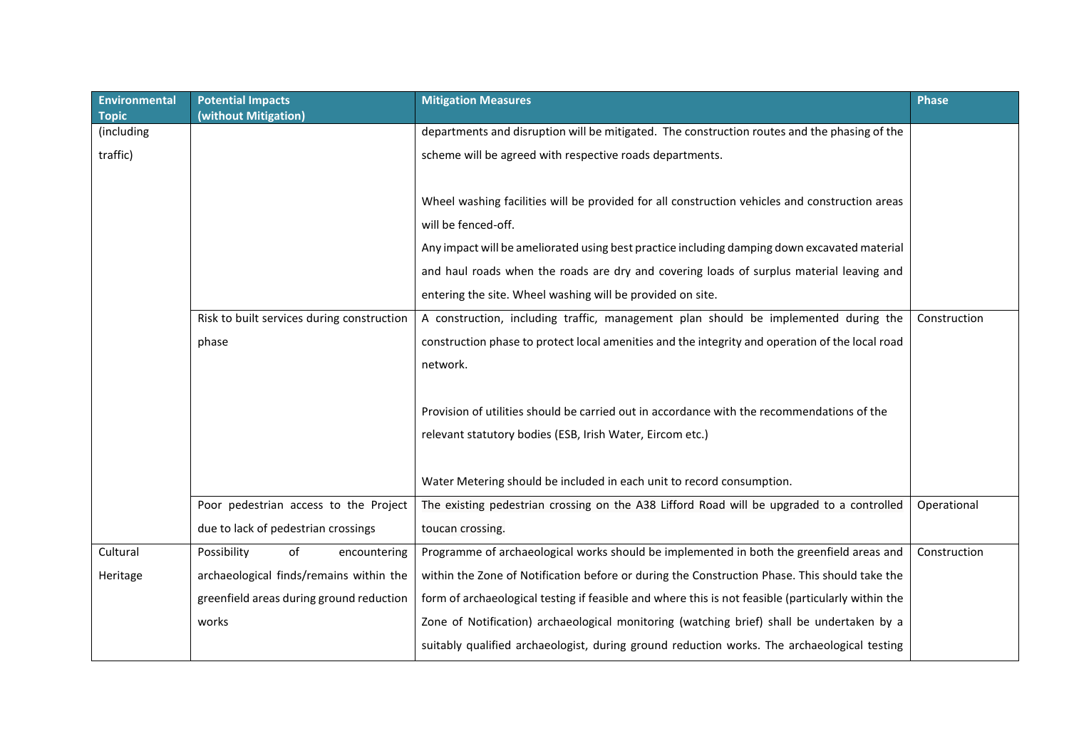| <b>Environmental</b><br><b>Topic</b> | <b>Potential Impacts</b><br>(without Mitigation) | <b>Mitigation Measures</b>                                                                         | Phase        |
|--------------------------------------|--------------------------------------------------|----------------------------------------------------------------------------------------------------|--------------|
| (including                           |                                                  | departments and disruption will be mitigated. The construction routes and the phasing of the       |              |
| traffic)                             |                                                  | scheme will be agreed with respective roads departments.                                           |              |
|                                      |                                                  |                                                                                                    |              |
|                                      |                                                  | Wheel washing facilities will be provided for all construction vehicles and construction areas     |              |
|                                      |                                                  | will be fenced-off.                                                                                |              |
|                                      |                                                  | Any impact will be ameliorated using best practice including damping down excavated material       |              |
|                                      |                                                  | and haul roads when the roads are dry and covering loads of surplus material leaving and           |              |
|                                      |                                                  | entering the site. Wheel washing will be provided on site.                                         |              |
|                                      | Risk to built services during construction       | A construction, including traffic, management plan should be implemented during the                | Construction |
|                                      | phase                                            | construction phase to protect local amenities and the integrity and operation of the local road    |              |
|                                      |                                                  | network.                                                                                           |              |
|                                      |                                                  |                                                                                                    |              |
|                                      |                                                  | Provision of utilities should be carried out in accordance with the recommendations of the         |              |
|                                      |                                                  | relevant statutory bodies (ESB, Irish Water, Eircom etc.)                                          |              |
|                                      |                                                  |                                                                                                    |              |
|                                      |                                                  | Water Metering should be included in each unit to record consumption.                              |              |
|                                      | Poor pedestrian access to the Project            | The existing pedestrian crossing on the A38 Lifford Road will be upgraded to a controlled          | Operational  |
|                                      | due to lack of pedestrian crossings              | toucan crossing.                                                                                   |              |
| Cultural                             | of<br>Possibility<br>encountering                | Programme of archaeological works should be implemented in both the greenfield areas and           | Construction |
| Heritage                             | archaeological finds/remains within the          | within the Zone of Notification before or during the Construction Phase. This should take the      |              |
|                                      | greenfield areas during ground reduction         | form of archaeological testing if feasible and where this is not feasible (particularly within the |              |
|                                      | works                                            | Zone of Notification) archaeological monitoring (watching brief) shall be undertaken by a          |              |
|                                      |                                                  | suitably qualified archaeologist, during ground reduction works. The archaeological testing        |              |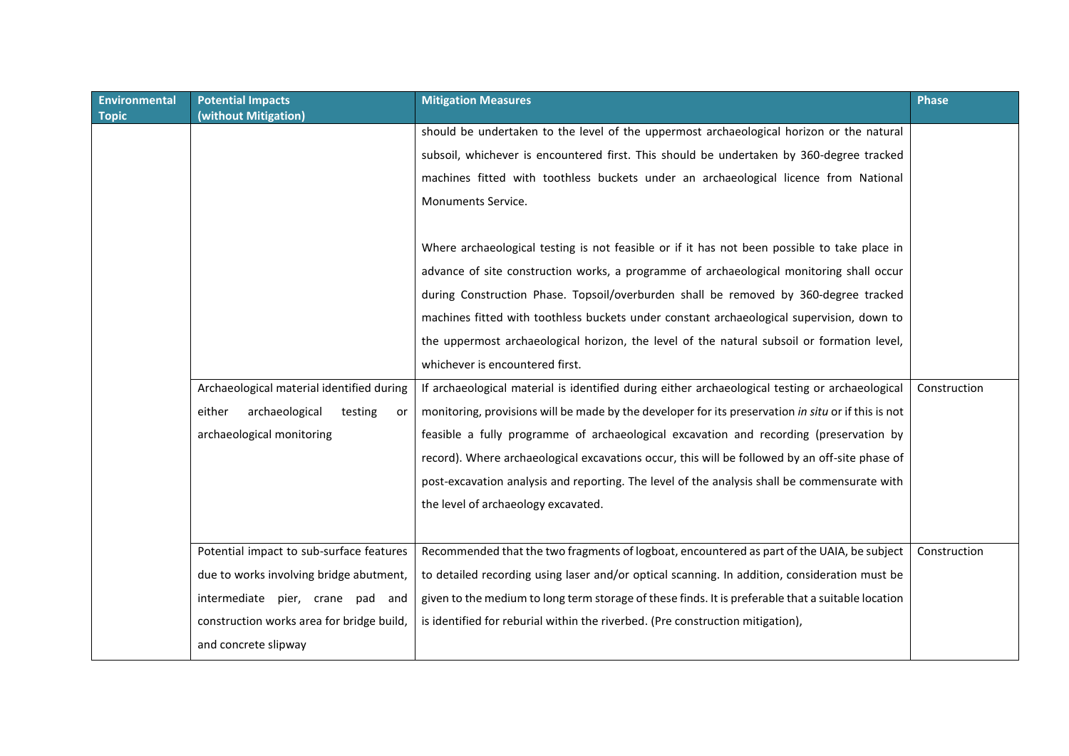| Environmental<br><b>Topic</b> | <b>Potential Impacts</b><br>(without Mitigation) | <b>Mitigation Measures</b>                                                                          | Phase        |
|-------------------------------|--------------------------------------------------|-----------------------------------------------------------------------------------------------------|--------------|
|                               |                                                  | should be undertaken to the level of the uppermost archaeological horizon or the natural            |              |
|                               |                                                  | subsoil, whichever is encountered first. This should be undertaken by 360-degree tracked            |              |
|                               |                                                  | machines fitted with toothless buckets under an archaeological licence from National                |              |
|                               |                                                  | Monuments Service.                                                                                  |              |
|                               |                                                  |                                                                                                     |              |
|                               |                                                  | Where archaeological testing is not feasible or if it has not been possible to take place in        |              |
|                               |                                                  | advance of site construction works, a programme of archaeological monitoring shall occur            |              |
|                               |                                                  | during Construction Phase. Topsoil/overburden shall be removed by 360-degree tracked                |              |
|                               |                                                  | machines fitted with toothless buckets under constant archaeological supervision, down to           |              |
|                               |                                                  | the uppermost archaeological horizon, the level of the natural subsoil or formation level,          |              |
|                               |                                                  | whichever is encountered first.                                                                     |              |
|                               | Archaeological material identified during        | If archaeological material is identified during either archaeological testing or archaeological     | Construction |
|                               | archaeological<br>either<br>testing<br>or        | monitoring, provisions will be made by the developer for its preservation in situ or if this is not |              |
|                               | archaeological monitoring                        | feasible a fully programme of archaeological excavation and recording (preservation by              |              |
|                               |                                                  | record). Where archaeological excavations occur, this will be followed by an off-site phase of      |              |
|                               |                                                  | post-excavation analysis and reporting. The level of the analysis shall be commensurate with        |              |
|                               |                                                  | the level of archaeology excavated.                                                                 |              |
|                               |                                                  |                                                                                                     |              |
|                               | Potential impact to sub-surface features         | Recommended that the two fragments of logboat, encountered as part of the UAIA, be subject          | Construction |
|                               | due to works involving bridge abutment,          | to detailed recording using laser and/or optical scanning. In addition, consideration must be       |              |
|                               | intermediate pier, crane pad and                 | given to the medium to long term storage of these finds. It is preferable that a suitable location  |              |
|                               | construction works area for bridge build,        | is identified for reburial within the riverbed. (Pre construction mitigation),                      |              |
|                               | and concrete slipway                             |                                                                                                     |              |
|                               |                                                  |                                                                                                     |              |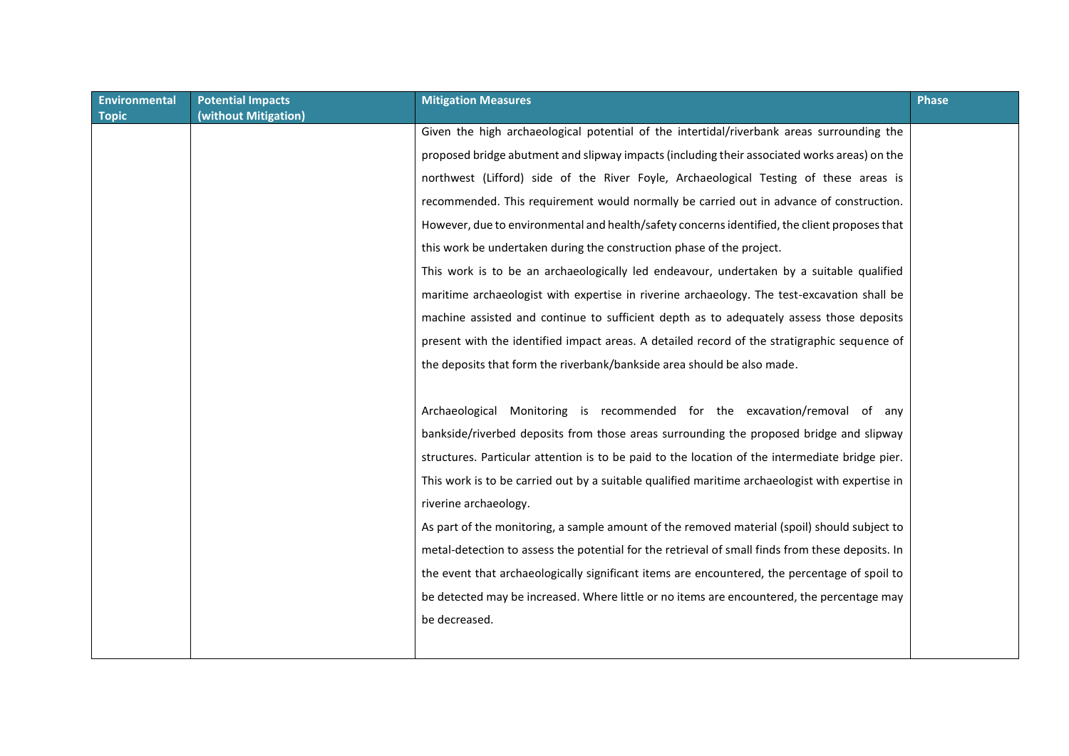| <b>Mitigation Measures</b>                                                                       | <b>Phase</b>                                                                              |
|--------------------------------------------------------------------------------------------------|-------------------------------------------------------------------------------------------|
|                                                                                                  |                                                                                           |
|                                                                                                  |                                                                                           |
| proposed bridge abutment and slipway impacts (including their associated works areas) on the     |                                                                                           |
| northwest (Lifford) side of the River Foyle, Archaeological Testing of these areas is            |                                                                                           |
| recommended. This requirement would normally be carried out in advance of construction.          |                                                                                           |
| However, due to environmental and health/safety concerns identified, the client proposes that    |                                                                                           |
| this work be undertaken during the construction phase of the project.                            |                                                                                           |
| This work is to be an archaeologically led endeavour, undertaken by a suitable qualified         |                                                                                           |
| maritime archaeologist with expertise in riverine archaeology. The test-excavation shall be      |                                                                                           |
| machine assisted and continue to sufficient depth as to adequately assess those deposits         |                                                                                           |
| present with the identified impact areas. A detailed record of the stratigraphic sequence of     |                                                                                           |
| the deposits that form the riverbank/bankside area should be also made.                          |                                                                                           |
|                                                                                                  |                                                                                           |
| Archaeological Monitoring is recommended for the excavation/removal of any                       |                                                                                           |
| bankside/riverbed deposits from those areas surrounding the proposed bridge and slipway          |                                                                                           |
| structures. Particular attention is to be paid to the location of the intermediate bridge pier.  |                                                                                           |
| This work is to be carried out by a suitable qualified maritime archaeologist with expertise in  |                                                                                           |
| riverine archaeology.                                                                            |                                                                                           |
| As part of the monitoring, a sample amount of the removed material (spoil) should subject to     |                                                                                           |
| metal-detection to assess the potential for the retrieval of small finds from these deposits. In |                                                                                           |
| the event that archaeologically significant items are encountered, the percentage of spoil to    |                                                                                           |
| be detected may be increased. Where little or no items are encountered, the percentage may       |                                                                                           |
| be decreased.                                                                                    |                                                                                           |
|                                                                                                  |                                                                                           |
|                                                                                                  | Given the high archaeological potential of the intertidal/riverbank areas surrounding the |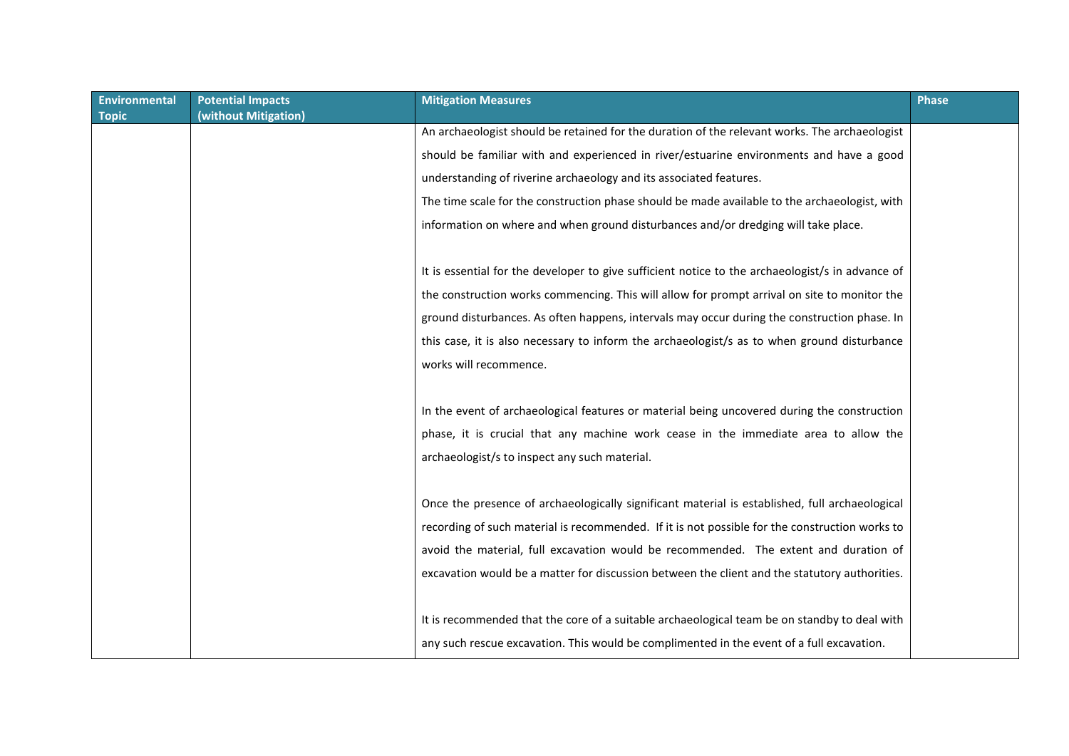| <b>Environmental</b> | <b>Potential Impacts</b> | <b>Mitigation Measures</b>                                                                       | <b>Phase</b> |
|----------------------|--------------------------|--------------------------------------------------------------------------------------------------|--------------|
| <b>Topic</b>         | (without Mitigation)     |                                                                                                  |              |
|                      |                          | An archaeologist should be retained for the duration of the relevant works. The archaeologist    |              |
|                      |                          | should be familiar with and experienced in river/estuarine environments and have a good          |              |
|                      |                          | understanding of riverine archaeology and its associated features.                               |              |
|                      |                          | The time scale for the construction phase should be made available to the archaeologist, with    |              |
|                      |                          | information on where and when ground disturbances and/or dredging will take place.               |              |
|                      |                          | It is essential for the developer to give sufficient notice to the archaeologist/s in advance of |              |
|                      |                          | the construction works commencing. This will allow for prompt arrival on site to monitor the     |              |
|                      |                          | ground disturbances. As often happens, intervals may occur during the construction phase. In     |              |
|                      |                          | this case, it is also necessary to inform the archaeologist/s as to when ground disturbance      |              |
|                      |                          |                                                                                                  |              |
|                      |                          | works will recommence.                                                                           |              |
|                      |                          |                                                                                                  |              |
|                      |                          | In the event of archaeological features or material being uncovered during the construction      |              |
|                      |                          | phase, it is crucial that any machine work cease in the immediate area to allow the              |              |
|                      |                          | archaeologist/s to inspect any such material.                                                    |              |
|                      |                          |                                                                                                  |              |
|                      |                          | Once the presence of archaeologically significant material is established, full archaeological   |              |
|                      |                          | recording of such material is recommended. If it is not possible for the construction works to   |              |
|                      |                          | avoid the material, full excavation would be recommended. The extent and duration of             |              |
|                      |                          | excavation would be a matter for discussion between the client and the statutory authorities.    |              |
|                      |                          |                                                                                                  |              |
|                      |                          | It is recommended that the core of a suitable archaeological team be on standby to deal with     |              |
|                      |                          | any such rescue excavation. This would be complimented in the event of a full excavation.        |              |
|                      |                          |                                                                                                  |              |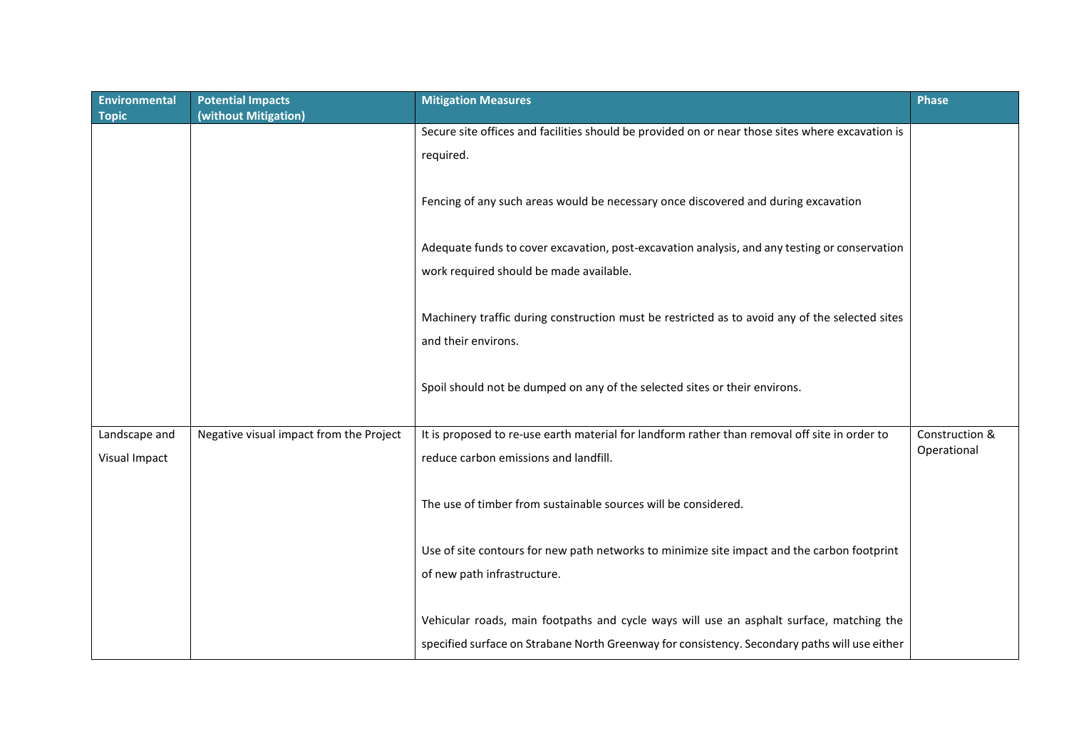| <b>Environmental</b><br><b>Topic</b> | <b>Potential Impacts</b><br>(without Mitigation) | <b>Mitigation Measures</b>                                                                                                                                                                | <b>Phase</b>                  |
|--------------------------------------|--------------------------------------------------|-------------------------------------------------------------------------------------------------------------------------------------------------------------------------------------------|-------------------------------|
|                                      |                                                  | Secure site offices and facilities should be provided on or near those sites where excavation is<br>required.                                                                             |                               |
|                                      |                                                  | Fencing of any such areas would be necessary once discovered and during excavation                                                                                                        |                               |
|                                      |                                                  | Adequate funds to cover excavation, post-excavation analysis, and any testing or conservation<br>work required should be made available.                                                  |                               |
|                                      |                                                  | Machinery traffic during construction must be restricted as to avoid any of the selected sites<br>and their environs.                                                                     |                               |
|                                      |                                                  | Spoil should not be dumped on any of the selected sites or their environs.                                                                                                                |                               |
| Landscape and<br>Visual Impact       | Negative visual impact from the Project          | It is proposed to re-use earth material for landform rather than removal off site in order to<br>reduce carbon emissions and landfill.                                                    | Construction &<br>Operational |
|                                      |                                                  | The use of timber from sustainable sources will be considered.                                                                                                                            |                               |
|                                      |                                                  | Use of site contours for new path networks to minimize site impact and the carbon footprint<br>of new path infrastructure.                                                                |                               |
|                                      |                                                  | Vehicular roads, main footpaths and cycle ways will use an asphalt surface, matching the<br>specified surface on Strabane North Greenway for consistency. Secondary paths will use either |                               |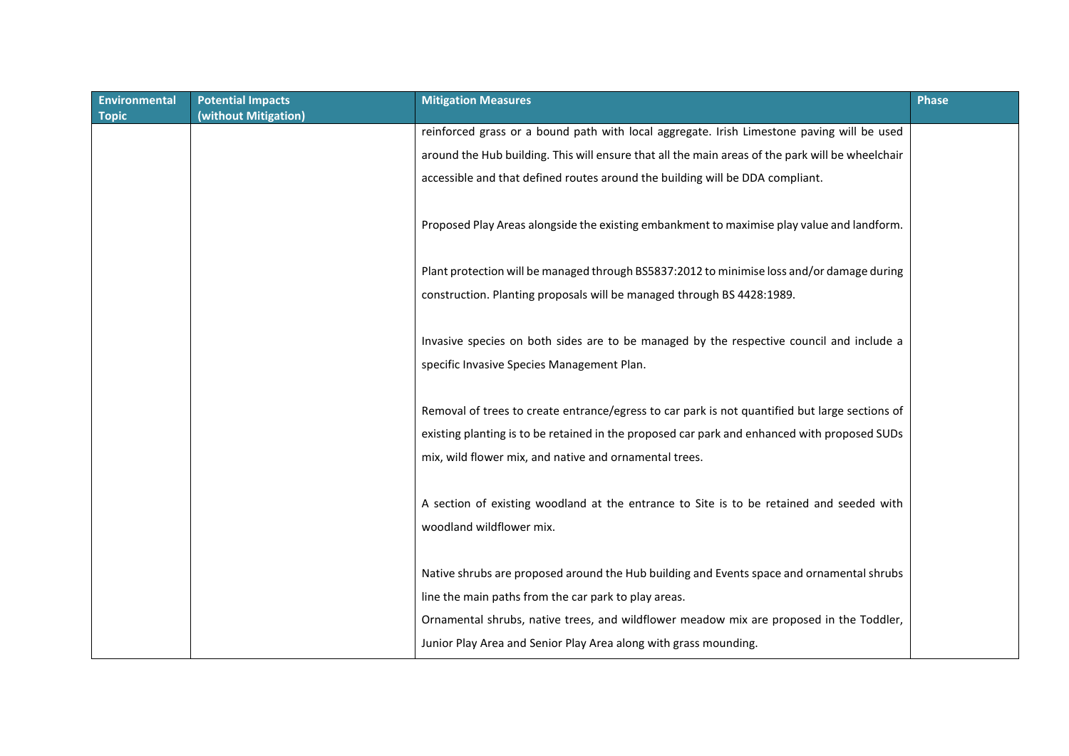| <b>Environmental</b> | <b>Potential Impacts</b> | <b>Mitigation Measures</b>                                                                       | <b>Phase</b> |
|----------------------|--------------------------|--------------------------------------------------------------------------------------------------|--------------|
| <b>Topic</b>         | (without Mitigation)     |                                                                                                  |              |
|                      |                          | reinforced grass or a bound path with local aggregate. Irish Limestone paving will be used       |              |
|                      |                          | around the Hub building. This will ensure that all the main areas of the park will be wheelchair |              |
|                      |                          | accessible and that defined routes around the building will be DDA compliant.                    |              |
|                      |                          |                                                                                                  |              |
|                      |                          | Proposed Play Areas alongside the existing embankment to maximise play value and landform.       |              |
|                      |                          |                                                                                                  |              |
|                      |                          | Plant protection will be managed through BS5837:2012 to minimise loss and/or damage during       |              |
|                      |                          | construction. Planting proposals will be managed through BS 4428:1989.                           |              |
|                      |                          |                                                                                                  |              |
|                      |                          | Invasive species on both sides are to be managed by the respective council and include a         |              |
|                      |                          | specific Invasive Species Management Plan.                                                       |              |
|                      |                          |                                                                                                  |              |
|                      |                          | Removal of trees to create entrance/egress to car park is not quantified but large sections of   |              |
|                      |                          | existing planting is to be retained in the proposed car park and enhanced with proposed SUDs     |              |
|                      |                          | mix, wild flower mix, and native and ornamental trees.                                           |              |
|                      |                          |                                                                                                  |              |
|                      |                          | A section of existing woodland at the entrance to Site is to be retained and seeded with         |              |
|                      |                          | woodland wildflower mix.                                                                         |              |
|                      |                          |                                                                                                  |              |
|                      |                          |                                                                                                  |              |
|                      |                          | Native shrubs are proposed around the Hub building and Events space and ornamental shrubs        |              |
|                      |                          | line the main paths from the car park to play areas.                                             |              |
|                      |                          | Ornamental shrubs, native trees, and wildflower meadow mix are proposed in the Toddler,          |              |
|                      |                          | Junior Play Area and Senior Play Area along with grass mounding.                                 |              |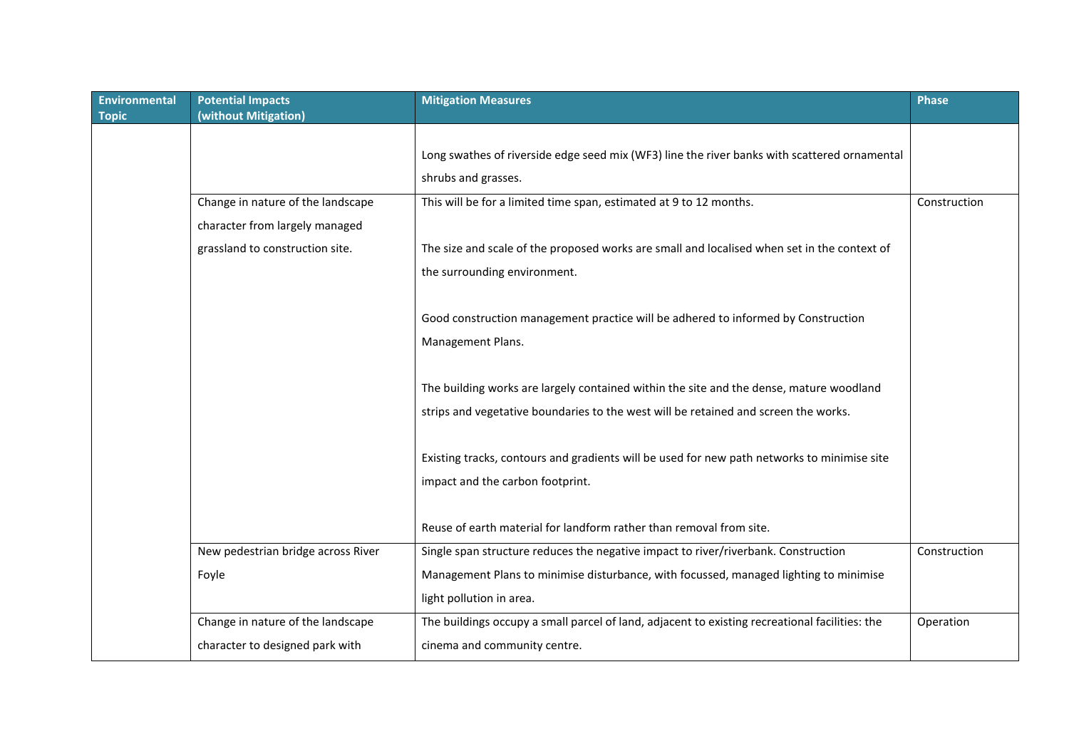| Environmental | <b>Potential Impacts</b>           | <b>Mitigation Measures</b>                                                                     | Phase        |
|---------------|------------------------------------|------------------------------------------------------------------------------------------------|--------------|
| <b>Topic</b>  | (without Mitigation)               |                                                                                                |              |
|               |                                    | Long swathes of riverside edge seed mix (WF3) line the river banks with scattered ornamental   |              |
|               |                                    | shrubs and grasses.                                                                            |              |
|               | Change in nature of the landscape  | This will be for a limited time span, estimated at 9 to 12 months.                             | Construction |
|               | character from largely managed     |                                                                                                |              |
|               | grassland to construction site.    | The size and scale of the proposed works are small and localised when set in the context of    |              |
|               |                                    | the surrounding environment.                                                                   |              |
|               |                                    |                                                                                                |              |
|               |                                    | Good construction management practice will be adhered to informed by Construction              |              |
|               |                                    | Management Plans.                                                                              |              |
|               |                                    |                                                                                                |              |
|               |                                    | The building works are largely contained within the site and the dense, mature woodland        |              |
|               |                                    | strips and vegetative boundaries to the west will be retained and screen the works.            |              |
|               |                                    |                                                                                                |              |
|               |                                    | Existing tracks, contours and gradients will be used for new path networks to minimise site    |              |
|               |                                    | impact and the carbon footprint.                                                               |              |
|               |                                    |                                                                                                |              |
|               |                                    | Reuse of earth material for landform rather than removal from site.                            |              |
|               | New pedestrian bridge across River | Single span structure reduces the negative impact to river/riverbank. Construction             | Construction |
|               | Foyle                              | Management Plans to minimise disturbance, with focussed, managed lighting to minimise          |              |
|               |                                    | light pollution in area.                                                                       |              |
|               | Change in nature of the landscape  | The buildings occupy a small parcel of land, adjacent to existing recreational facilities: the | Operation    |
|               | character to designed park with    | cinema and community centre.                                                                   |              |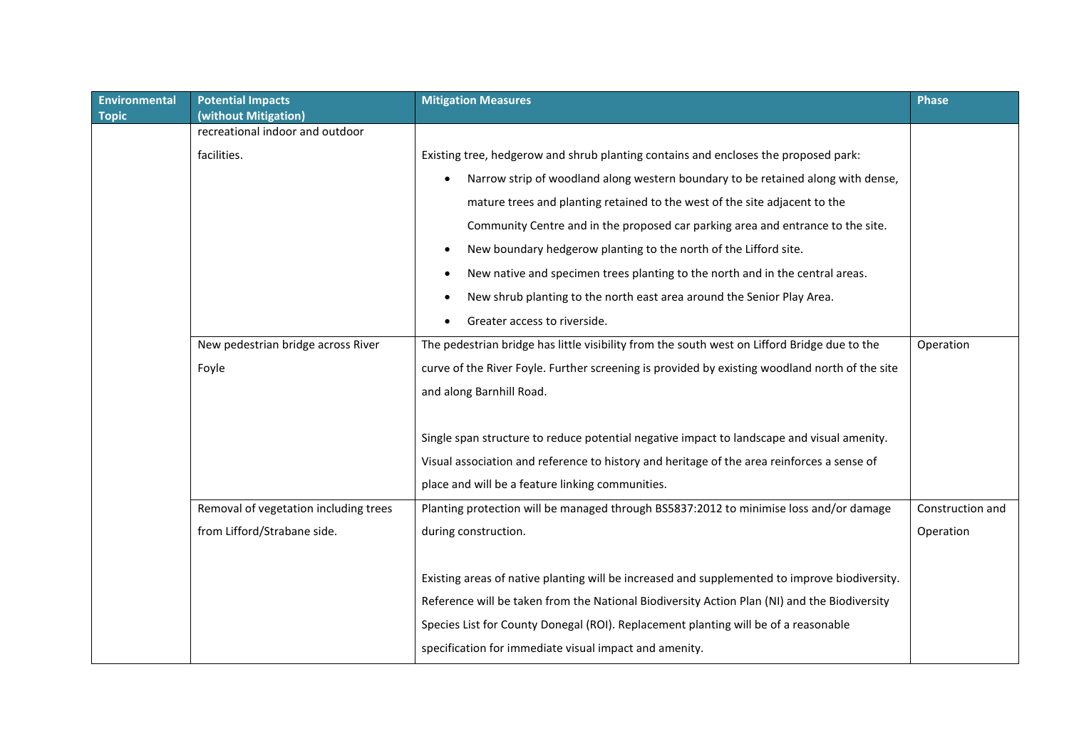| <b>Environmental</b><br><b>Topic</b> | <b>Potential Impacts</b><br>(without Mitigation) | <b>Mitigation Measures</b>                                                                     | <b>Phase</b>     |
|--------------------------------------|--------------------------------------------------|------------------------------------------------------------------------------------------------|------------------|
|                                      | recreational indoor and outdoor                  |                                                                                                |                  |
|                                      | facilities.                                      | Existing tree, hedgerow and shrub planting contains and encloses the proposed park:            |                  |
|                                      |                                                  | Narrow strip of woodland along western boundary to be retained along with dense,<br>$\bullet$  |                  |
|                                      |                                                  | mature trees and planting retained to the west of the site adjacent to the                     |                  |
|                                      |                                                  | Community Centre and in the proposed car parking area and entrance to the site.                |                  |
|                                      |                                                  | New boundary hedgerow planting to the north of the Lifford site.<br>$\bullet$                  |                  |
|                                      |                                                  | New native and specimen trees planting to the north and in the central areas.                  |                  |
|                                      |                                                  | New shrub planting to the north east area around the Senior Play Area.                         |                  |
|                                      |                                                  | Greater access to riverside.                                                                   |                  |
|                                      | New pedestrian bridge across River               | The pedestrian bridge has little visibility from the south west on Lifford Bridge due to the   | Operation        |
|                                      | Foyle                                            | curve of the River Foyle. Further screening is provided by existing woodland north of the site |                  |
|                                      |                                                  | and along Barnhill Road.                                                                       |                  |
|                                      |                                                  |                                                                                                |                  |
|                                      |                                                  | Single span structure to reduce potential negative impact to landscape and visual amenity.     |                  |
|                                      |                                                  | Visual association and reference to history and heritage of the area reinforces a sense of     |                  |
|                                      |                                                  | place and will be a feature linking communities.                                               |                  |
|                                      | Removal of vegetation including trees            | Planting protection will be managed through BS5837:2012 to minimise loss and/or damage         | Construction and |
|                                      | from Lifford/Strabane side.                      | during construction.                                                                           | Operation        |
|                                      |                                                  |                                                                                                |                  |
|                                      |                                                  | Existing areas of native planting will be increased and supplemented to improve biodiversity.  |                  |
|                                      |                                                  | Reference will be taken from the National Biodiversity Action Plan (NI) and the Biodiversity   |                  |
|                                      |                                                  | Species List for County Donegal (ROI). Replacement planting will be of a reasonable            |                  |
|                                      |                                                  | specification for immediate visual impact and amenity.                                         |                  |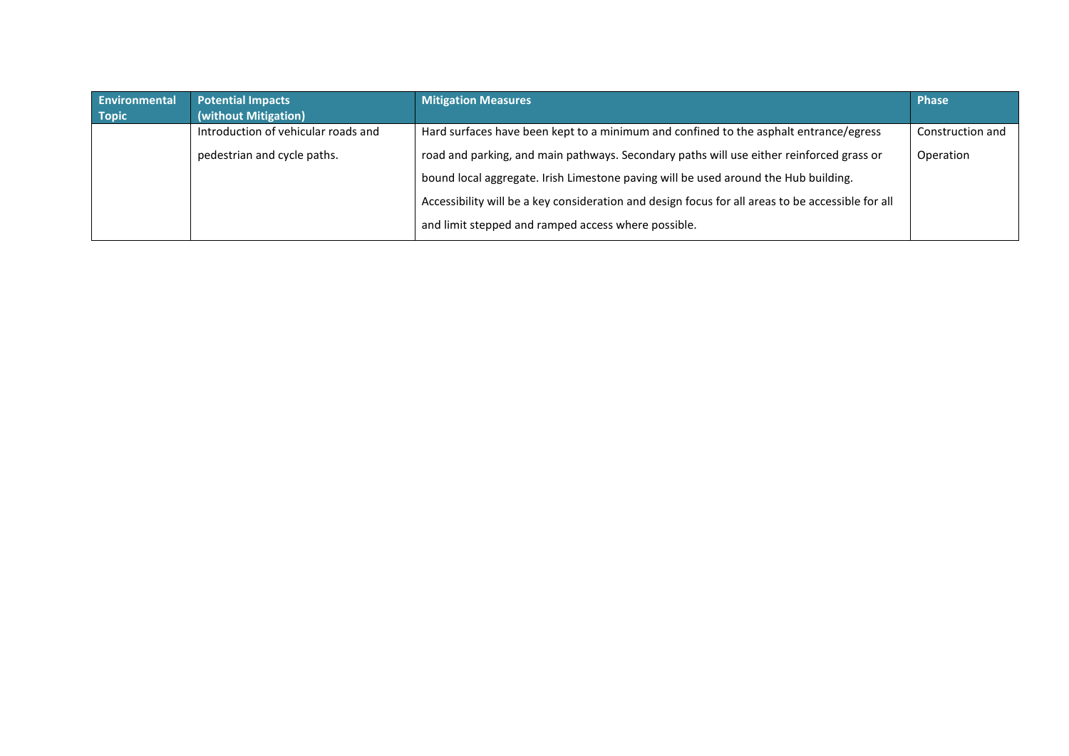| Environmental | <b>Potential Impacts</b>            | <b>Mitigation Measures</b>                                                                        | <b>Phase</b>     |
|---------------|-------------------------------------|---------------------------------------------------------------------------------------------------|------------------|
| <b>Topic</b>  | (without Mitigation)                |                                                                                                   |                  |
|               | Introduction of vehicular roads and | Hard surfaces have been kept to a minimum and confined to the asphalt entrance/egress             | Construction and |
|               | pedestrian and cycle paths.         | road and parking, and main pathways. Secondary paths will use either reinforced grass or          | Operation        |
|               |                                     | bound local aggregate. Irish Limestone paving will be used around the Hub building.               |                  |
|               |                                     | Accessibility will be a key consideration and design focus for all areas to be accessible for all |                  |
|               |                                     | and limit stepped and ramped access where possible.                                               |                  |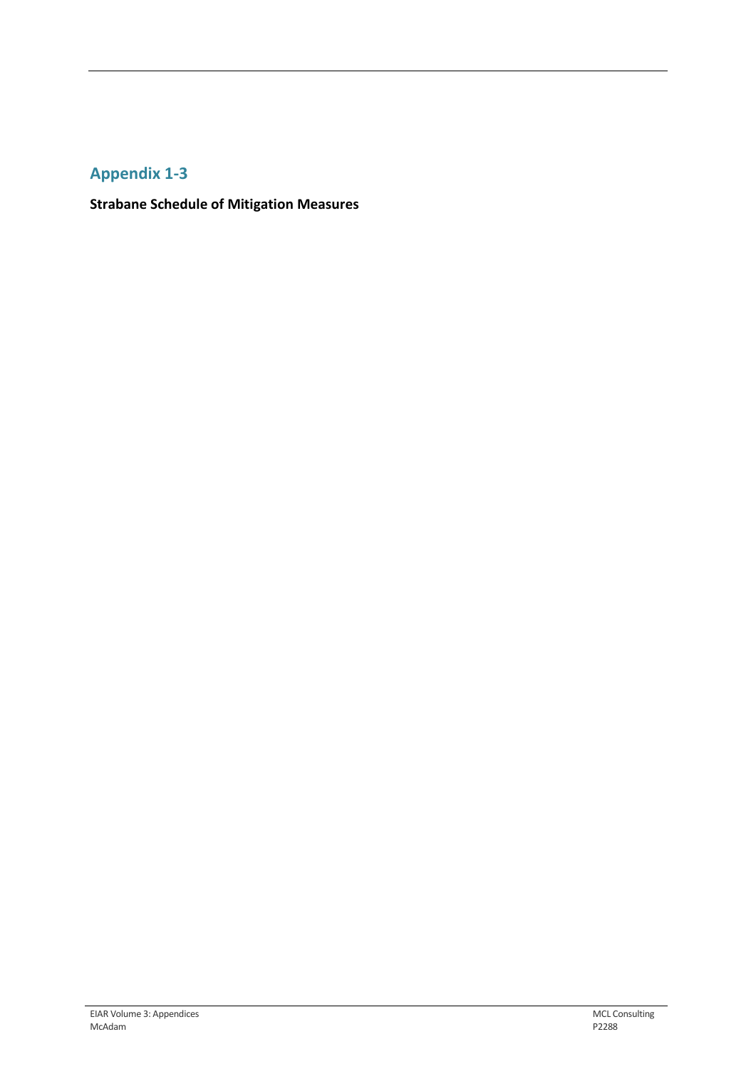## **Appendix 1-3**

**Strabane Schedule of Mitigation Measures**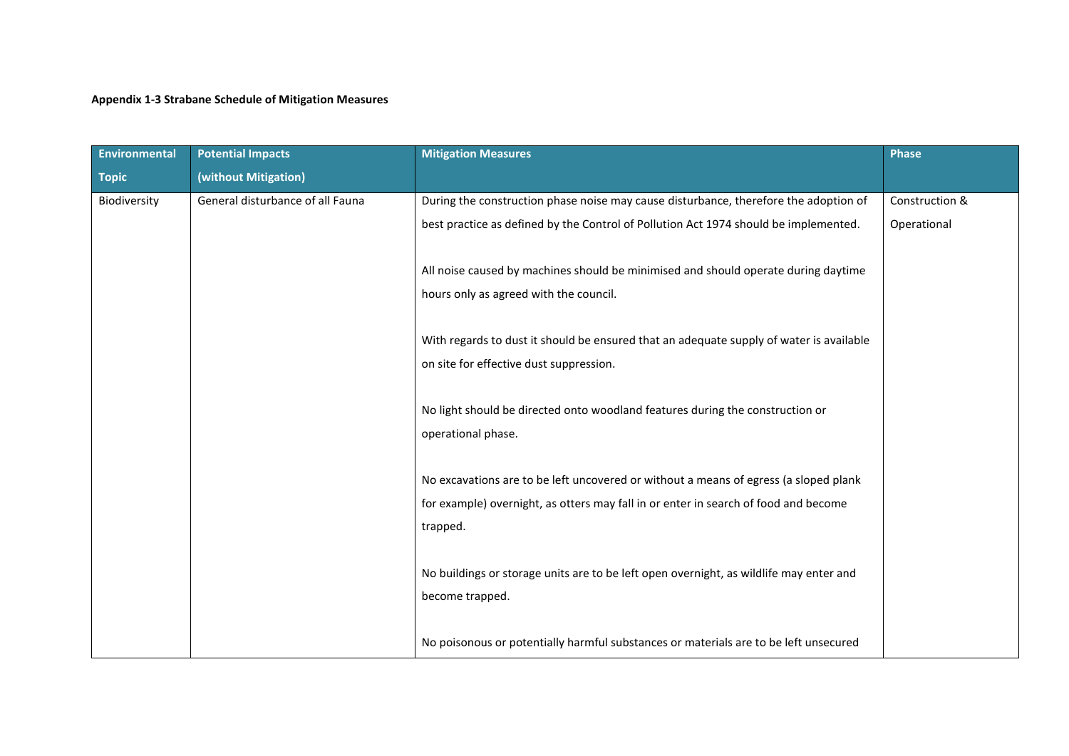## **Appendix 1-3 Strabane Schedule of Mitigation Measures**

| <b>Environmental</b> | <b>Potential Impacts</b>         | <b>Mitigation Measures</b>                                                              | <b>Phase</b>   |
|----------------------|----------------------------------|-----------------------------------------------------------------------------------------|----------------|
| <b>Topic</b>         | (without Mitigation)             |                                                                                         |                |
| Biodiversity         | General disturbance of all Fauna | During the construction phase noise may cause disturbance, therefore the adoption of    | Construction & |
|                      |                                  | best practice as defined by the Control of Pollution Act 1974 should be implemented.    | Operational    |
|                      |                                  | All noise caused by machines should be minimised and should operate during daytime      |                |
|                      |                                  | hours only as agreed with the council.                                                  |                |
|                      |                                  | With regards to dust it should be ensured that an adequate supply of water is available |                |
|                      |                                  | on site for effective dust suppression.                                                 |                |
|                      |                                  | No light should be directed onto woodland features during the construction or           |                |
|                      |                                  | operational phase.                                                                      |                |
|                      |                                  | No excavations are to be left uncovered or without a means of egress (a sloped plank    |                |
|                      |                                  | for example) overnight, as otters may fall in or enter in search of food and become     |                |
|                      |                                  | trapped.                                                                                |                |
|                      |                                  | No buildings or storage units are to be left open overnight, as wildlife may enter and  |                |
|                      |                                  | become trapped.                                                                         |                |
|                      |                                  | No poisonous or potentially harmful substances or materials are to be left unsecured    |                |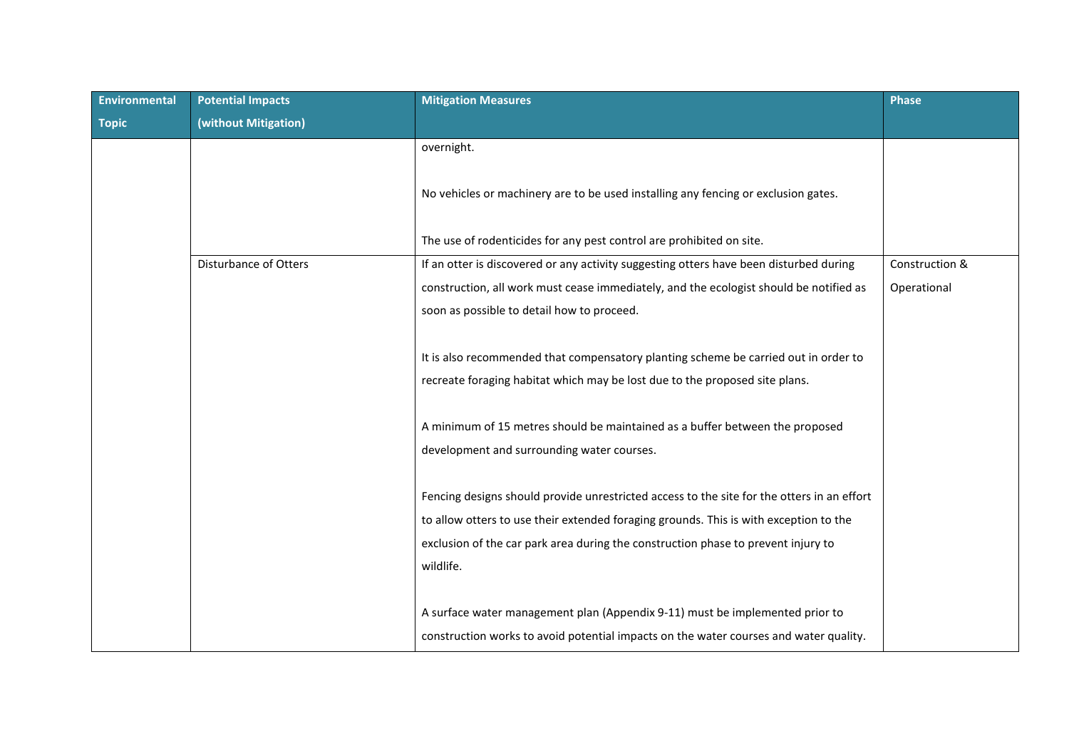| Environmental | <b>Potential Impacts</b> | <b>Mitigation Measures</b>                                                                 | <b>Phase</b>   |
|---------------|--------------------------|--------------------------------------------------------------------------------------------|----------------|
| <b>Topic</b>  | (without Mitigation)     |                                                                                            |                |
|               |                          | overnight.                                                                                 |                |
|               |                          | No vehicles or machinery are to be used installing any fencing or exclusion gates.         |                |
|               |                          | The use of rodenticides for any pest control are prohibited on site.                       |                |
|               | Disturbance of Otters    | If an otter is discovered or any activity suggesting otters have been disturbed during     | Construction & |
|               |                          | construction, all work must cease immediately, and the ecologist should be notified as     | Operational    |
|               |                          | soon as possible to detail how to proceed.                                                 |                |
|               |                          |                                                                                            |                |
|               |                          | It is also recommended that compensatory planting scheme be carried out in order to        |                |
|               |                          | recreate foraging habitat which may be lost due to the proposed site plans.                |                |
|               |                          |                                                                                            |                |
|               |                          | A minimum of 15 metres should be maintained as a buffer between the proposed               |                |
|               |                          | development and surrounding water courses.                                                 |                |
|               |                          |                                                                                            |                |
|               |                          | Fencing designs should provide unrestricted access to the site for the otters in an effort |                |
|               |                          | to allow otters to use their extended foraging grounds. This is with exception to the      |                |
|               |                          | exclusion of the car park area during the construction phase to prevent injury to          |                |
|               |                          | wildlife.                                                                                  |                |
|               |                          |                                                                                            |                |
|               |                          | A surface water management plan (Appendix 9-11) must be implemented prior to               |                |
|               |                          | construction works to avoid potential impacts on the water courses and water quality.      |                |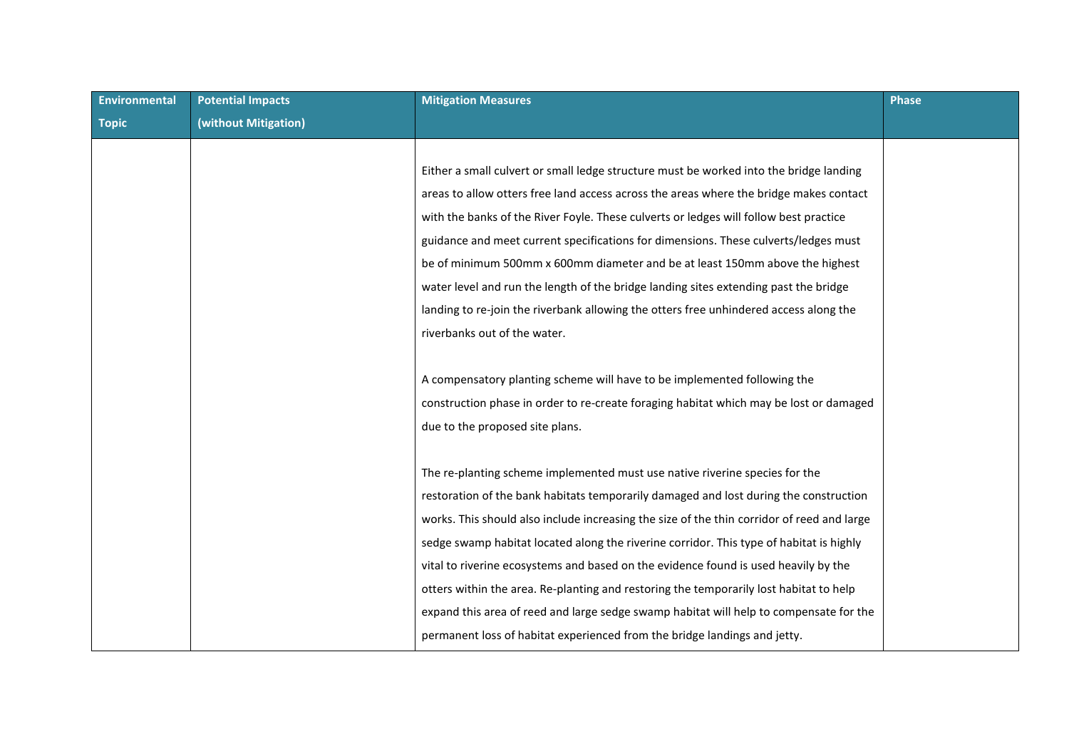| <b>Environmental</b> | <b>Potential Impacts</b> | <b>Mitigation Measures</b>                                                                 | <b>Phase</b> |
|----------------------|--------------------------|--------------------------------------------------------------------------------------------|--------------|
| <b>Topic</b>         | (without Mitigation)     |                                                                                            |              |
|                      |                          |                                                                                            |              |
|                      |                          | Either a small culvert or small ledge structure must be worked into the bridge landing     |              |
|                      |                          | areas to allow otters free land access across the areas where the bridge makes contact     |              |
|                      |                          | with the banks of the River Foyle. These culverts or ledges will follow best practice      |              |
|                      |                          | guidance and meet current specifications for dimensions. These culverts/ledges must        |              |
|                      |                          | be of minimum 500mm x 600mm diameter and be at least 150mm above the highest               |              |
|                      |                          | water level and run the length of the bridge landing sites extending past the bridge       |              |
|                      |                          | landing to re-join the riverbank allowing the otters free unhindered access along the      |              |
|                      |                          | riverbanks out of the water.                                                               |              |
|                      |                          |                                                                                            |              |
|                      |                          | A compensatory planting scheme will have to be implemented following the                   |              |
|                      |                          | construction phase in order to re-create foraging habitat which may be lost or damaged     |              |
|                      |                          | due to the proposed site plans.                                                            |              |
|                      |                          |                                                                                            |              |
|                      |                          | The re-planting scheme implemented must use native riverine species for the                |              |
|                      |                          | restoration of the bank habitats temporarily damaged and lost during the construction      |              |
|                      |                          | works. This should also include increasing the size of the thin corridor of reed and large |              |
|                      |                          | sedge swamp habitat located along the riverine corridor. This type of habitat is highly    |              |
|                      |                          | vital to riverine ecosystems and based on the evidence found is used heavily by the        |              |
|                      |                          | otters within the area. Re-planting and restoring the temporarily lost habitat to help     |              |
|                      |                          | expand this area of reed and large sedge swamp habitat will help to compensate for the     |              |
|                      |                          | permanent loss of habitat experienced from the bridge landings and jetty.                  |              |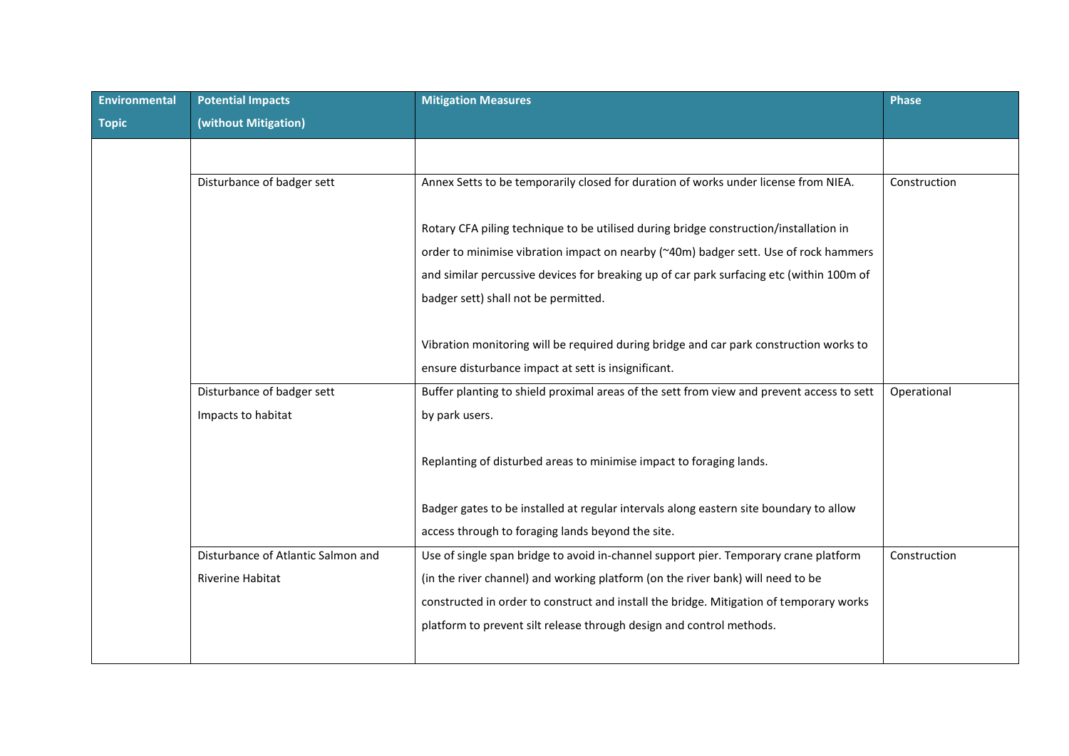| Environmental | <b>Potential Impacts</b>           | <b>Mitigation Measures</b>                                                                | <b>Phase</b> |
|---------------|------------------------------------|-------------------------------------------------------------------------------------------|--------------|
| <b>Topic</b>  | (without Mitigation)               |                                                                                           |              |
|               |                                    |                                                                                           |              |
|               | Disturbance of badger sett         | Annex Setts to be temporarily closed for duration of works under license from NIEA.       | Construction |
|               |                                    |                                                                                           |              |
|               |                                    |                                                                                           |              |
|               |                                    | Rotary CFA piling technique to be utilised during bridge construction/installation in     |              |
|               |                                    | order to minimise vibration impact on nearby (~40m) badger sett. Use of rock hammers      |              |
|               |                                    | and similar percussive devices for breaking up of car park surfacing etc (within 100m of  |              |
|               |                                    | badger sett) shall not be permitted.                                                      |              |
|               |                                    |                                                                                           |              |
|               |                                    | Vibration monitoring will be required during bridge and car park construction works to    |              |
|               |                                    | ensure disturbance impact at sett is insignificant.                                       |              |
|               | Disturbance of badger sett         | Buffer planting to shield proximal areas of the sett from view and prevent access to sett | Operational  |
|               | Impacts to habitat                 | by park users.                                                                            |              |
|               |                                    |                                                                                           |              |
|               |                                    | Replanting of disturbed areas to minimise impact to foraging lands.                       |              |
|               |                                    |                                                                                           |              |
|               |                                    | Badger gates to be installed at regular intervals along eastern site boundary to allow    |              |
|               |                                    | access through to foraging lands beyond the site.                                         |              |
|               |                                    |                                                                                           |              |
|               | Disturbance of Atlantic Salmon and | Use of single span bridge to avoid in-channel support pier. Temporary crane platform      | Construction |
|               | <b>Riverine Habitat</b>            | (in the river channel) and working platform (on the river bank) will need to be           |              |
|               |                                    | constructed in order to construct and install the bridge. Mitigation of temporary works   |              |
|               |                                    | platform to prevent silt release through design and control methods.                      |              |
|               |                                    |                                                                                           |              |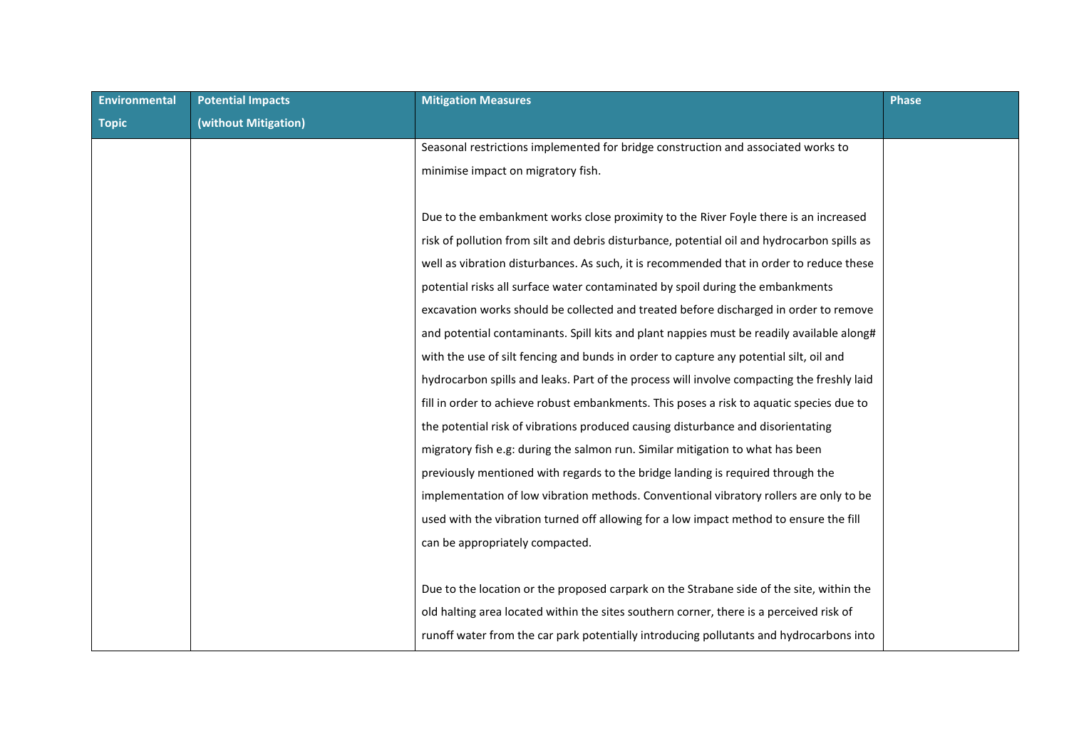| <b>Environmental</b> | <b>Potential Impacts</b> | <b>Mitigation Measures</b>                                                                  | <b>Phase</b> |
|----------------------|--------------------------|---------------------------------------------------------------------------------------------|--------------|
| <b>Topic</b>         | (without Mitigation)     |                                                                                             |              |
|                      |                          | Seasonal restrictions implemented for bridge construction and associated works to           |              |
|                      |                          | minimise impact on migratory fish.                                                          |              |
|                      |                          |                                                                                             |              |
|                      |                          | Due to the embankment works close proximity to the River Foyle there is an increased        |              |
|                      |                          | risk of pollution from silt and debris disturbance, potential oil and hydrocarbon spills as |              |
|                      |                          | well as vibration disturbances. As such, it is recommended that in order to reduce these    |              |
|                      |                          | potential risks all surface water contaminated by spoil during the embankments              |              |
|                      |                          | excavation works should be collected and treated before discharged in order to remove       |              |
|                      |                          | and potential contaminants. Spill kits and plant nappies must be readily available along#   |              |
|                      |                          | with the use of silt fencing and bunds in order to capture any potential silt, oil and      |              |
|                      |                          | hydrocarbon spills and leaks. Part of the process will involve compacting the freshly laid  |              |
|                      |                          | fill in order to achieve robust embankments. This poses a risk to aquatic species due to    |              |
|                      |                          | the potential risk of vibrations produced causing disturbance and disorientating            |              |
|                      |                          | migratory fish e.g: during the salmon run. Similar mitigation to what has been              |              |
|                      |                          | previously mentioned with regards to the bridge landing is required through the             |              |
|                      |                          | implementation of low vibration methods. Conventional vibratory rollers are only to be      |              |
|                      |                          | used with the vibration turned off allowing for a low impact method to ensure the fill      |              |
|                      |                          | can be appropriately compacted.                                                             |              |
|                      |                          |                                                                                             |              |
|                      |                          | Due to the location or the proposed carpark on the Strabane side of the site, within the    |              |
|                      |                          | old halting area located within the sites southern corner, there is a perceived risk of     |              |
|                      |                          | runoff water from the car park potentially introducing pollutants and hydrocarbons into     |              |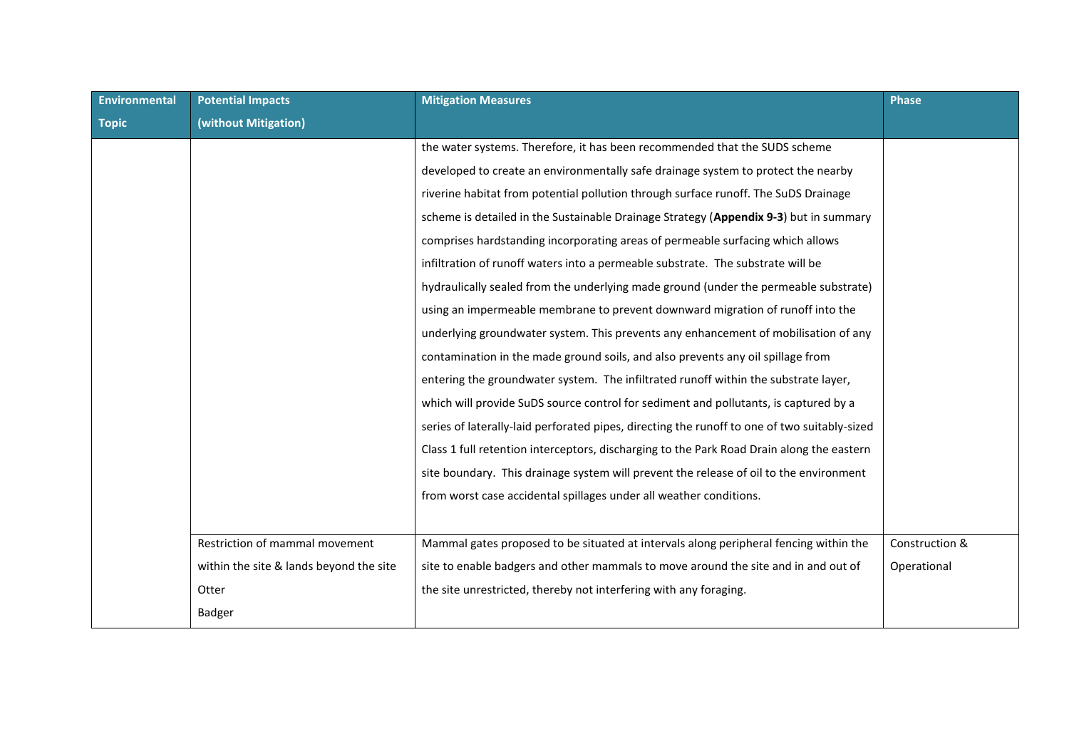| <b>Environmental</b> | <b>Potential Impacts</b>                | <b>Mitigation Measures</b>                                                                   | <b>Phase</b>   |
|----------------------|-----------------------------------------|----------------------------------------------------------------------------------------------|----------------|
| <b>Topic</b>         | (without Mitigation)                    |                                                                                              |                |
|                      |                                         | the water systems. Therefore, it has been recommended that the SUDS scheme                   |                |
|                      |                                         | developed to create an environmentally safe drainage system to protect the nearby            |                |
|                      |                                         | riverine habitat from potential pollution through surface runoff. The SuDS Drainage          |                |
|                      |                                         | scheme is detailed in the Sustainable Drainage Strategy (Appendix 9-3) but in summary        |                |
|                      |                                         | comprises hardstanding incorporating areas of permeable surfacing which allows               |                |
|                      |                                         | infiltration of runoff waters into a permeable substrate. The substrate will be              |                |
|                      |                                         | hydraulically sealed from the underlying made ground (under the permeable substrate)         |                |
|                      |                                         | using an impermeable membrane to prevent downward migration of runoff into the               |                |
|                      |                                         | underlying groundwater system. This prevents any enhancement of mobilisation of any          |                |
|                      |                                         | contamination in the made ground soils, and also prevents any oil spillage from              |                |
|                      |                                         | entering the groundwater system. The infiltrated runoff within the substrate layer,          |                |
|                      |                                         | which will provide SuDS source control for sediment and pollutants, is captured by a         |                |
|                      |                                         | series of laterally-laid perforated pipes, directing the runoff to one of two suitably-sized |                |
|                      |                                         | Class 1 full retention interceptors, discharging to the Park Road Drain along the eastern    |                |
|                      |                                         | site boundary. This drainage system will prevent the release of oil to the environment       |                |
|                      |                                         | from worst case accidental spillages under all weather conditions.                           |                |
|                      |                                         |                                                                                              |                |
|                      | Restriction of mammal movement          | Mammal gates proposed to be situated at intervals along peripheral fencing within the        | Construction & |
|                      | within the site & lands beyond the site | site to enable badgers and other mammals to move around the site and in and out of           | Operational    |
|                      | Otter                                   | the site unrestricted, thereby not interfering with any foraging.                            |                |
|                      | <b>Badger</b>                           |                                                                                              |                |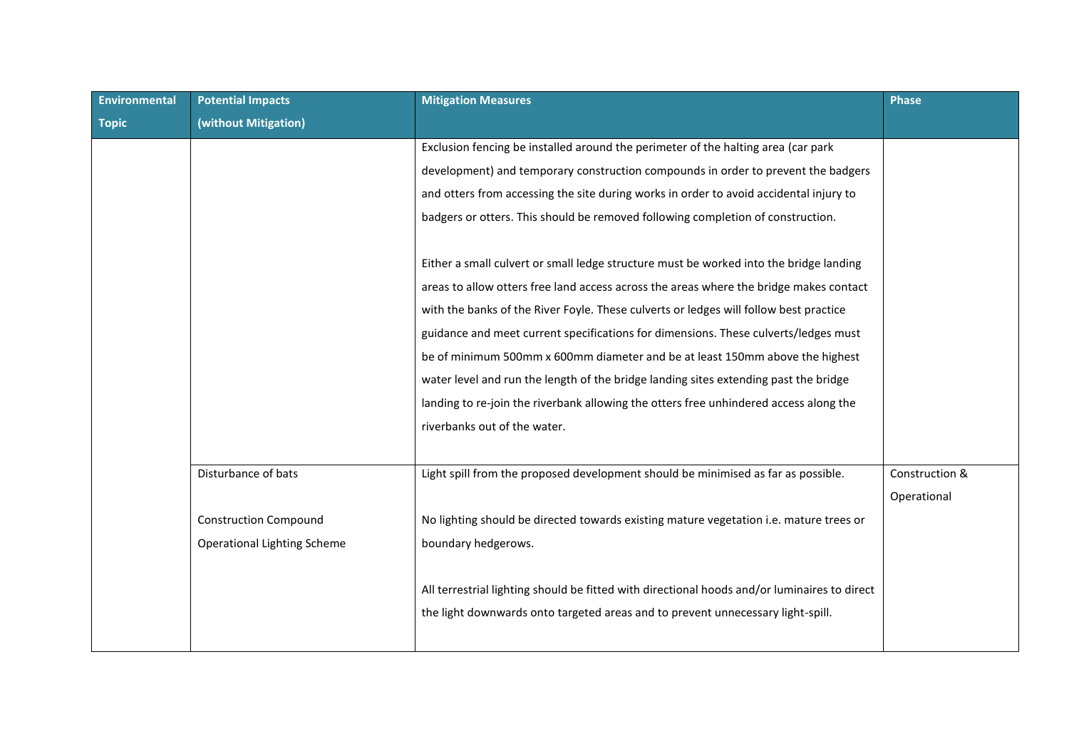| <b>Environmental</b> | <b>Potential Impacts</b>           | <b>Mitigation Measures</b>                                                                   | <b>Phase</b>   |
|----------------------|------------------------------------|----------------------------------------------------------------------------------------------|----------------|
| <b>Topic</b>         | (without Mitigation)               |                                                                                              |                |
|                      |                                    | Exclusion fencing be installed around the perimeter of the halting area (car park            |                |
|                      |                                    | development) and temporary construction compounds in order to prevent the badgers            |                |
|                      |                                    | and otters from accessing the site during works in order to avoid accidental injury to       |                |
|                      |                                    | badgers or otters. This should be removed following completion of construction.              |                |
|                      |                                    |                                                                                              |                |
|                      |                                    | Either a small culvert or small ledge structure must be worked into the bridge landing       |                |
|                      |                                    | areas to allow otters free land access across the areas where the bridge makes contact       |                |
|                      |                                    | with the banks of the River Foyle. These culverts or ledges will follow best practice        |                |
|                      |                                    | guidance and meet current specifications for dimensions. These culverts/ledges must          |                |
|                      |                                    | be of minimum 500mm x 600mm diameter and be at least 150mm above the highest                 |                |
|                      |                                    | water level and run the length of the bridge landing sites extending past the bridge         |                |
|                      |                                    | landing to re-join the riverbank allowing the otters free unhindered access along the        |                |
|                      |                                    | riverbanks out of the water.                                                                 |                |
|                      |                                    |                                                                                              |                |
|                      | Disturbance of bats                | Light spill from the proposed development should be minimised as far as possible.            | Construction & |
|                      |                                    |                                                                                              | Operational    |
|                      | <b>Construction Compound</b>       | No lighting should be directed towards existing mature vegetation i.e. mature trees or       |                |
|                      | <b>Operational Lighting Scheme</b> | boundary hedgerows.                                                                          |                |
|                      |                                    |                                                                                              |                |
|                      |                                    | All terrestrial lighting should be fitted with directional hoods and/or luminaires to direct |                |
|                      |                                    | the light downwards onto targeted areas and to prevent unnecessary light-spill.              |                |
|                      |                                    |                                                                                              |                |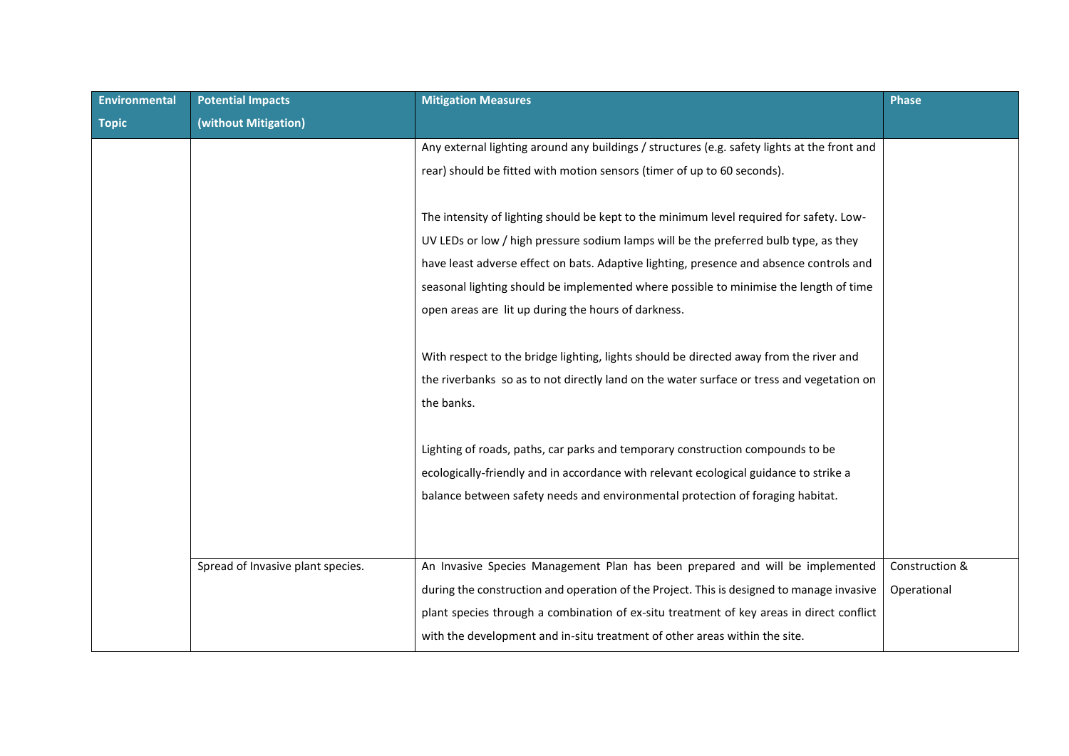| <b>Environmental</b> | <b>Potential Impacts</b>          | <b>Mitigation Measures</b>                                                                   | Phase          |
|----------------------|-----------------------------------|----------------------------------------------------------------------------------------------|----------------|
| <b>Topic</b>         | (without Mitigation)              |                                                                                              |                |
|                      |                                   | Any external lighting around any buildings / structures (e.g. safety lights at the front and |                |
|                      |                                   | rear) should be fitted with motion sensors (timer of up to 60 seconds).                      |                |
|                      |                                   |                                                                                              |                |
|                      |                                   | The intensity of lighting should be kept to the minimum level required for safety. Low-      |                |
|                      |                                   | UV LEDs or low / high pressure sodium lamps will be the preferred bulb type, as they         |                |
|                      |                                   | have least adverse effect on bats. Adaptive lighting, presence and absence controls and      |                |
|                      |                                   | seasonal lighting should be implemented where possible to minimise the length of time        |                |
|                      |                                   | open areas are lit up during the hours of darkness.                                          |                |
|                      |                                   |                                                                                              |                |
|                      |                                   | With respect to the bridge lighting, lights should be directed away from the river and       |                |
|                      |                                   | the riverbanks so as to not directly land on the water surface or tress and vegetation on    |                |
|                      |                                   | the banks.                                                                                   |                |
|                      |                                   |                                                                                              |                |
|                      |                                   | Lighting of roads, paths, car parks and temporary construction compounds to be               |                |
|                      |                                   | ecologically-friendly and in accordance with relevant ecological guidance to strike a        |                |
|                      |                                   | balance between safety needs and environmental protection of foraging habitat.               |                |
|                      |                                   |                                                                                              |                |
|                      |                                   |                                                                                              |                |
|                      | Spread of Invasive plant species. | An Invasive Species Management Plan has been prepared and will be implemented                | Construction & |
|                      |                                   | during the construction and operation of the Project. This is designed to manage invasive    | Operational    |
|                      |                                   | plant species through a combination of ex-situ treatment of key areas in direct conflict     |                |
|                      |                                   | with the development and in-situ treatment of other areas within the site.                   |                |
|                      |                                   |                                                                                              |                |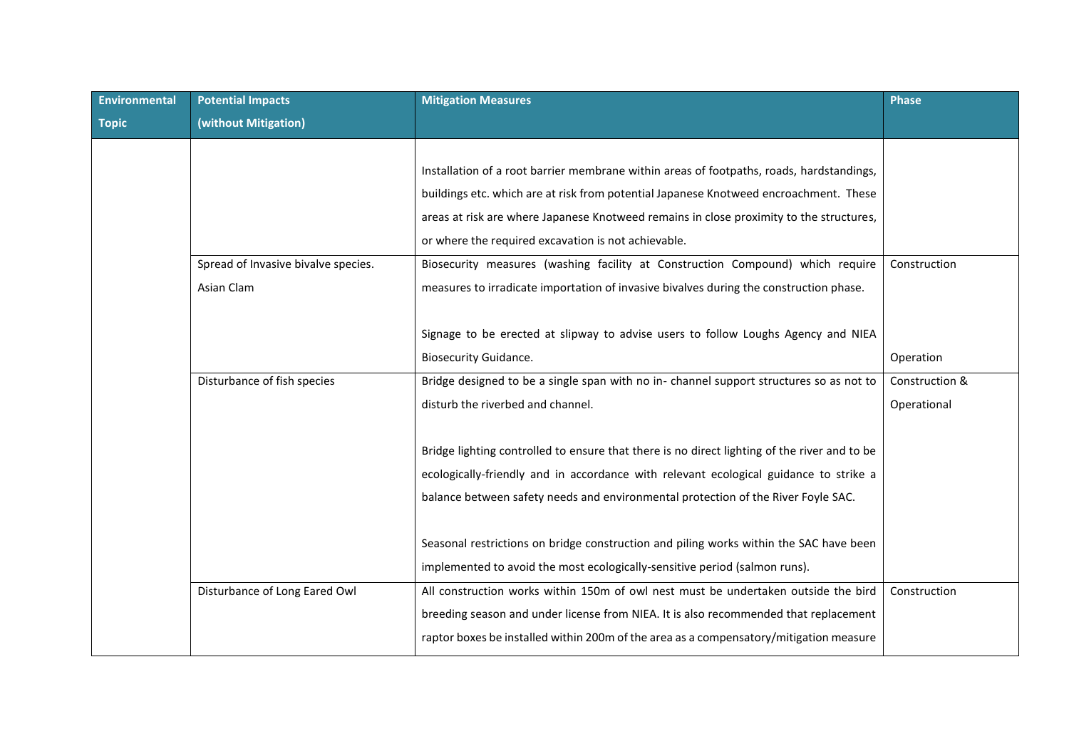| Environmental | <b>Potential Impacts</b>            | <b>Mitigation Measures</b>                                                                   | <b>Phase</b>   |
|---------------|-------------------------------------|----------------------------------------------------------------------------------------------|----------------|
| <b>Topic</b>  | (without Mitigation)                |                                                                                              |                |
|               |                                     |                                                                                              |                |
|               |                                     | Installation of a root barrier membrane within areas of footpaths, roads, hardstandings,     |                |
|               |                                     | buildings etc. which are at risk from potential Japanese Knotweed encroachment. These        |                |
|               |                                     | areas at risk are where Japanese Knotweed remains in close proximity to the structures,      |                |
|               |                                     | or where the required excavation is not achievable.                                          |                |
|               | Spread of Invasive bivalve species. | Biosecurity measures (washing facility at Construction Compound) which require               | Construction   |
|               | Asian Clam                          | measures to irradicate importation of invasive bivalves during the construction phase.       |                |
|               |                                     |                                                                                              |                |
|               |                                     | Signage to be erected at slipway to advise users to follow Loughs Agency and NIEA            |                |
|               |                                     | <b>Biosecurity Guidance.</b>                                                                 | Operation      |
|               | Disturbance of fish species         | Bridge designed to be a single span with no in- channel support structures so as not to      | Construction & |
|               |                                     | disturb the riverbed and channel.                                                            | Operational    |
|               |                                     |                                                                                              |                |
|               |                                     | Bridge lighting controlled to ensure that there is no direct lighting of the river and to be |                |
|               |                                     | ecologically-friendly and in accordance with relevant ecological guidance to strike a        |                |
|               |                                     | balance between safety needs and environmental protection of the River Foyle SAC.            |                |
|               |                                     |                                                                                              |                |
|               |                                     | Seasonal restrictions on bridge construction and piling works within the SAC have been       |                |
|               |                                     | implemented to avoid the most ecologically-sensitive period (salmon runs).                   |                |
|               | Disturbance of Long Eared Owl       | All construction works within 150m of owl nest must be undertaken outside the bird           | Construction   |
|               |                                     | breeding season and under license from NIEA. It is also recommended that replacement         |                |
|               |                                     | raptor boxes be installed within 200m of the area as a compensatory/mitigation measure       |                |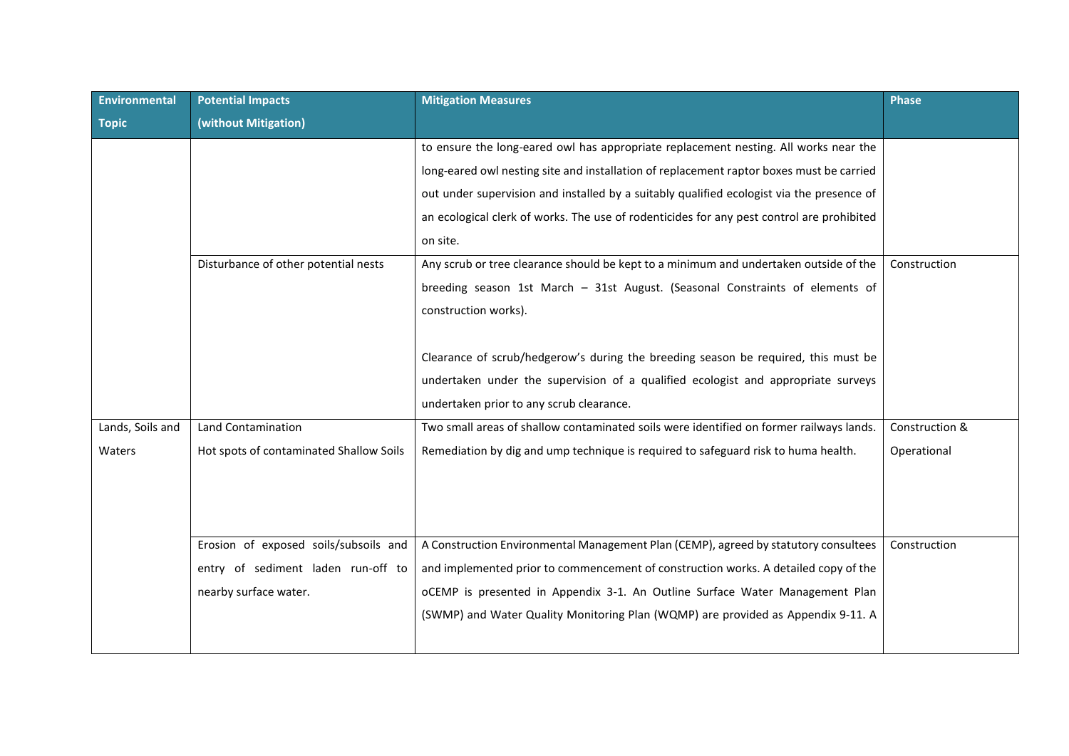| <b>Environmental</b> | <b>Potential Impacts</b>                | <b>Mitigation Measures</b>                                                                | <b>Phase</b>   |
|----------------------|-----------------------------------------|-------------------------------------------------------------------------------------------|----------------|
| <b>Topic</b>         | (without Mitigation)                    |                                                                                           |                |
|                      |                                         | to ensure the long-eared owl has appropriate replacement nesting. All works near the      |                |
|                      |                                         | long-eared owl nesting site and installation of replacement raptor boxes must be carried  |                |
|                      |                                         | out under supervision and installed by a suitably qualified ecologist via the presence of |                |
|                      |                                         | an ecological clerk of works. The use of rodenticides for any pest control are prohibited |                |
|                      |                                         | on site.                                                                                  |                |
|                      | Disturbance of other potential nests    | Any scrub or tree clearance should be kept to a minimum and undertaken outside of the     | Construction   |
|                      |                                         | breeding season 1st March - 31st August. (Seasonal Constraints of elements of             |                |
|                      |                                         | construction works).                                                                      |                |
|                      |                                         |                                                                                           |                |
|                      |                                         | Clearance of scrub/hedgerow's during the breeding season be required, this must be        |                |
|                      |                                         | undertaken under the supervision of a qualified ecologist and appropriate surveys         |                |
|                      |                                         | undertaken prior to any scrub clearance.                                                  |                |
| Lands, Soils and     | Land Contamination                      | Two small areas of shallow contaminated soils were identified on former railways lands.   | Construction & |
| Waters               | Hot spots of contaminated Shallow Soils | Remediation by dig and ump technique is required to safeguard risk to huma health.        | Operational    |
|                      |                                         |                                                                                           |                |
|                      |                                         |                                                                                           |                |
|                      |                                         |                                                                                           |                |
|                      | Erosion of exposed soils/subsoils and   | A Construction Environmental Management Plan (CEMP), agreed by statutory consultees       | Construction   |
|                      | entry of sediment laden run-off to      | and implemented prior to commencement of construction works. A detailed copy of the       |                |
|                      | nearby surface water.                   | oCEMP is presented in Appendix 3-1. An Outline Surface Water Management Plan              |                |
|                      |                                         | (SWMP) and Water Quality Monitoring Plan (WQMP) are provided as Appendix 9-11. A          |                |
|                      |                                         |                                                                                           |                |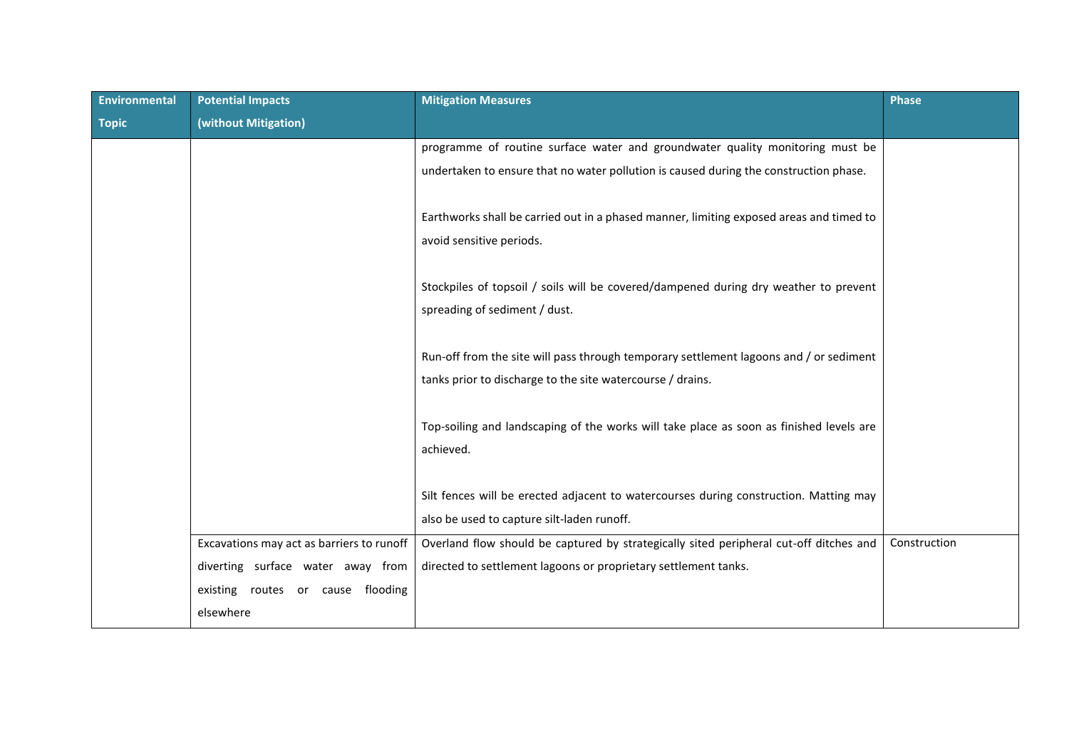| Environmental | <b>Potential Impacts</b>                  | <b>Mitigation Measures</b>                                                              | <b>Phase</b> |
|---------------|-------------------------------------------|-----------------------------------------------------------------------------------------|--------------|
| <b>Topic</b>  | (without Mitigation)                      |                                                                                         |              |
|               |                                           | programme of routine surface water and groundwater quality monitoring must be           |              |
|               |                                           | undertaken to ensure that no water pollution is caused during the construction phase.   |              |
|               |                                           |                                                                                         |              |
|               |                                           | Earthworks shall be carried out in a phased manner, limiting exposed areas and timed to |              |
|               |                                           | avoid sensitive periods.                                                                |              |
|               |                                           |                                                                                         |              |
|               |                                           | Stockpiles of topsoil / soils will be covered/dampened during dry weather to prevent    |              |
|               |                                           | spreading of sediment / dust.                                                           |              |
|               |                                           |                                                                                         |              |
|               |                                           | Run-off from the site will pass through temporary settlement lagoons and / or sediment  |              |
|               |                                           | tanks prior to discharge to the site watercourse / drains.                              |              |
|               |                                           |                                                                                         |              |
|               |                                           | Top-soiling and landscaping of the works will take place as soon as finished levels are |              |
|               |                                           | achieved.                                                                               |              |
|               |                                           |                                                                                         |              |
|               |                                           | Silt fences will be erected adjacent to watercourses during construction. Matting may   |              |
|               |                                           | also be used to capture silt-laden runoff.                                              |              |
|               | Excavations may act as barriers to runoff | Overland flow should be captured by strategically sited peripheral cut-off ditches and  | Construction |
|               | diverting surface water away from         | directed to settlement lagoons or proprietary settlement tanks.                         |              |
|               | existing routes or cause flooding         |                                                                                         |              |
|               | elsewhere                                 |                                                                                         |              |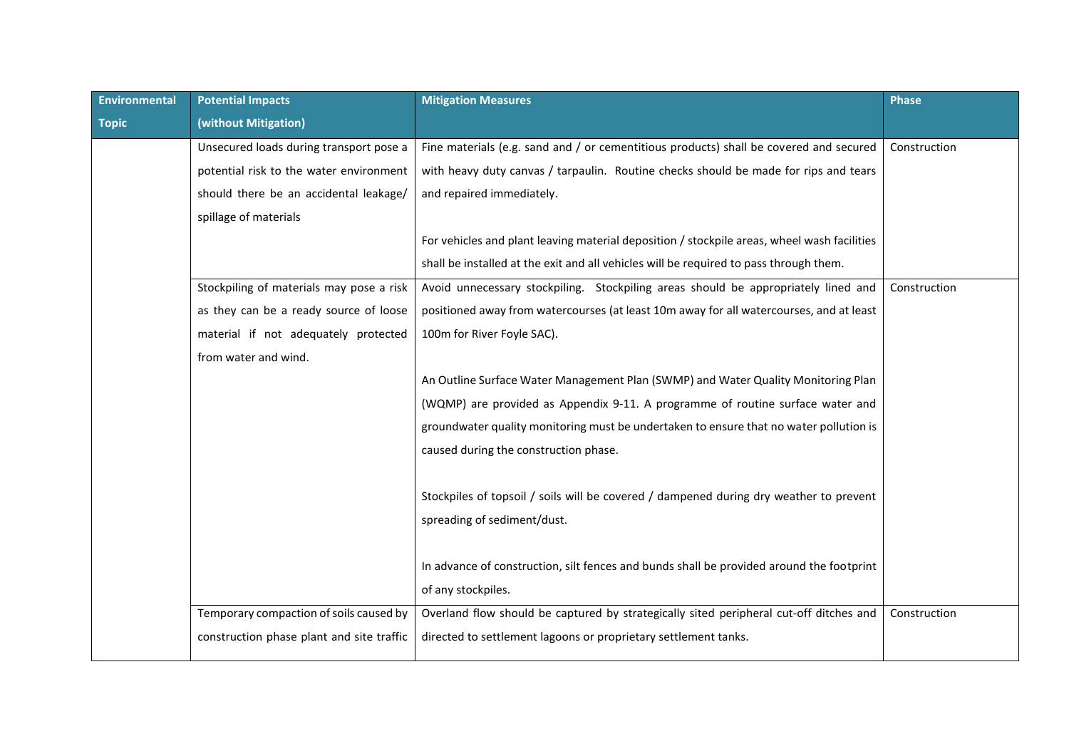| <b>Environmental</b> | <b>Potential Impacts</b>                  | <b>Mitigation Measures</b>                                                                  | <b>Phase</b> |
|----------------------|-------------------------------------------|---------------------------------------------------------------------------------------------|--------------|
| <b>Topic</b>         | (without Mitigation)                      |                                                                                             |              |
|                      | Unsecured loads during transport pose a   | Fine materials (e.g. sand and / or cementitious products) shall be covered and secured      | Construction |
|                      | potential risk to the water environment   | with heavy duty canvas / tarpaulin. Routine checks should be made for rips and tears        |              |
|                      | should there be an accidental leakage/    | and repaired immediately.                                                                   |              |
|                      | spillage of materials                     |                                                                                             |              |
|                      |                                           | For vehicles and plant leaving material deposition / stockpile areas, wheel wash facilities |              |
|                      |                                           | shall be installed at the exit and all vehicles will be required to pass through them.      |              |
|                      | Stockpiling of materials may pose a risk  | Avoid unnecessary stockpiling. Stockpiling areas should be appropriately lined and          | Construction |
|                      | as they can be a ready source of loose    | positioned away from watercourses (at least 10m away for all watercourses, and at least     |              |
|                      | material if not adequately protected      | 100m for River Foyle SAC).                                                                  |              |
|                      | from water and wind.                      |                                                                                             |              |
|                      |                                           | An Outline Surface Water Management Plan (SWMP) and Water Quality Monitoring Plan           |              |
|                      |                                           | (WQMP) are provided as Appendix 9-11. A programme of routine surface water and              |              |
|                      |                                           | groundwater quality monitoring must be undertaken to ensure that no water pollution is      |              |
|                      |                                           | caused during the construction phase.                                                       |              |
|                      |                                           |                                                                                             |              |
|                      |                                           | Stockpiles of topsoil / soils will be covered / dampened during dry weather to prevent      |              |
|                      |                                           | spreading of sediment/dust.                                                                 |              |
|                      |                                           |                                                                                             |              |
|                      |                                           | In advance of construction, silt fences and bunds shall be provided around the footprint    |              |
|                      |                                           | of any stockpiles.                                                                          |              |
|                      | Temporary compaction of soils caused by   | Overland flow should be captured by strategically sited peripheral cut-off ditches and      | Construction |
|                      | construction phase plant and site traffic | directed to settlement lagoons or proprietary settlement tanks.                             |              |
|                      |                                           |                                                                                             |              |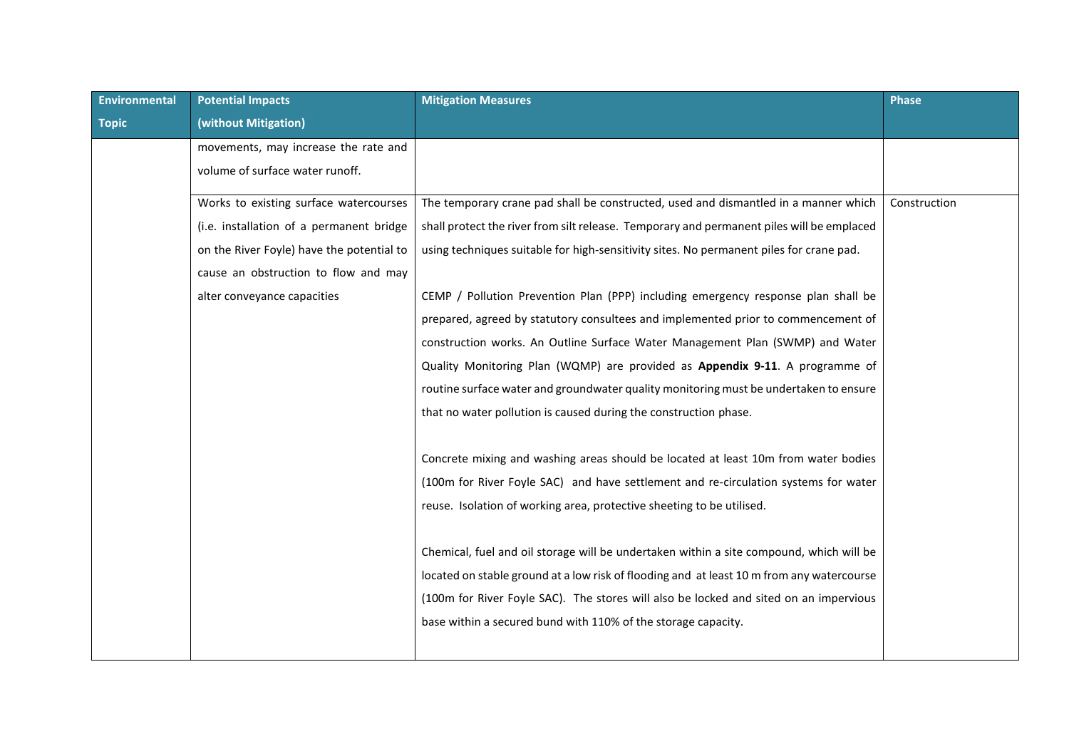| <b>Environmental</b> | <b>Potential Impacts</b>                  | <b>Mitigation Measures</b>                                                                | <b>Phase</b> |
|----------------------|-------------------------------------------|-------------------------------------------------------------------------------------------|--------------|
| <b>Topic</b>         | (without Mitigation)                      |                                                                                           |              |
|                      | movements, may increase the rate and      |                                                                                           |              |
|                      | volume of surface water runoff.           |                                                                                           |              |
|                      | Works to existing surface watercourses    | The temporary crane pad shall be constructed, used and dismantled in a manner which       | Construction |
|                      | (i.e. installation of a permanent bridge  | shall protect the river from silt release. Temporary and permanent piles will be emplaced |              |
|                      | on the River Foyle) have the potential to | using techniques suitable for high-sensitivity sites. No permanent piles for crane pad.   |              |
|                      | cause an obstruction to flow and may      |                                                                                           |              |
|                      | alter conveyance capacities               | CEMP / Pollution Prevention Plan (PPP) including emergency response plan shall be         |              |
|                      |                                           | prepared, agreed by statutory consultees and implemented prior to commencement of         |              |
|                      |                                           | construction works. An Outline Surface Water Management Plan (SWMP) and Water             |              |
|                      |                                           | Quality Monitoring Plan (WQMP) are provided as Appendix 9-11. A programme of              |              |
|                      |                                           | routine surface water and groundwater quality monitoring must be undertaken to ensure     |              |
|                      |                                           | that no water pollution is caused during the construction phase.                          |              |
|                      |                                           |                                                                                           |              |
|                      |                                           | Concrete mixing and washing areas should be located at least 10m from water bodies        |              |
|                      |                                           | (100m for River Foyle SAC) and have settlement and re-circulation systems for water       |              |
|                      |                                           | reuse. Isolation of working area, protective sheeting to be utilised.                     |              |
|                      |                                           |                                                                                           |              |
|                      |                                           | Chemical, fuel and oil storage will be undertaken within a site compound, which will be   |              |
|                      |                                           | located on stable ground at a low risk of flooding and at least 10 m from any watercourse |              |
|                      |                                           | (100m for River Foyle SAC). The stores will also be locked and sited on an impervious     |              |
|                      |                                           | base within a secured bund with 110% of the storage capacity.                             |              |
|                      |                                           |                                                                                           |              |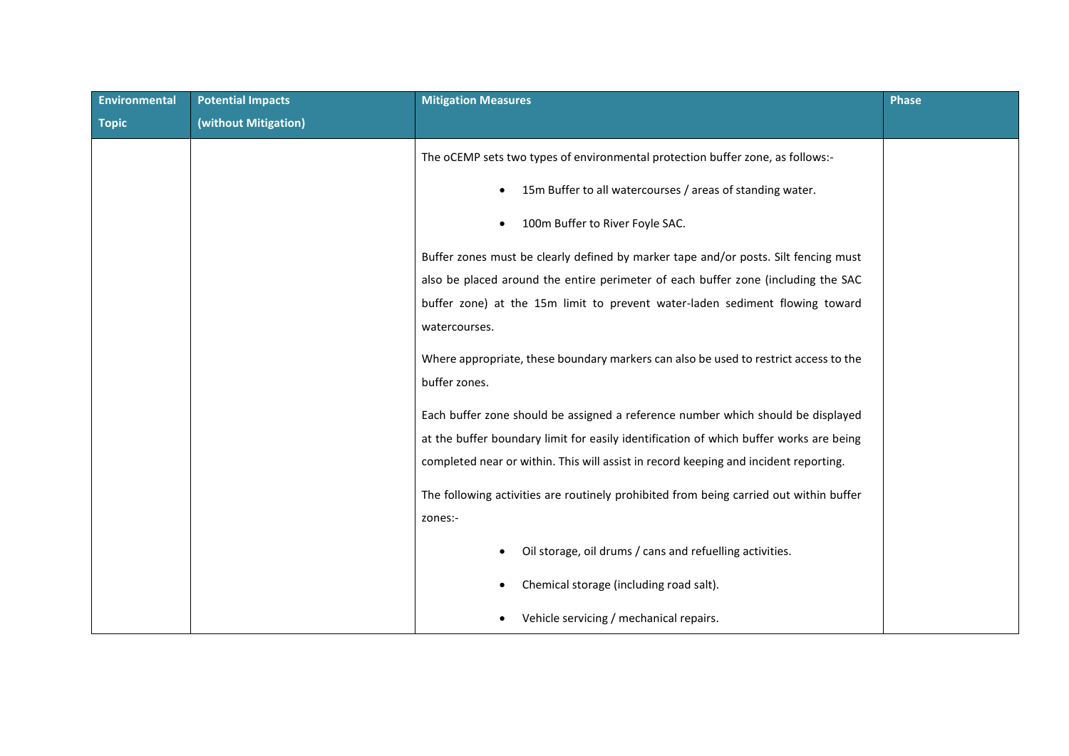| <b>Environmental</b> | <b>Potential Impacts</b> | <b>Mitigation Measures</b>                                                             | Phase |
|----------------------|--------------------------|----------------------------------------------------------------------------------------|-------|
| <b>Topic</b>         | (without Mitigation)     |                                                                                        |       |
|                      |                          | The oCEMP sets two types of environmental protection buffer zone, as follows:-         |       |
|                      |                          | 15m Buffer to all watercourses / areas of standing water.                              |       |
|                      |                          | 100m Buffer to River Foyle SAC.                                                        |       |
|                      |                          | Buffer zones must be clearly defined by marker tape and/or posts. Silt fencing must    |       |
|                      |                          | also be placed around the entire perimeter of each buffer zone (including the SAC      |       |
|                      |                          | buffer zone) at the 15m limit to prevent water-laden sediment flowing toward           |       |
|                      |                          | watercourses.                                                                          |       |
|                      |                          | Where appropriate, these boundary markers can also be used to restrict access to the   |       |
|                      |                          | buffer zones.                                                                          |       |
|                      |                          | Each buffer zone should be assigned a reference number which should be displayed       |       |
|                      |                          | at the buffer boundary limit for easily identification of which buffer works are being |       |
|                      |                          | completed near or within. This will assist in record keeping and incident reporting.   |       |
|                      |                          | The following activities are routinely prohibited from being carried out within buffer |       |
|                      |                          | zones:-                                                                                |       |
|                      |                          | Oil storage, oil drums / cans and refuelling activities.                               |       |
|                      |                          | Chemical storage (including road salt).                                                |       |
|                      |                          | Vehicle servicing / mechanical repairs.                                                |       |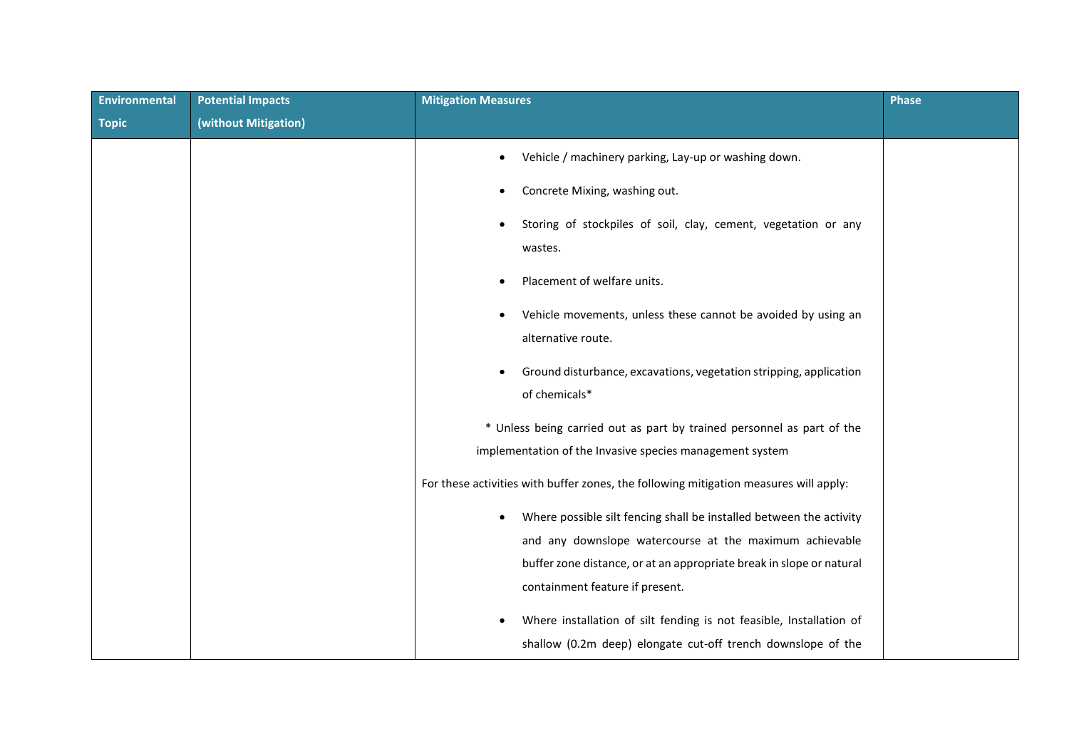| <b>Environmental</b> | <b>Potential Impacts</b> | <b>Mitigation Measures</b>                                                            | Phase |
|----------------------|--------------------------|---------------------------------------------------------------------------------------|-------|
| <b>Topic</b>         | (without Mitigation)     |                                                                                       |       |
|                      |                          | Vehicle / machinery parking, Lay-up or washing down.                                  |       |
|                      |                          | Concrete Mixing, washing out.                                                         |       |
|                      |                          | Storing of stockpiles of soil, clay, cement, vegetation or any                        |       |
|                      |                          | wastes.                                                                               |       |
|                      |                          | Placement of welfare units.                                                           |       |
|                      |                          | Vehicle movements, unless these cannot be avoided by using an                         |       |
|                      |                          | alternative route.                                                                    |       |
|                      |                          | Ground disturbance, excavations, vegetation stripping, application<br>٠               |       |
|                      |                          | of chemicals*                                                                         |       |
|                      |                          | * Unless being carried out as part by trained personnel as part of the                |       |
|                      |                          | implementation of the Invasive species management system                              |       |
|                      |                          | For these activities with buffer zones, the following mitigation measures will apply: |       |
|                      |                          | Where possible silt fencing shall be installed between the activity                   |       |
|                      |                          | and any downslope watercourse at the maximum achievable                               |       |
|                      |                          | buffer zone distance, or at an appropriate break in slope or natural                  |       |
|                      |                          | containment feature if present.                                                       |       |
|                      |                          | Where installation of silt fending is not feasible, Installation of                   |       |
|                      |                          | shallow (0.2m deep) elongate cut-off trench downslope of the                          |       |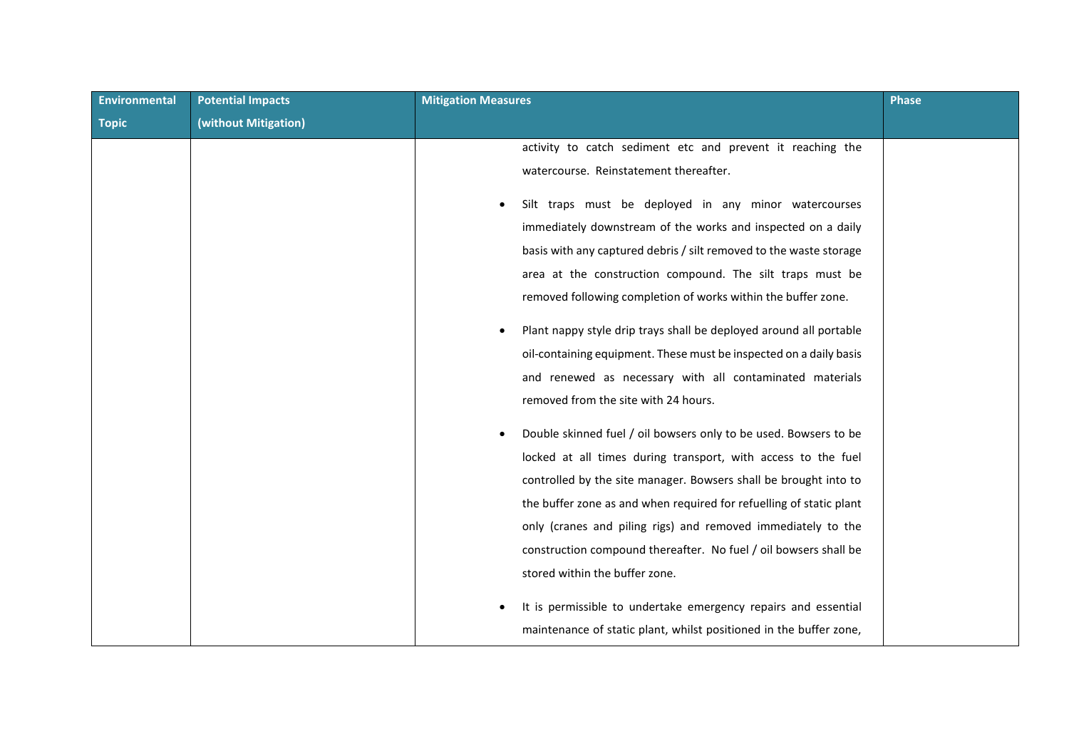| (without Mitigation)<br><b>Topic</b><br>activity to catch sediment etc and prevent it reaching the<br>watercourse. Reinstatement thereafter. |  |
|----------------------------------------------------------------------------------------------------------------------------------------------|--|
|                                                                                                                                              |  |
|                                                                                                                                              |  |
|                                                                                                                                              |  |
| Silt traps must be deployed in any minor watercourses<br>immediately downstream of the works and inspected on a daily                        |  |
| basis with any captured debris / silt removed to the waste storage                                                                           |  |
| area at the construction compound. The silt traps must be                                                                                    |  |
|                                                                                                                                              |  |
| removed following completion of works within the buffer zone.                                                                                |  |
| Plant nappy style drip trays shall be deployed around all portable                                                                           |  |
| oil-containing equipment. These must be inspected on a daily basis                                                                           |  |
| and renewed as necessary with all contaminated materials                                                                                     |  |
| removed from the site with 24 hours.                                                                                                         |  |
| Double skinned fuel / oil bowsers only to be used. Bowsers to be                                                                             |  |
| locked at all times during transport, with access to the fuel                                                                                |  |
| controlled by the site manager. Bowsers shall be brought into to                                                                             |  |
| the buffer zone as and when required for refuelling of static plant                                                                          |  |
| only (cranes and piling rigs) and removed immediately to the                                                                                 |  |
| construction compound thereafter. No fuel / oil bowsers shall be                                                                             |  |
| stored within the buffer zone.                                                                                                               |  |
| It is permissible to undertake emergency repairs and essential<br>maintenance of static plant, whilst positioned in the buffer zone,         |  |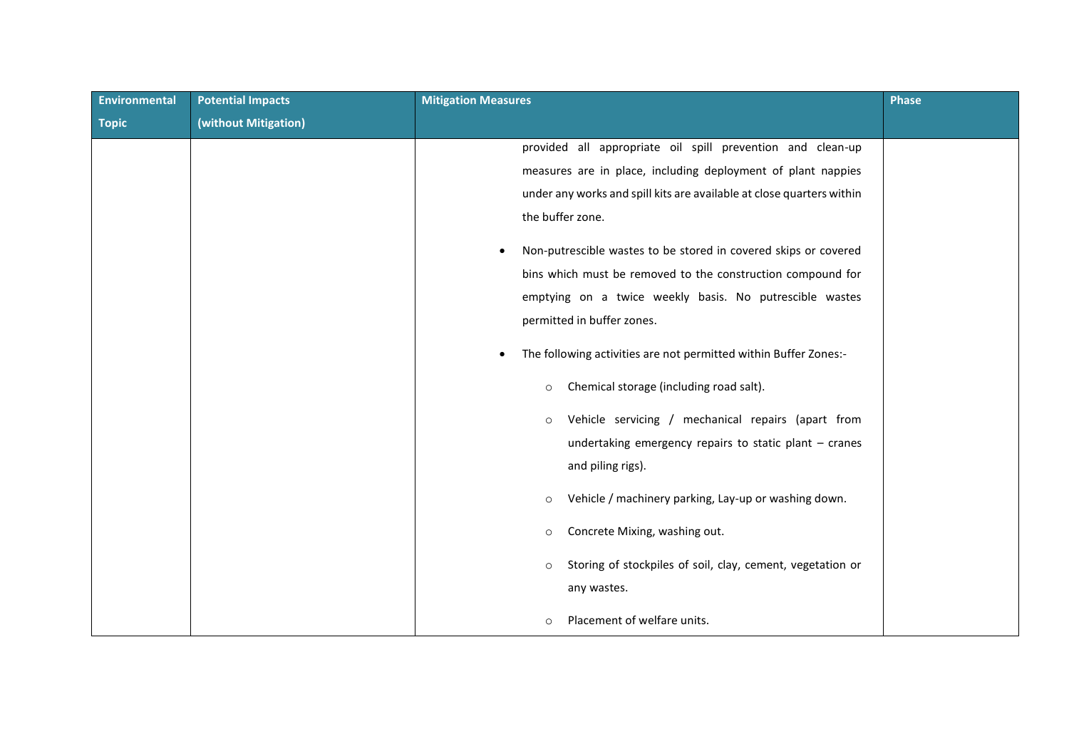| <b>Environmental</b> | <b>Potential Impacts</b> | <b>Mitigation Measures</b>                                            | <b>Phase</b> |
|----------------------|--------------------------|-----------------------------------------------------------------------|--------------|
| <b>Topic</b>         | (without Mitigation)     |                                                                       |              |
|                      |                          | provided all appropriate oil spill prevention and clean-up            |              |
|                      |                          | measures are in place, including deployment of plant nappies          |              |
|                      |                          | under any works and spill kits are available at close quarters within |              |
|                      |                          | the buffer zone.                                                      |              |
|                      |                          | Non-putrescible wastes to be stored in covered skips or covered       |              |
|                      |                          | bins which must be removed to the construction compound for           |              |
|                      |                          | emptying on a twice weekly basis. No putrescible wastes               |              |
|                      |                          | permitted in buffer zones.                                            |              |
|                      |                          | The following activities are not permitted within Buffer Zones:-      |              |
|                      |                          | Chemical storage (including road salt).<br>$\circ$                    |              |
|                      |                          | Vehicle servicing / mechanical repairs (apart from<br>$\circ$         |              |
|                      |                          | undertaking emergency repairs to static plant $-$ cranes              |              |
|                      |                          | and piling rigs).                                                     |              |
|                      |                          | Vehicle / machinery parking, Lay-up or washing down.<br>$\circ$       |              |
|                      |                          | Concrete Mixing, washing out.<br>$\circ$                              |              |
|                      |                          | Storing of stockpiles of soil, clay, cement, vegetation or<br>$\circ$ |              |
|                      |                          | any wastes.                                                           |              |
|                      |                          | Placement of welfare units.<br>$\circ$                                |              |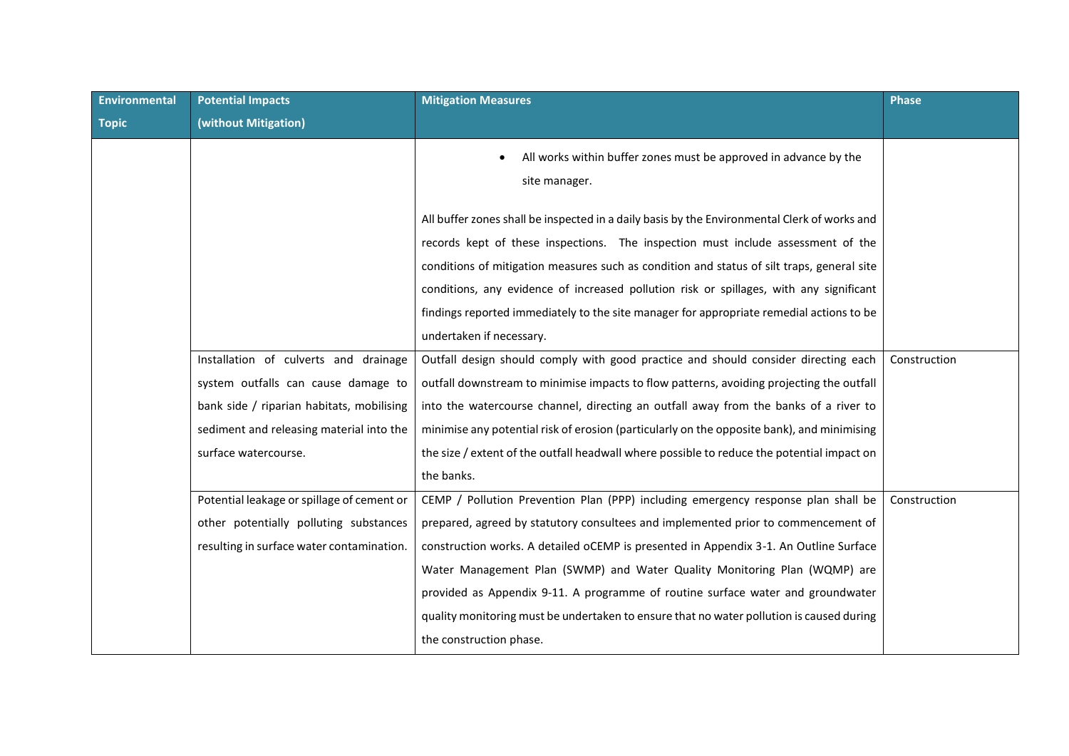| <b>Environmental</b> | <b>Potential Impacts</b>                   | <b>Mitigation Measures</b>                                                                   | <b>Phase</b> |
|----------------------|--------------------------------------------|----------------------------------------------------------------------------------------------|--------------|
| <b>Topic</b>         | (without Mitigation)                       |                                                                                              |              |
|                      |                                            | All works within buffer zones must be approved in advance by the<br>site manager.            |              |
|                      |                                            | All buffer zones shall be inspected in a daily basis by the Environmental Clerk of works and |              |
|                      |                                            | records kept of these inspections. The inspection must include assessment of the             |              |
|                      |                                            | conditions of mitigation measures such as condition and status of silt traps, general site   |              |
|                      |                                            | conditions, any evidence of increased pollution risk or spillages, with any significant      |              |
|                      |                                            | findings reported immediately to the site manager for appropriate remedial actions to be     |              |
|                      |                                            | undertaken if necessary.                                                                     |              |
|                      | Installation of culverts and drainage      | Outfall design should comply with good practice and should consider directing each           | Construction |
|                      | system outfalls can cause damage to        | outfall downstream to minimise impacts to flow patterns, avoiding projecting the outfall     |              |
|                      | bank side / riparian habitats, mobilising  | into the watercourse channel, directing an outfall away from the banks of a river to         |              |
|                      | sediment and releasing material into the   | minimise any potential risk of erosion (particularly on the opposite bank), and minimising   |              |
|                      | surface watercourse.                       | the size / extent of the outfall headwall where possible to reduce the potential impact on   |              |
|                      |                                            | the banks.                                                                                   |              |
|                      | Potential leakage or spillage of cement or | CEMP / Pollution Prevention Plan (PPP) including emergency response plan shall be            | Construction |
|                      | other potentially polluting substances     | prepared, agreed by statutory consultees and implemented prior to commencement of            |              |
|                      | resulting in surface water contamination.  | construction works. A detailed oCEMP is presented in Appendix 3-1. An Outline Surface        |              |
|                      |                                            | Water Management Plan (SWMP) and Water Quality Monitoring Plan (WQMP) are                    |              |
|                      |                                            | provided as Appendix 9-11. A programme of routine surface water and groundwater              |              |
|                      |                                            | quality monitoring must be undertaken to ensure that no water pollution is caused during     |              |
|                      |                                            | the construction phase.                                                                      |              |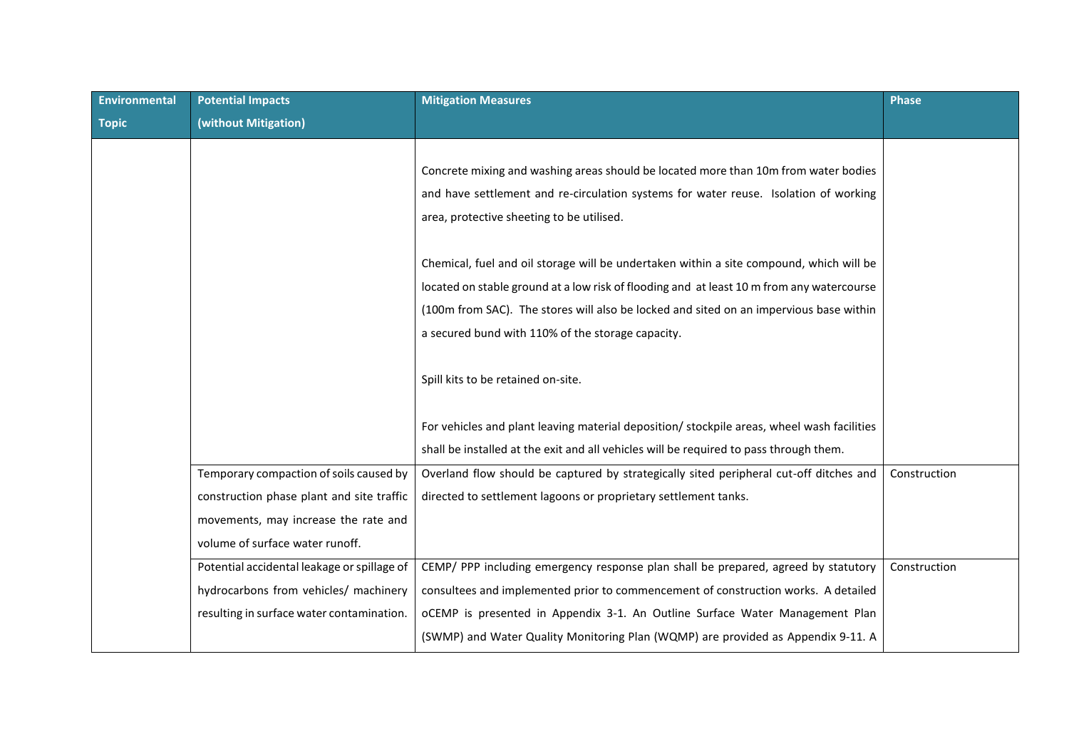| Environmental | <b>Potential Impacts</b>                    | <b>Mitigation Measures</b>                                                                 | <b>Phase</b> |
|---------------|---------------------------------------------|--------------------------------------------------------------------------------------------|--------------|
| <b>Topic</b>  | (without Mitigation)                        |                                                                                            |              |
|               |                                             |                                                                                            |              |
|               |                                             | Concrete mixing and washing areas should be located more than 10m from water bodies        |              |
|               |                                             | and have settlement and re-circulation systems for water reuse. Isolation of working       |              |
|               |                                             | area, protective sheeting to be utilised.                                                  |              |
|               |                                             |                                                                                            |              |
|               |                                             | Chemical, fuel and oil storage will be undertaken within a site compound, which will be    |              |
|               |                                             | located on stable ground at a low risk of flooding and at least 10 m from any watercourse  |              |
|               |                                             | (100m from SAC). The stores will also be locked and sited on an impervious base within     |              |
|               |                                             | a secured bund with 110% of the storage capacity.                                          |              |
|               |                                             |                                                                                            |              |
|               |                                             | Spill kits to be retained on-site.                                                         |              |
|               |                                             |                                                                                            |              |
|               |                                             | For vehicles and plant leaving material deposition/ stockpile areas, wheel wash facilities |              |
|               |                                             | shall be installed at the exit and all vehicles will be required to pass through them.     |              |
|               | Temporary compaction of soils caused by     | Overland flow should be captured by strategically sited peripheral cut-off ditches and     | Construction |
|               | construction phase plant and site traffic   | directed to settlement lagoons or proprietary settlement tanks.                            |              |
|               | movements, may increase the rate and        |                                                                                            |              |
|               | volume of surface water runoff.             |                                                                                            |              |
|               | Potential accidental leakage or spillage of | CEMP/ PPP including emergency response plan shall be prepared, agreed by statutory         | Construction |
|               | hydrocarbons from vehicles/ machinery       | consultees and implemented prior to commencement of construction works. A detailed         |              |
|               | resulting in surface water contamination.   | oCEMP is presented in Appendix 3-1. An Outline Surface Water Management Plan               |              |
|               |                                             | (SWMP) and Water Quality Monitoring Plan (WQMP) are provided as Appendix 9-11. A           |              |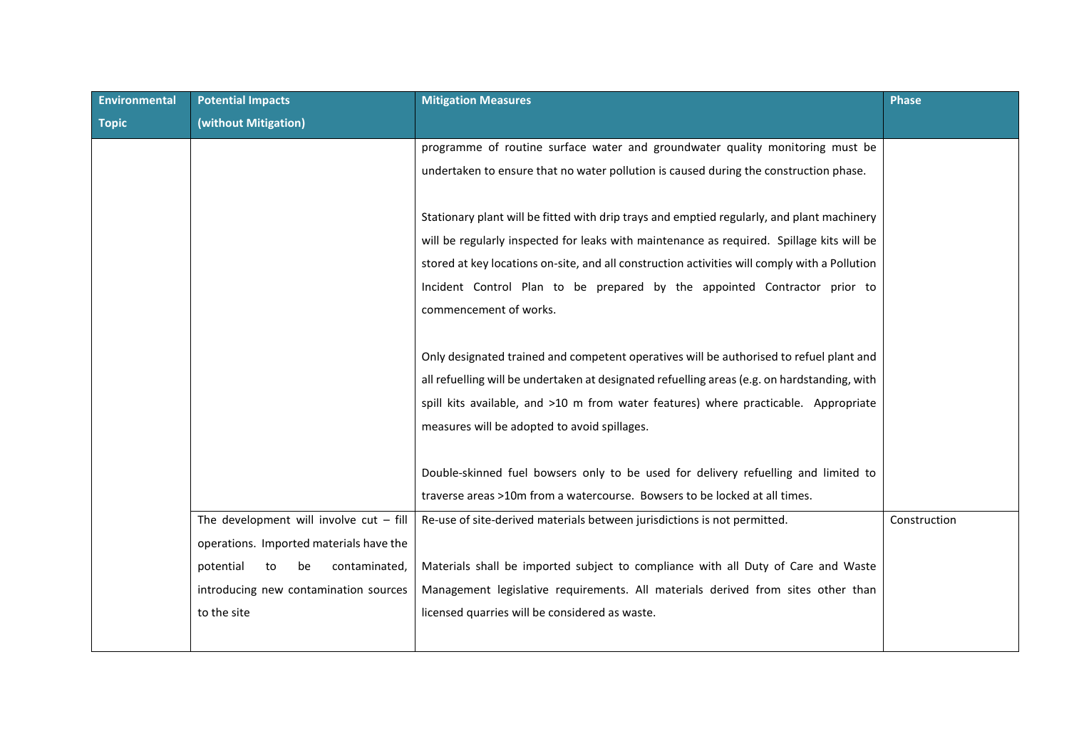| <b>Environmental</b> | <b>Potential Impacts</b>                  | <b>Mitigation Measures</b>                                                                    | <b>Phase</b> |
|----------------------|-------------------------------------------|-----------------------------------------------------------------------------------------------|--------------|
| <b>Topic</b>         | (without Mitigation)                      |                                                                                               |              |
|                      |                                           | programme of routine surface water and groundwater quality monitoring must be                 |              |
|                      |                                           | undertaken to ensure that no water pollution is caused during the construction phase.         |              |
|                      |                                           |                                                                                               |              |
|                      |                                           | Stationary plant will be fitted with drip trays and emptied regularly, and plant machinery    |              |
|                      |                                           | will be regularly inspected for leaks with maintenance as required. Spillage kits will be     |              |
|                      |                                           | stored at key locations on-site, and all construction activities will comply with a Pollution |              |
|                      |                                           | Incident Control Plan to be prepared by the appointed Contractor prior to                     |              |
|                      |                                           | commencement of works.                                                                        |              |
|                      |                                           |                                                                                               |              |
|                      |                                           | Only designated trained and competent operatives will be authorised to refuel plant and       |              |
|                      |                                           | all refuelling will be undertaken at designated refuelling areas (e.g. on hardstanding, with  |              |
|                      |                                           | spill kits available, and >10 m from water features) where practicable. Appropriate           |              |
|                      |                                           | measures will be adopted to avoid spillages.                                                  |              |
|                      |                                           |                                                                                               |              |
|                      |                                           | Double-skinned fuel bowsers only to be used for delivery refuelling and limited to            |              |
|                      |                                           | traverse areas >10m from a watercourse. Bowsers to be locked at all times.                    |              |
|                      | The development will involve $cut - fill$ | Re-use of site-derived materials between jurisdictions is not permitted.                      | Construction |
|                      | operations. Imported materials have the   |                                                                                               |              |
|                      | contaminated,<br>potential<br>to<br>be    | Materials shall be imported subject to compliance with all Duty of Care and Waste             |              |
|                      | introducing new contamination sources     | Management legislative requirements. All materials derived from sites other than              |              |
|                      | to the site                               | licensed quarries will be considered as waste.                                                |              |
|                      |                                           |                                                                                               |              |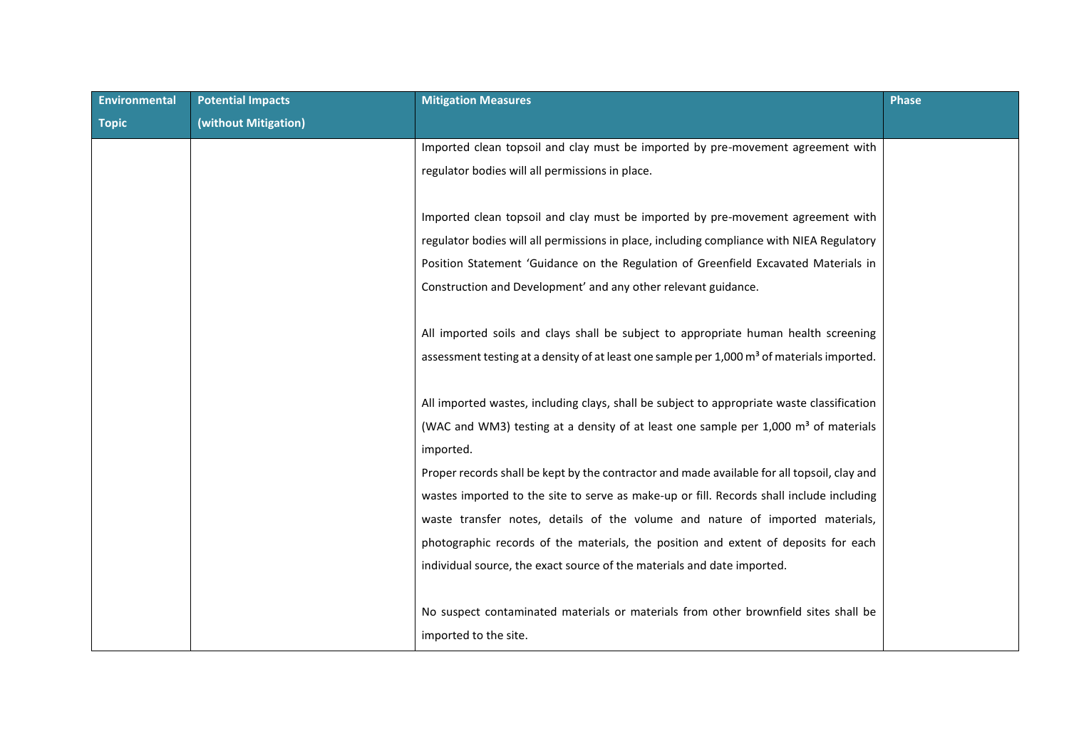| <b>Potential Impacts</b> | <b>Mitigation Measures</b>                                                                             | Phase |
|--------------------------|--------------------------------------------------------------------------------------------------------|-------|
| (without Mitigation)     |                                                                                                        |       |
|                          | Imported clean topsoil and clay must be imported by pre-movement agreement with                        |       |
|                          | regulator bodies will all permissions in place.                                                        |       |
|                          |                                                                                                        |       |
|                          | Imported clean topsoil and clay must be imported by pre-movement agreement with                        |       |
|                          | regulator bodies will all permissions in place, including compliance with NIEA Regulatory              |       |
|                          | Position Statement 'Guidance on the Regulation of Greenfield Excavated Materials in                    |       |
|                          | Construction and Development' and any other relevant guidance.                                         |       |
|                          |                                                                                                        |       |
|                          | All imported soils and clays shall be subject to appropriate human health screening                    |       |
|                          | assessment testing at a density of at least one sample per 1,000 m <sup>3</sup> of materials imported. |       |
|                          |                                                                                                        |       |
|                          | All imported wastes, including clays, shall be subject to appropriate waste classification             |       |
|                          | (WAC and WM3) testing at a density of at least one sample per 1,000 m <sup>3</sup> of materials        |       |
|                          | imported.                                                                                              |       |
|                          | Proper records shall be kept by the contractor and made available for all topsoil, clay and            |       |
|                          | wastes imported to the site to serve as make-up or fill. Records shall include including               |       |
|                          | waste transfer notes, details of the volume and nature of imported materials,                          |       |
|                          | photographic records of the materials, the position and extent of deposits for each                    |       |
|                          | individual source, the exact source of the materials and date imported.                                |       |
|                          |                                                                                                        |       |
|                          | No suspect contaminated materials or materials from other brownfield sites shall be                    |       |
|                          | imported to the site.                                                                                  |       |
|                          |                                                                                                        |       |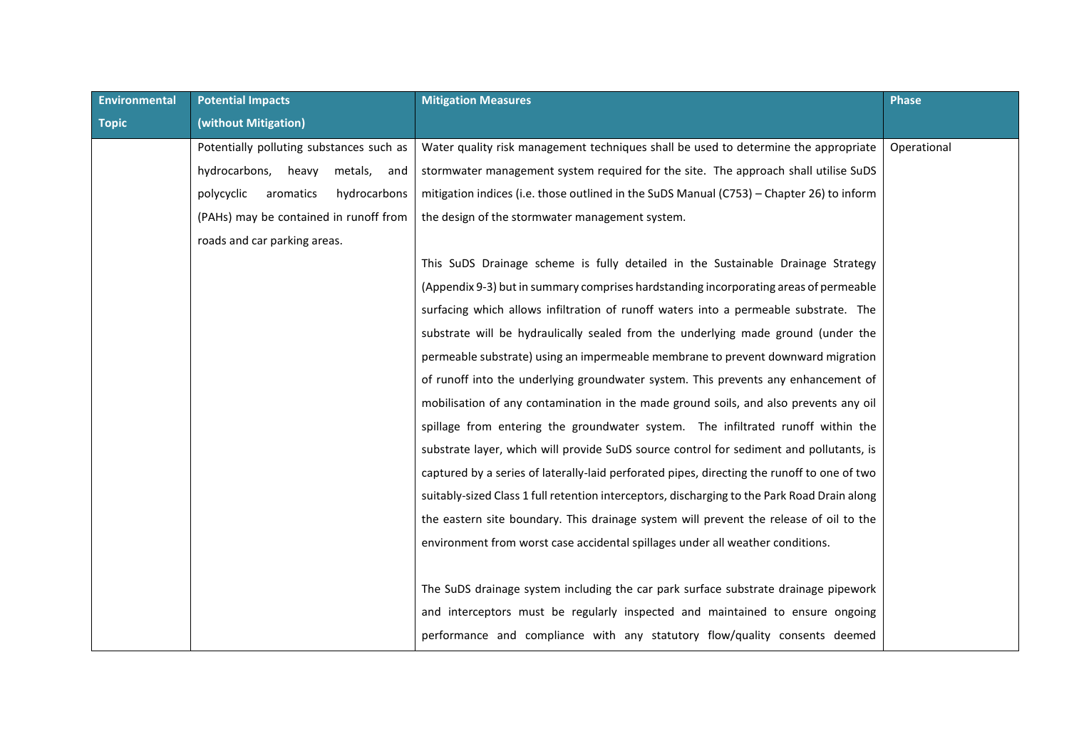| <b>Environmental</b> | <b>Potential Impacts</b>                 | <b>Mitigation Measures</b>                                                                   | Phase       |
|----------------------|------------------------------------------|----------------------------------------------------------------------------------------------|-------------|
| <b>Topic</b>         | (without Mitigation)                     |                                                                                              |             |
|                      | Potentially polluting substances such as | Water quality risk management techniques shall be used to determine the appropriate          | Operational |
|                      | hydrocarbons,<br>heavy<br>metals,<br>and | stormwater management system required for the site. The approach shall utilise SuDS          |             |
|                      | polycyclic<br>aromatics<br>hydrocarbons  | mitigation indices (i.e. those outlined in the SuDS Manual (C753) - Chapter 26) to inform    |             |
|                      | (PAHs) may be contained in runoff from   | the design of the stormwater management system.                                              |             |
|                      | roads and car parking areas.             |                                                                                              |             |
|                      |                                          | This SuDS Drainage scheme is fully detailed in the Sustainable Drainage Strategy             |             |
|                      |                                          | (Appendix 9-3) but in summary comprises hardstanding incorporating areas of permeable        |             |
|                      |                                          | surfacing which allows infiltration of runoff waters into a permeable substrate. The         |             |
|                      |                                          | substrate will be hydraulically sealed from the underlying made ground (under the            |             |
|                      |                                          | permeable substrate) using an impermeable membrane to prevent downward migration             |             |
|                      |                                          | of runoff into the underlying groundwater system. This prevents any enhancement of           |             |
|                      |                                          | mobilisation of any contamination in the made ground soils, and also prevents any oil        |             |
|                      |                                          | spillage from entering the groundwater system. The infiltrated runoff within the             |             |
|                      |                                          | substrate layer, which will provide SuDS source control for sediment and pollutants, is      |             |
|                      |                                          | captured by a series of laterally-laid perforated pipes, directing the runoff to one of two  |             |
|                      |                                          | suitably-sized Class 1 full retention interceptors, discharging to the Park Road Drain along |             |
|                      |                                          | the eastern site boundary. This drainage system will prevent the release of oil to the       |             |
|                      |                                          | environment from worst case accidental spillages under all weather conditions.               |             |
|                      |                                          |                                                                                              |             |
|                      |                                          | The SuDS drainage system including the car park surface substrate drainage pipework          |             |
|                      |                                          | and interceptors must be regularly inspected and maintained to ensure ongoing                |             |
|                      |                                          | performance and compliance with any statutory flow/quality consents deemed                   |             |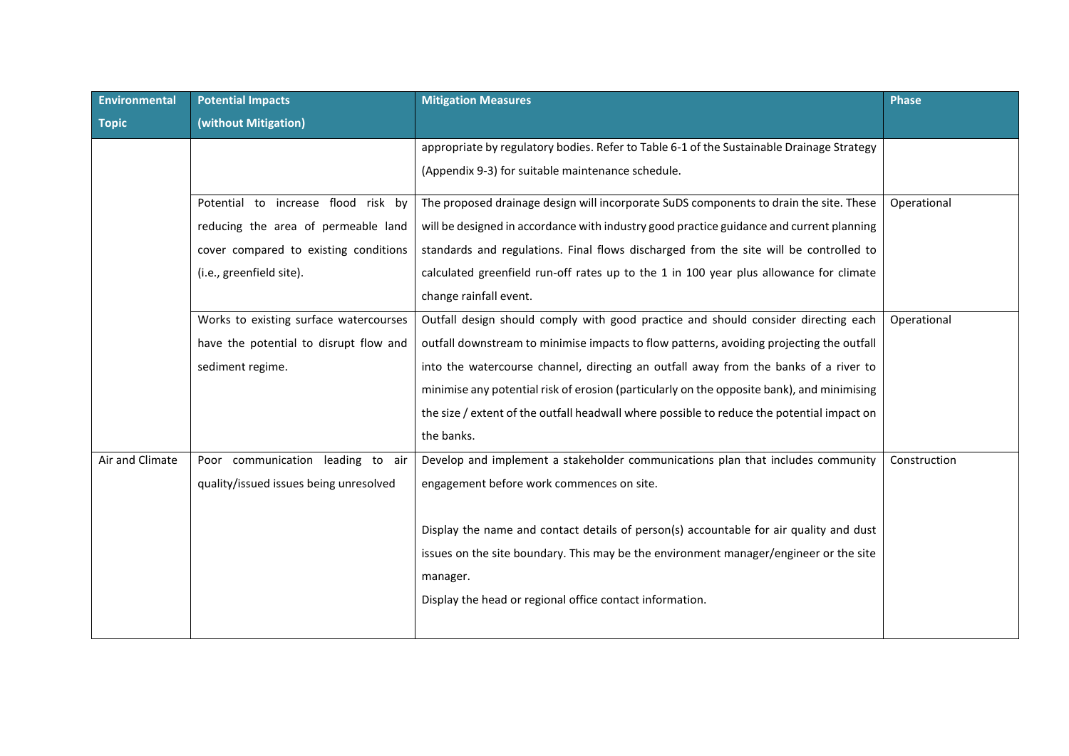| Environmental   | <b>Potential Impacts</b>               | <b>Mitigation Measures</b>                                                                 | <b>Phase</b> |
|-----------------|----------------------------------------|--------------------------------------------------------------------------------------------|--------------|
| <b>Topic</b>    | (without Mitigation)                   |                                                                                            |              |
|                 |                                        | appropriate by regulatory bodies. Refer to Table 6-1 of the Sustainable Drainage Strategy  |              |
|                 |                                        | (Appendix 9-3) for suitable maintenance schedule.                                          |              |
|                 | Potential to increase flood risk by    | The proposed drainage design will incorporate SuDS components to drain the site. These     | Operational  |
|                 | reducing the area of permeable land    | will be designed in accordance with industry good practice guidance and current planning   |              |
|                 | cover compared to existing conditions  | standards and regulations. Final flows discharged from the site will be controlled to      |              |
|                 | (i.e., greenfield site).               | calculated greenfield run-off rates up to the 1 in 100 year plus allowance for climate     |              |
|                 |                                        | change rainfall event.                                                                     |              |
|                 | Works to existing surface watercourses | Outfall design should comply with good practice and should consider directing each         | Operational  |
|                 | have the potential to disrupt flow and | outfall downstream to minimise impacts to flow patterns, avoiding projecting the outfall   |              |
|                 | sediment regime.                       | into the watercourse channel, directing an outfall away from the banks of a river to       |              |
|                 |                                        | minimise any potential risk of erosion (particularly on the opposite bank), and minimising |              |
|                 |                                        | the size / extent of the outfall headwall where possible to reduce the potential impact on |              |
|                 |                                        | the banks.                                                                                 |              |
| Air and Climate | Poor communication leading to air      | Develop and implement a stakeholder communications plan that includes community            | Construction |
|                 | quality/issued issues being unresolved | engagement before work commences on site.                                                  |              |
|                 |                                        |                                                                                            |              |
|                 |                                        | Display the name and contact details of person(s) accountable for air quality and dust     |              |
|                 |                                        | issues on the site boundary. This may be the environment manager/engineer or the site      |              |
|                 |                                        | manager.                                                                                   |              |
|                 |                                        | Display the head or regional office contact information.                                   |              |
|                 |                                        |                                                                                            |              |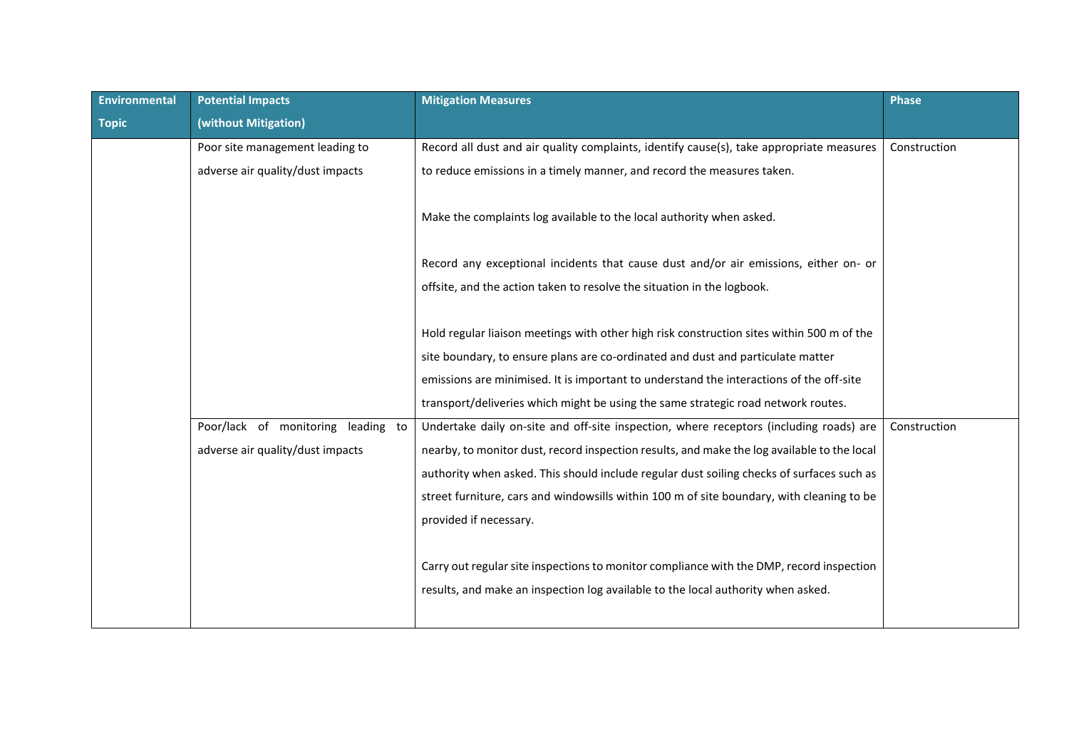| Environmental | <b>Potential Impacts</b>           | <b>Mitigation Measures</b>                                                                  | <b>Phase</b> |
|---------------|------------------------------------|---------------------------------------------------------------------------------------------|--------------|
| <b>Topic</b>  | (without Mitigation)               |                                                                                             |              |
|               | Poor site management leading to    | Record all dust and air quality complaints, identify cause(s), take appropriate measures    | Construction |
|               | adverse air quality/dust impacts   | to reduce emissions in a timely manner, and record the measures taken.                      |              |
|               |                                    | Make the complaints log available to the local authority when asked.                        |              |
|               |                                    | Record any exceptional incidents that cause dust and/or air emissions, either on- or        |              |
|               |                                    | offsite, and the action taken to resolve the situation in the logbook.                      |              |
|               |                                    |                                                                                             |              |
|               |                                    | Hold regular liaison meetings with other high risk construction sites within 500 m of the   |              |
|               |                                    | site boundary, to ensure plans are co-ordinated and dust and particulate matter             |              |
|               |                                    | emissions are minimised. It is important to understand the interactions of the off-site     |              |
|               |                                    | transport/deliveries which might be using the same strategic road network routes.           |              |
|               | Poor/lack of monitoring leading to | Undertake daily on-site and off-site inspection, where receptors (including roads) are      | Construction |
|               | adverse air quality/dust impacts   | nearby, to monitor dust, record inspection results, and make the log available to the local |              |
|               |                                    | authority when asked. This should include regular dust soiling checks of surfaces such as   |              |
|               |                                    | street furniture, cars and windowsills within 100 m of site boundary, with cleaning to be   |              |
|               |                                    | provided if necessary.                                                                      |              |
|               |                                    |                                                                                             |              |
|               |                                    | Carry out regular site inspections to monitor compliance with the DMP, record inspection    |              |
|               |                                    | results, and make an inspection log available to the local authority when asked.            |              |
|               |                                    |                                                                                             |              |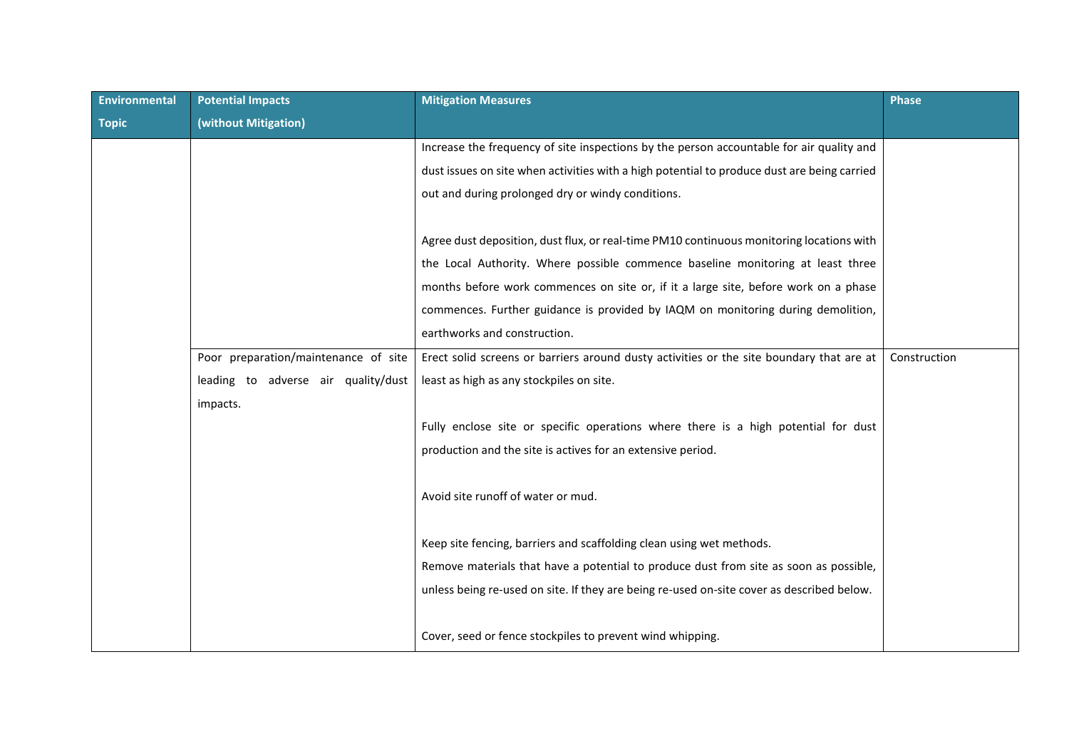| Environmental | <b>Potential Impacts</b>             | <b>Mitigation Measures</b>                                                                  | <b>Phase</b> |
|---------------|--------------------------------------|---------------------------------------------------------------------------------------------|--------------|
| <b>Topic</b>  | (without Mitigation)                 |                                                                                             |              |
|               |                                      | Increase the frequency of site inspections by the person accountable for air quality and    |              |
|               |                                      | dust issues on site when activities with a high potential to produce dust are being carried |              |
|               |                                      | out and during prolonged dry or windy conditions.                                           |              |
|               |                                      |                                                                                             |              |
|               |                                      | Agree dust deposition, dust flux, or real-time PM10 continuous monitoring locations with    |              |
|               |                                      | the Local Authority. Where possible commence baseline monitoring at least three             |              |
|               |                                      | months before work commences on site or, if it a large site, before work on a phase         |              |
|               |                                      | commences. Further guidance is provided by IAQM on monitoring during demolition,            |              |
|               |                                      | earthworks and construction.                                                                |              |
|               | Poor preparation/maintenance of site | Erect solid screens or barriers around dusty activities or the site boundary that are at    | Construction |
|               | leading to adverse air quality/dust  | least as high as any stockpiles on site.                                                    |              |
|               | impacts.                             |                                                                                             |              |
|               |                                      | Fully enclose site or specific operations where there is a high potential for dust          |              |
|               |                                      | production and the site is actives for an extensive period.                                 |              |
|               |                                      |                                                                                             |              |
|               |                                      | Avoid site runoff of water or mud.                                                          |              |
|               |                                      |                                                                                             |              |
|               |                                      | Keep site fencing, barriers and scaffolding clean using wet methods.                        |              |
|               |                                      | Remove materials that have a potential to produce dust from site as soon as possible,       |              |
|               |                                      | unless being re-used on site. If they are being re-used on-site cover as described below.   |              |
|               |                                      |                                                                                             |              |
|               |                                      | Cover, seed or fence stockpiles to prevent wind whipping.                                   |              |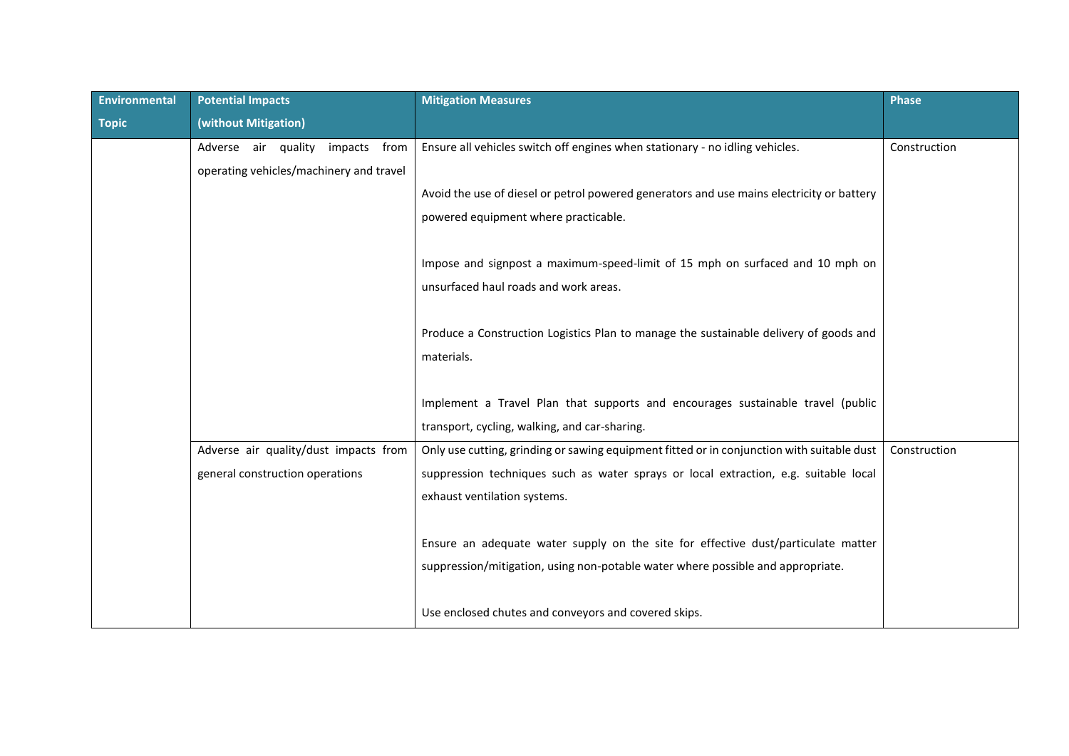| Environmental | <b>Potential Impacts</b>                | <b>Mitigation Measures</b>                                                                 | <b>Phase</b> |
|---------------|-----------------------------------------|--------------------------------------------------------------------------------------------|--------------|
| <b>Topic</b>  | (without Mitigation)                    |                                                                                            |              |
|               | Adverse air quality impacts from        | Ensure all vehicles switch off engines when stationary - no idling vehicles.               | Construction |
|               | operating vehicles/machinery and travel |                                                                                            |              |
|               |                                         | Avoid the use of diesel or petrol powered generators and use mains electricity or battery  |              |
|               |                                         | powered equipment where practicable.                                                       |              |
|               |                                         |                                                                                            |              |
|               |                                         | Impose and signpost a maximum-speed-limit of 15 mph on surfaced and 10 mph on              |              |
|               |                                         | unsurfaced haul roads and work areas.                                                      |              |
|               |                                         |                                                                                            |              |
|               |                                         | Produce a Construction Logistics Plan to manage the sustainable delivery of goods and      |              |
|               |                                         | materials.                                                                                 |              |
|               |                                         |                                                                                            |              |
|               |                                         | Implement a Travel Plan that supports and encourages sustainable travel (public            |              |
|               |                                         | transport, cycling, walking, and car-sharing.                                              |              |
|               | Adverse air quality/dust impacts from   | Only use cutting, grinding or sawing equipment fitted or in conjunction with suitable dust | Construction |
|               | general construction operations         | suppression techniques such as water sprays or local extraction, e.g. suitable local       |              |
|               |                                         | exhaust ventilation systems.                                                               |              |
|               |                                         |                                                                                            |              |
|               |                                         | Ensure an adequate water supply on the site for effective dust/particulate matter          |              |
|               |                                         | suppression/mitigation, using non-potable water where possible and appropriate.            |              |
|               |                                         |                                                                                            |              |
|               |                                         | Use enclosed chutes and conveyors and covered skips.                                       |              |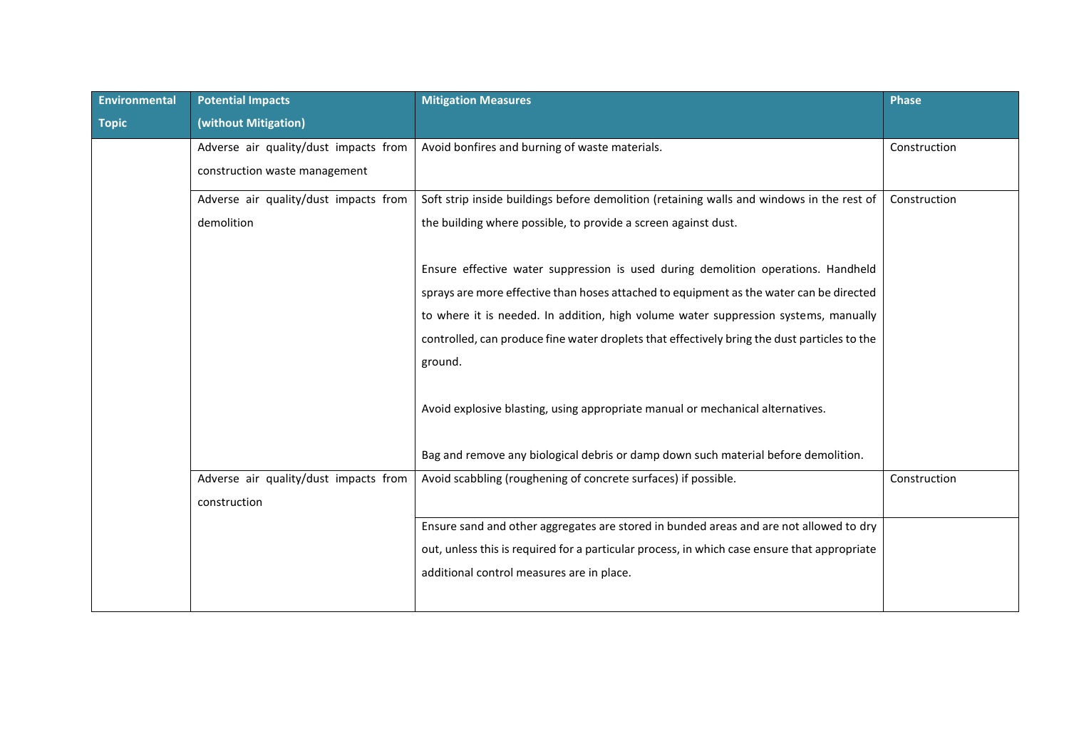| Environmental | <b>Potential Impacts</b>              | <b>Mitigation Measures</b>                                                                   | <b>Phase</b> |
|---------------|---------------------------------------|----------------------------------------------------------------------------------------------|--------------|
| <b>Topic</b>  | (without Mitigation)                  |                                                                                              |              |
|               | Adverse air quality/dust impacts from | Avoid bonfires and burning of waste materials.                                               | Construction |
|               | construction waste management         |                                                                                              |              |
|               | Adverse air quality/dust impacts from | Soft strip inside buildings before demolition (retaining walls and windows in the rest of    | Construction |
|               | demolition                            | the building where possible, to provide a screen against dust.                               |              |
|               |                                       | Ensure effective water suppression is used during demolition operations. Handheld            |              |
|               |                                       | sprays are more effective than hoses attached to equipment as the water can be directed      |              |
|               |                                       | to where it is needed. In addition, high volume water suppression systems, manually          |              |
|               |                                       | controlled, can produce fine water droplets that effectively bring the dust particles to the |              |
|               |                                       | ground.                                                                                      |              |
|               |                                       | Avoid explosive blasting, using appropriate manual or mechanical alternatives.               |              |
|               |                                       | Bag and remove any biological debris or damp down such material before demolition.           |              |
|               | Adverse air quality/dust impacts from | Avoid scabbling (roughening of concrete surfaces) if possible.                               | Construction |
|               | construction                          |                                                                                              |              |
|               |                                       | Ensure sand and other aggregates are stored in bunded areas and are not allowed to dry       |              |
|               |                                       | out, unless this is required for a particular process, in which case ensure that appropriate |              |
|               |                                       | additional control measures are in place.                                                    |              |
|               |                                       |                                                                                              |              |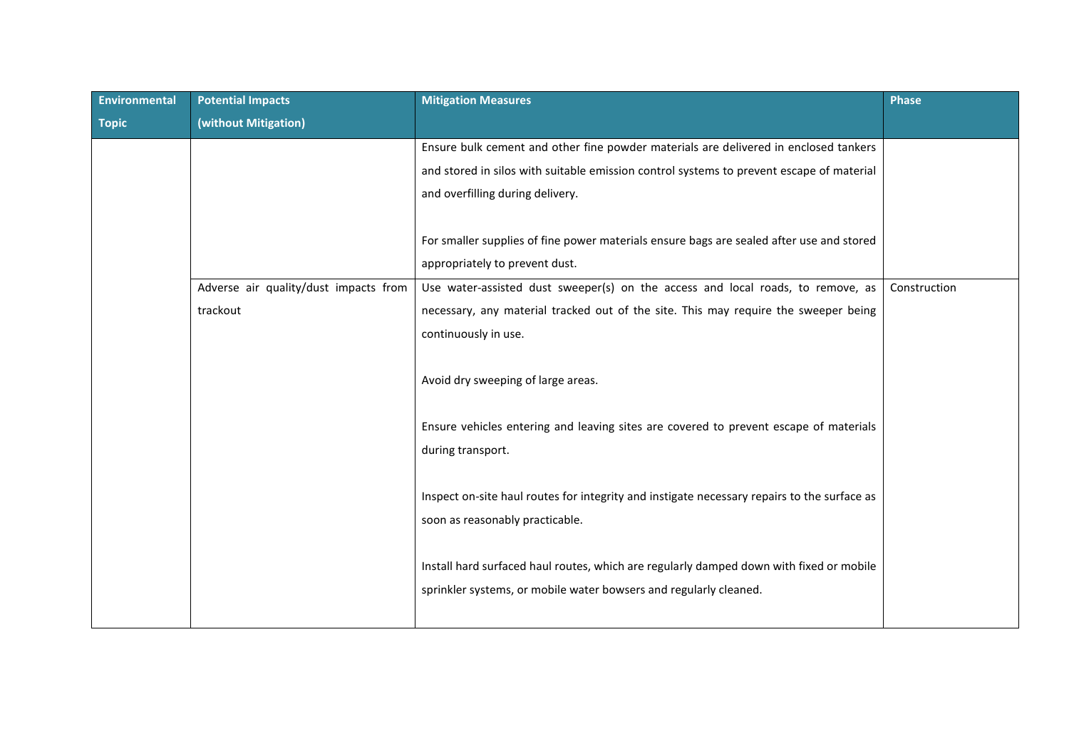| Environmental | <b>Potential Impacts</b>              | <b>Mitigation Measures</b>                                                                  | <b>Phase</b> |
|---------------|---------------------------------------|---------------------------------------------------------------------------------------------|--------------|
| <b>Topic</b>  | (without Mitigation)                  |                                                                                             |              |
|               |                                       | Ensure bulk cement and other fine powder materials are delivered in enclosed tankers        |              |
|               |                                       | and stored in silos with suitable emission control systems to prevent escape of material    |              |
|               |                                       | and overfilling during delivery.                                                            |              |
|               |                                       |                                                                                             |              |
|               |                                       | For smaller supplies of fine power materials ensure bags are sealed after use and stored    |              |
|               |                                       | appropriately to prevent dust.                                                              |              |
|               | Adverse air quality/dust impacts from | Use water-assisted dust sweeper(s) on the access and local roads, to remove, as             | Construction |
|               | trackout                              | necessary, any material tracked out of the site. This may require the sweeper being         |              |
|               |                                       | continuously in use.                                                                        |              |
|               |                                       |                                                                                             |              |
|               |                                       | Avoid dry sweeping of large areas.                                                          |              |
|               |                                       |                                                                                             |              |
|               |                                       | Ensure vehicles entering and leaving sites are covered to prevent escape of materials       |              |
|               |                                       | during transport.                                                                           |              |
|               |                                       |                                                                                             |              |
|               |                                       | Inspect on-site haul routes for integrity and instigate necessary repairs to the surface as |              |
|               |                                       | soon as reasonably practicable.                                                             |              |
|               |                                       |                                                                                             |              |
|               |                                       | Install hard surfaced haul routes, which are regularly damped down with fixed or mobile     |              |
|               |                                       | sprinkler systems, or mobile water bowsers and regularly cleaned.                           |              |
|               |                                       |                                                                                             |              |
|               |                                       |                                                                                             |              |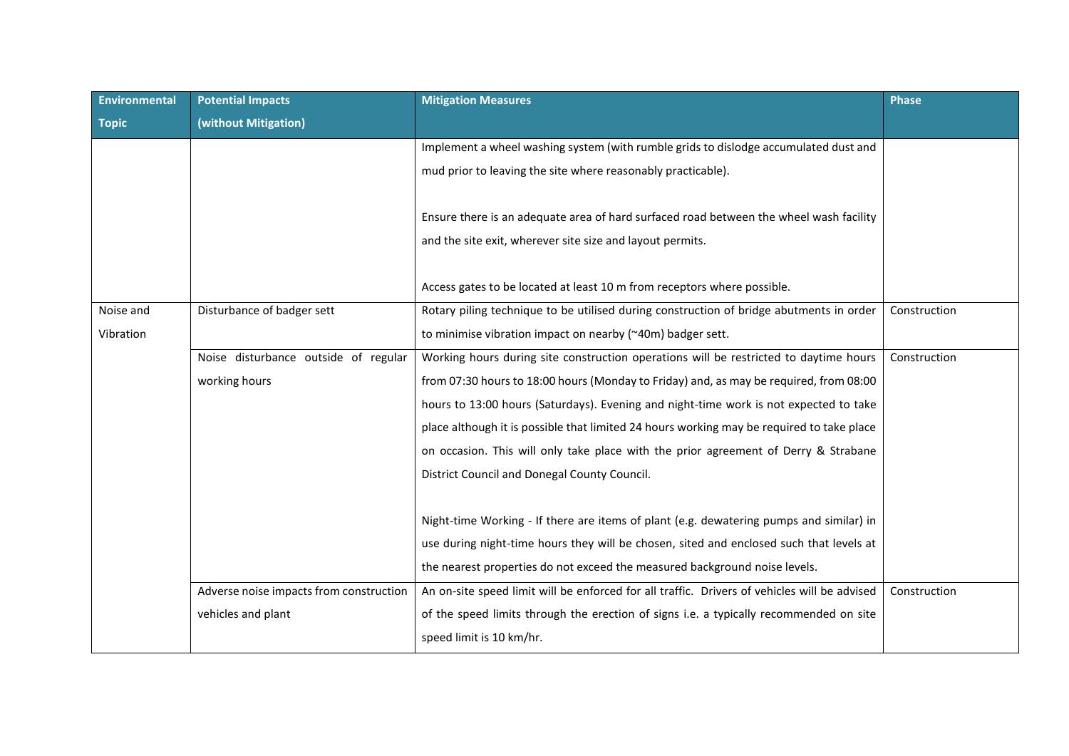| <b>Environmental</b> | <b>Potential Impacts</b>                | <b>Mitigation Measures</b>                                                                                                                          | <b>Phase</b> |
|----------------------|-----------------------------------------|-----------------------------------------------------------------------------------------------------------------------------------------------------|--------------|
| <b>Topic</b>         | (without Mitigation)                    |                                                                                                                                                     |              |
|                      |                                         | Implement a wheel washing system (with rumble grids to dislodge accumulated dust and                                                                |              |
|                      |                                         | mud prior to leaving the site where reasonably practicable).                                                                                        |              |
|                      |                                         | Ensure there is an adequate area of hard surfaced road between the wheel wash facility<br>and the site exit, wherever site size and layout permits. |              |
|                      |                                         | Access gates to be located at least 10 m from receptors where possible.                                                                             |              |
| Noise and            | Disturbance of badger sett              | Rotary piling technique to be utilised during construction of bridge abutments in order                                                             | Construction |
| Vibration            |                                         | to minimise vibration impact on nearby (~40m) badger sett.                                                                                          |              |
|                      | Noise disturbance outside of regular    | Working hours during site construction operations will be restricted to daytime hours                                                               | Construction |
|                      | working hours                           | from 07:30 hours to 18:00 hours (Monday to Friday) and, as may be required, from 08:00                                                              |              |
|                      |                                         | hours to 13:00 hours (Saturdays). Evening and night-time work is not expected to take                                                               |              |
|                      |                                         | place although it is possible that limited 24 hours working may be required to take place                                                           |              |
|                      |                                         | on occasion. This will only take place with the prior agreement of Derry & Strabane                                                                 |              |
|                      |                                         | District Council and Donegal County Council.                                                                                                        |              |
|                      |                                         |                                                                                                                                                     |              |
|                      |                                         | Night-time Working - If there are items of plant (e.g. dewatering pumps and similar) in                                                             |              |
|                      |                                         | use during night-time hours they will be chosen, sited and enclosed such that levels at                                                             |              |
|                      |                                         | the nearest properties do not exceed the measured background noise levels.                                                                          |              |
|                      | Adverse noise impacts from construction | An on-site speed limit will be enforced for all traffic. Drivers of vehicles will be advised                                                        | Construction |
|                      | vehicles and plant                      | of the speed limits through the erection of signs i.e. a typically recommended on site                                                              |              |
|                      |                                         | speed limit is 10 km/hr.                                                                                                                            |              |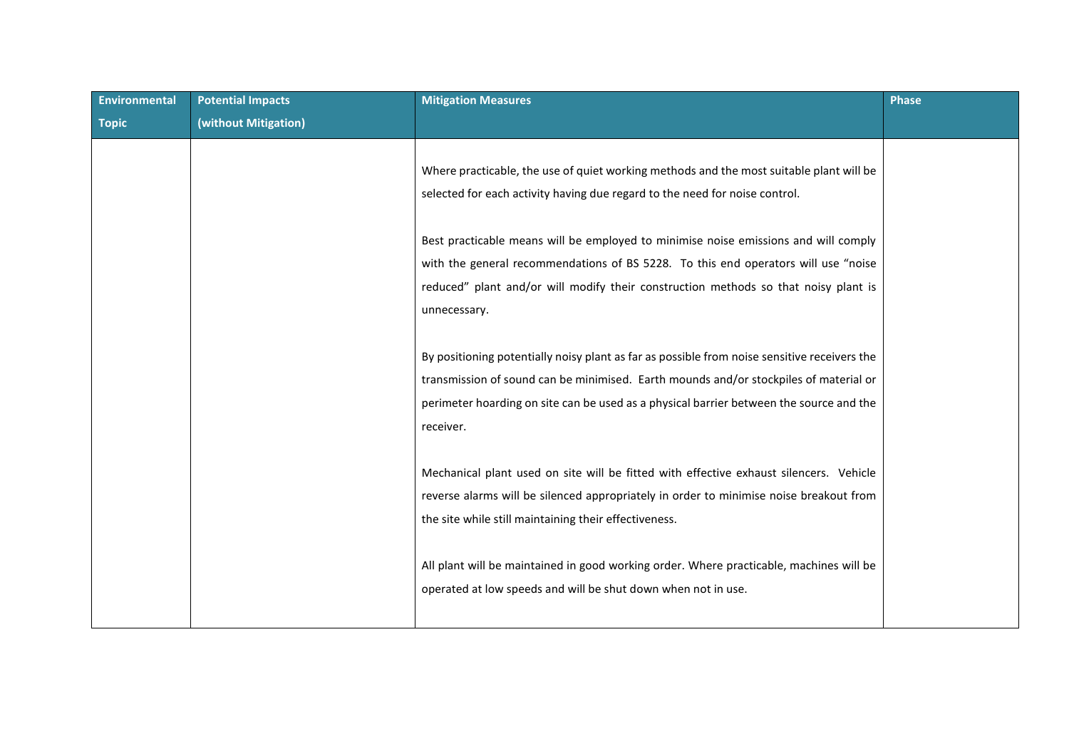| <b>Potential Impacts</b> | <b>Mitigation Measures</b>                                                                   | <b>Phase</b> |
|--------------------------|----------------------------------------------------------------------------------------------|--------------|
| (without Mitigation)     |                                                                                              |              |
|                          |                                                                                              |              |
|                          | Where practicable, the use of quiet working methods and the most suitable plant will be      |              |
|                          | selected for each activity having due regard to the need for noise control.                  |              |
|                          |                                                                                              |              |
|                          | Best practicable means will be employed to minimise noise emissions and will comply          |              |
|                          | with the general recommendations of BS 5228. To this end operators will use "noise           |              |
|                          | reduced" plant and/or will modify their construction methods so that noisy plant is          |              |
|                          | unnecessary.                                                                                 |              |
|                          |                                                                                              |              |
|                          | By positioning potentially noisy plant as far as possible from noise sensitive receivers the |              |
|                          | transmission of sound can be minimised. Earth mounds and/or stockpiles of material or        |              |
|                          | perimeter hoarding on site can be used as a physical barrier between the source and the      |              |
|                          | receiver.                                                                                    |              |
|                          |                                                                                              |              |
|                          | Mechanical plant used on site will be fitted with effective exhaust silencers. Vehicle       |              |
|                          | reverse alarms will be silenced appropriately in order to minimise noise breakout from       |              |
|                          | the site while still maintaining their effectiveness.                                        |              |
|                          |                                                                                              |              |
|                          | All plant will be maintained in good working order. Where practicable, machines will be      |              |
|                          | operated at low speeds and will be shut down when not in use.                                |              |
|                          |                                                                                              |              |
|                          |                                                                                              |              |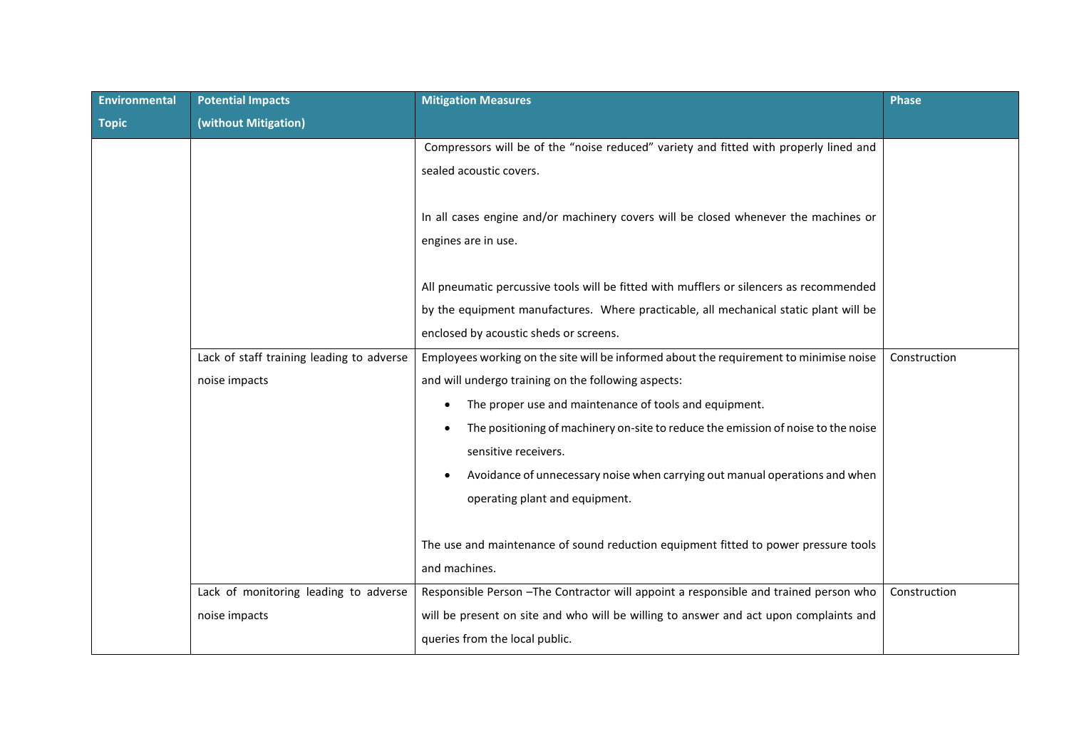| Environmental | <b>Potential Impacts</b>                  | <b>Mitigation Measures</b>                                                                                 | <b>Phase</b> |
|---------------|-------------------------------------------|------------------------------------------------------------------------------------------------------------|--------------|
| <b>Topic</b>  | (without Mitigation)                      |                                                                                                            |              |
|               |                                           | Compressors will be of the "noise reduced" variety and fitted with properly lined and                      |              |
|               |                                           | sealed acoustic covers.                                                                                    |              |
|               |                                           | In all cases engine and/or machinery covers will be closed whenever the machines or<br>engines are in use. |              |
|               |                                           | All pneumatic percussive tools will be fitted with mufflers or silencers as recommended                    |              |
|               |                                           | by the equipment manufactures. Where practicable, all mechanical static plant will be                      |              |
|               |                                           | enclosed by acoustic sheds or screens.                                                                     |              |
|               | Lack of staff training leading to adverse | Employees working on the site will be informed about the requirement to minimise noise                     | Construction |
|               | noise impacts                             | and will undergo training on the following aspects:                                                        |              |
|               |                                           | The proper use and maintenance of tools and equipment.<br>$\bullet$                                        |              |
|               |                                           | The positioning of machinery on-site to reduce the emission of noise to the noise                          |              |
|               |                                           | sensitive receivers.                                                                                       |              |
|               |                                           | Avoidance of unnecessary noise when carrying out manual operations and when<br>$\bullet$                   |              |
|               |                                           | operating plant and equipment.                                                                             |              |
|               |                                           |                                                                                                            |              |
|               |                                           | The use and maintenance of sound reduction equipment fitted to power pressure tools                        |              |
|               |                                           | and machines.                                                                                              |              |
|               | Lack of monitoring leading to adverse     | Responsible Person - The Contractor will appoint a responsible and trained person who                      | Construction |
|               | noise impacts                             | will be present on site and who will be willing to answer and act upon complaints and                      |              |
|               |                                           | queries from the local public.                                                                             |              |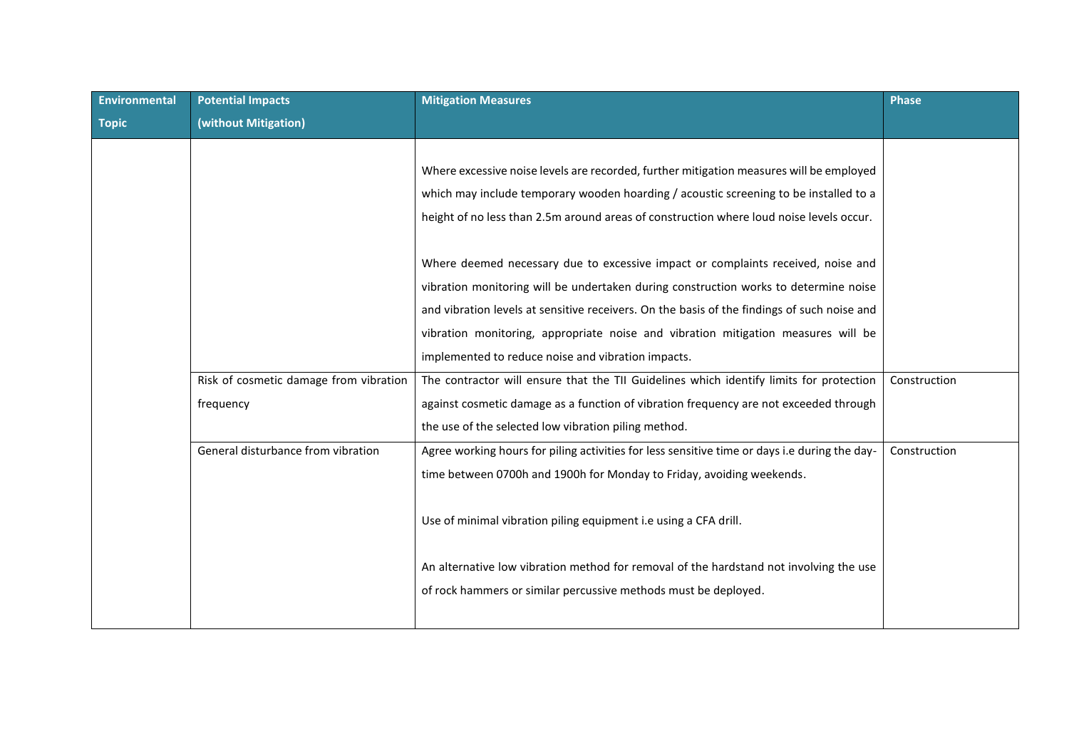| <b>Environmental</b> | <b>Potential Impacts</b>               | <b>Mitigation Measures</b>                                                                    | <b>Phase</b> |
|----------------------|----------------------------------------|-----------------------------------------------------------------------------------------------|--------------|
| <b>Topic</b>         | (without Mitigation)                   |                                                                                               |              |
|                      |                                        |                                                                                               |              |
|                      |                                        | Where excessive noise levels are recorded, further mitigation measures will be employed       |              |
|                      |                                        | which may include temporary wooden hoarding / acoustic screening to be installed to a         |              |
|                      |                                        | height of no less than 2.5m around areas of construction where loud noise levels occur.       |              |
|                      |                                        |                                                                                               |              |
|                      |                                        | Where deemed necessary due to excessive impact or complaints received, noise and              |              |
|                      |                                        | vibration monitoring will be undertaken during construction works to determine noise          |              |
|                      |                                        | and vibration levels at sensitive receivers. On the basis of the findings of such noise and   |              |
|                      |                                        | vibration monitoring, appropriate noise and vibration mitigation measures will be             |              |
|                      |                                        | implemented to reduce noise and vibration impacts.                                            |              |
|                      | Risk of cosmetic damage from vibration | The contractor will ensure that the TII Guidelines which identify limits for protection       | Construction |
|                      | frequency                              | against cosmetic damage as a function of vibration frequency are not exceeded through         |              |
|                      |                                        | the use of the selected low vibration piling method.                                          |              |
|                      | General disturbance from vibration     | Agree working hours for piling activities for less sensitive time or days i.e during the day- | Construction |
|                      |                                        | time between 0700h and 1900h for Monday to Friday, avoiding weekends.                         |              |
|                      |                                        |                                                                                               |              |
|                      |                                        | Use of minimal vibration piling equipment i.e using a CFA drill.                              |              |
|                      |                                        |                                                                                               |              |
|                      |                                        | An alternative low vibration method for removal of the hardstand not involving the use        |              |
|                      |                                        | of rock hammers or similar percussive methods must be deployed.                               |              |
|                      |                                        |                                                                                               |              |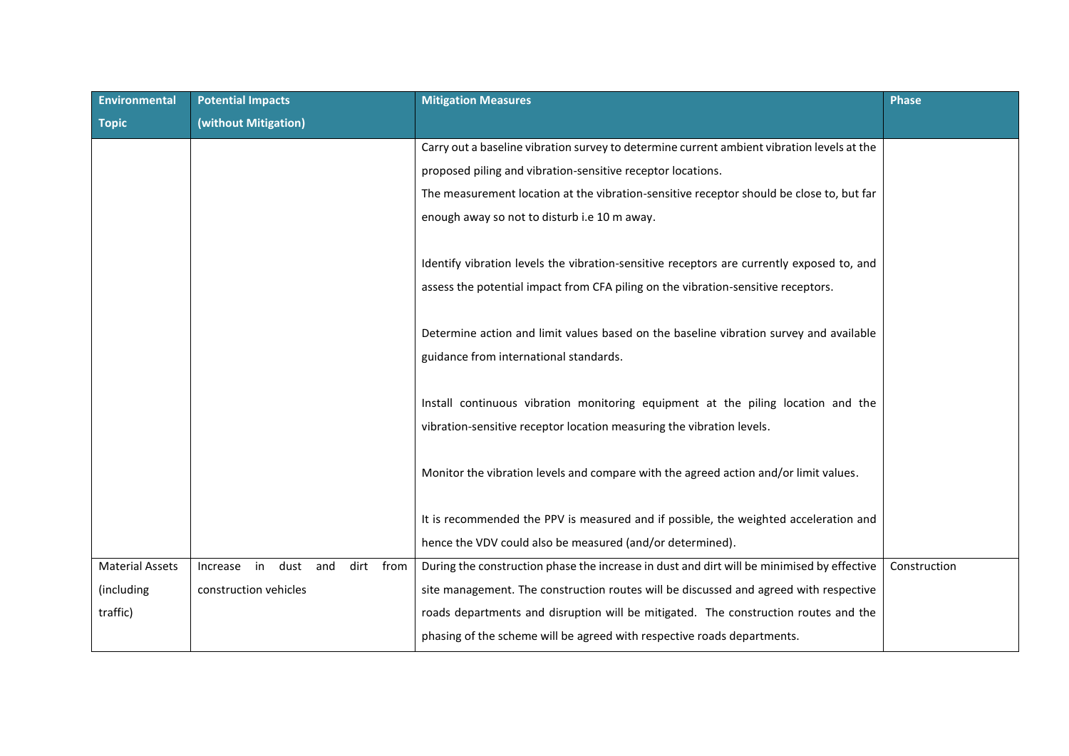| Environmental          | <b>Potential Impacts</b>                   | <b>Mitigation Measures</b>                                                                 | <b>Phase</b> |
|------------------------|--------------------------------------------|--------------------------------------------------------------------------------------------|--------------|
| <b>Topic</b>           | (without Mitigation)                       |                                                                                            |              |
|                        |                                            | Carry out a baseline vibration survey to determine current ambient vibration levels at the |              |
|                        |                                            | proposed piling and vibration-sensitive receptor locations.                                |              |
|                        |                                            | The measurement location at the vibration-sensitive receptor should be close to, but far   |              |
|                        |                                            | enough away so not to disturb i.e 10 m away.                                               |              |
|                        |                                            |                                                                                            |              |
|                        |                                            | Identify vibration levels the vibration-sensitive receptors are currently exposed to, and  |              |
|                        |                                            | assess the potential impact from CFA piling on the vibration-sensitive receptors.          |              |
|                        |                                            |                                                                                            |              |
|                        |                                            | Determine action and limit values based on the baseline vibration survey and available     |              |
|                        |                                            | guidance from international standards.                                                     |              |
|                        |                                            |                                                                                            |              |
|                        |                                            | Install continuous vibration monitoring equipment at the piling location and the           |              |
|                        |                                            | vibration-sensitive receptor location measuring the vibration levels.                      |              |
|                        |                                            |                                                                                            |              |
|                        |                                            | Monitor the vibration levels and compare with the agreed action and/or limit values.       |              |
|                        |                                            |                                                                                            |              |
|                        |                                            | It is recommended the PPV is measured and if possible, the weighted acceleration and       |              |
|                        |                                            | hence the VDV could also be measured (and/or determined).                                  |              |
| <b>Material Assets</b> | dust and<br>from<br>Increase<br>in<br>dirt | During the construction phase the increase in dust and dirt will be minimised by effective | Construction |
| (including             | construction vehicles                      | site management. The construction routes will be discussed and agreed with respective      |              |
| traffic)               |                                            | roads departments and disruption will be mitigated. The construction routes and the        |              |
|                        |                                            | phasing of the scheme will be agreed with respective roads departments.                    |              |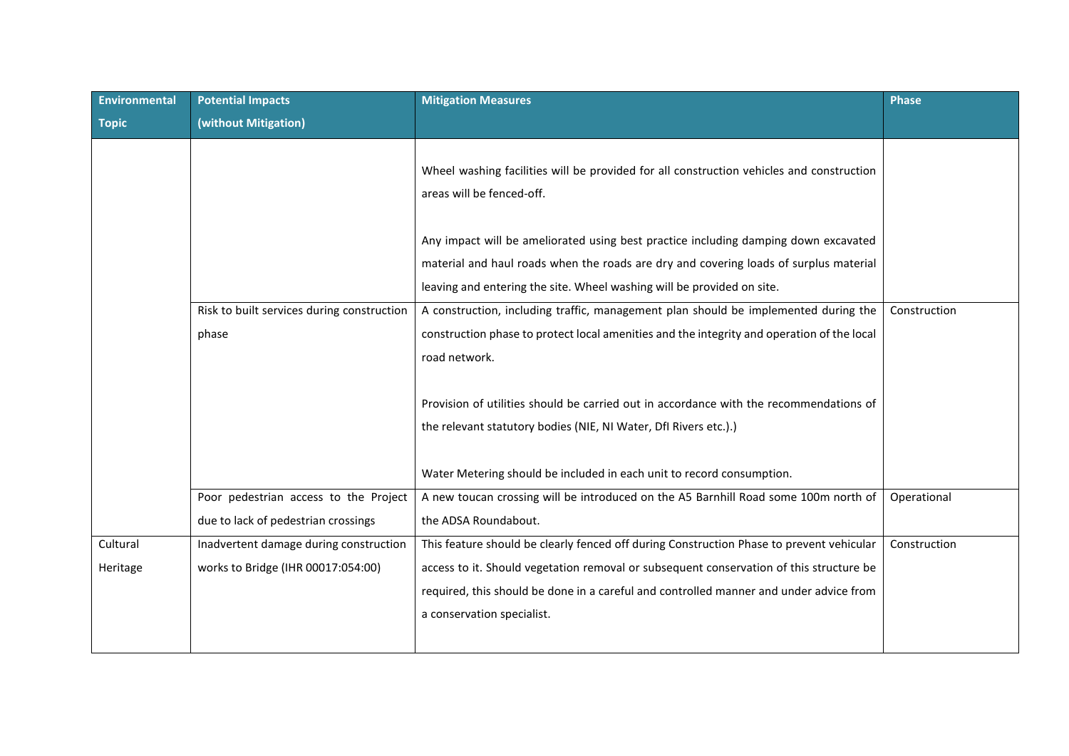| <b>Environmental</b> | <b>Potential Impacts</b>                                                     | <b>Mitigation Measures</b>                                                                                                                                                                                                                             | <b>Phase</b> |
|----------------------|------------------------------------------------------------------------------|--------------------------------------------------------------------------------------------------------------------------------------------------------------------------------------------------------------------------------------------------------|--------------|
| <b>Topic</b>         | (without Mitigation)                                                         |                                                                                                                                                                                                                                                        |              |
|                      |                                                                              | Wheel washing facilities will be provided for all construction vehicles and construction<br>areas will be fenced-off.                                                                                                                                  |              |
|                      |                                                                              | Any impact will be ameliorated using best practice including damping down excavated<br>material and haul roads when the roads are dry and covering loads of surplus material<br>leaving and entering the site. Wheel washing will be provided on site. |              |
|                      | Risk to built services during construction<br>phase                          | A construction, including traffic, management plan should be implemented during the<br>construction phase to protect local amenities and the integrity and operation of the local<br>road network.                                                     | Construction |
|                      |                                                                              | Provision of utilities should be carried out in accordance with the recommendations of<br>the relevant statutory bodies (NIE, NI Water, DfI Rivers etc.).)                                                                                             |              |
|                      |                                                                              | Water Metering should be included in each unit to record consumption.                                                                                                                                                                                  |              |
|                      | Poor pedestrian access to the Project<br>due to lack of pedestrian crossings | A new toucan crossing will be introduced on the A5 Barnhill Road some 100m north of<br>the ADSA Roundabout.                                                                                                                                            | Operational  |
| Cultural             | Inadvertent damage during construction                                       | This feature should be clearly fenced off during Construction Phase to prevent vehicular                                                                                                                                                               | Construction |
| Heritage             | works to Bridge (IHR 00017:054:00)                                           | access to it. Should vegetation removal or subsequent conservation of this structure be<br>required, this should be done in a careful and controlled manner and under advice from<br>a conservation specialist.                                        |              |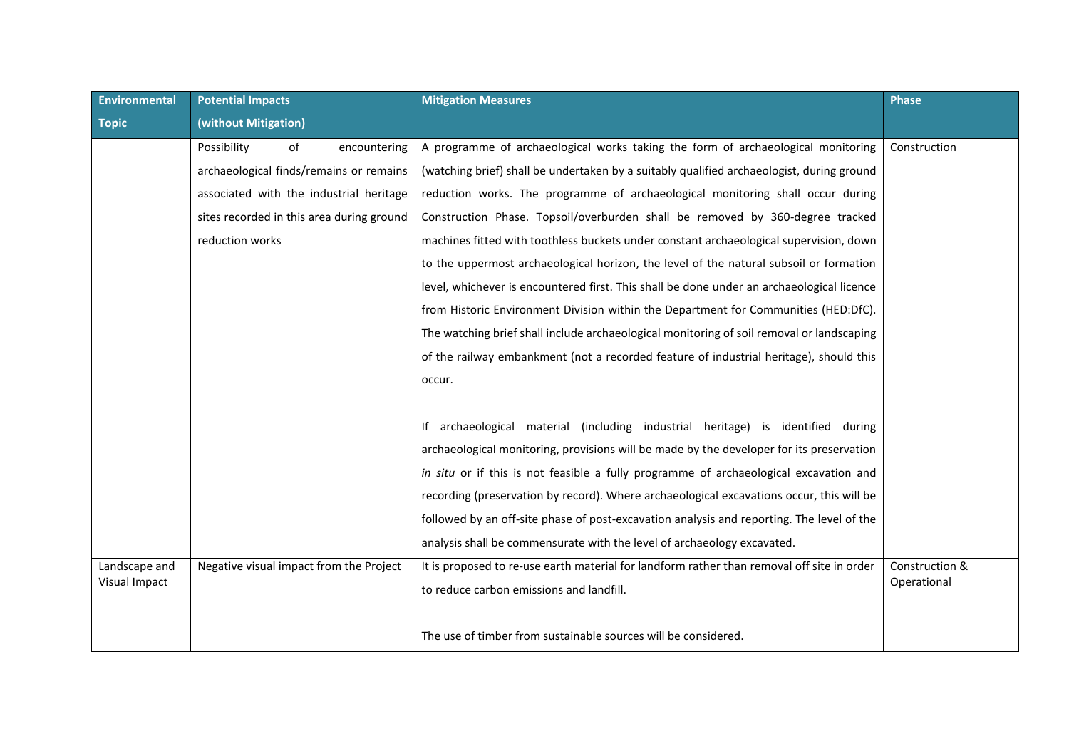| Environmental | <b>Potential Impacts</b>                  | <b>Mitigation Measures</b>                                                                 | <b>Phase</b>   |
|---------------|-------------------------------------------|--------------------------------------------------------------------------------------------|----------------|
| <b>Topic</b>  | (without Mitigation)                      |                                                                                            |                |
|               | Possibility<br>of<br>encountering         | A programme of archaeological works taking the form of archaeological monitoring           | Construction   |
|               | archaeological finds/remains or remains   | (watching brief) shall be undertaken by a suitably qualified archaeologist, during ground  |                |
|               | associated with the industrial heritage   | reduction works. The programme of archaeological monitoring shall occur during             |                |
|               | sites recorded in this area during ground | Construction Phase. Topsoil/overburden shall be removed by 360-degree tracked              |                |
|               | reduction works                           | machines fitted with toothless buckets under constant archaeological supervision, down     |                |
|               |                                           | to the uppermost archaeological horizon, the level of the natural subsoil or formation     |                |
|               |                                           | level, whichever is encountered first. This shall be done under an archaeological licence  |                |
|               |                                           | from Historic Environment Division within the Department for Communities (HED:DfC).        |                |
|               |                                           | The watching brief shall include archaeological monitoring of soil removal or landscaping  |                |
|               |                                           | of the railway embankment (not a recorded feature of industrial heritage), should this     |                |
|               |                                           | occur.                                                                                     |                |
|               |                                           |                                                                                            |                |
|               |                                           | If archaeological material (including industrial heritage) is identified during            |                |
|               |                                           | archaeological monitoring, provisions will be made by the developer for its preservation   |                |
|               |                                           | in situ or if this is not feasible a fully programme of archaeological excavation and      |                |
|               |                                           | recording (preservation by record). Where archaeological excavations occur, this will be   |                |
|               |                                           | followed by an off-site phase of post-excavation analysis and reporting. The level of the  |                |
|               |                                           | analysis shall be commensurate with the level of archaeology excavated.                    |                |
| Landscape and | Negative visual impact from the Project   | It is proposed to re-use earth material for landform rather than removal off site in order | Construction & |
| Visual Impact |                                           | to reduce carbon emissions and landfill.                                                   | Operational    |
|               |                                           |                                                                                            |                |
|               |                                           | The use of timber from sustainable sources will be considered.                             |                |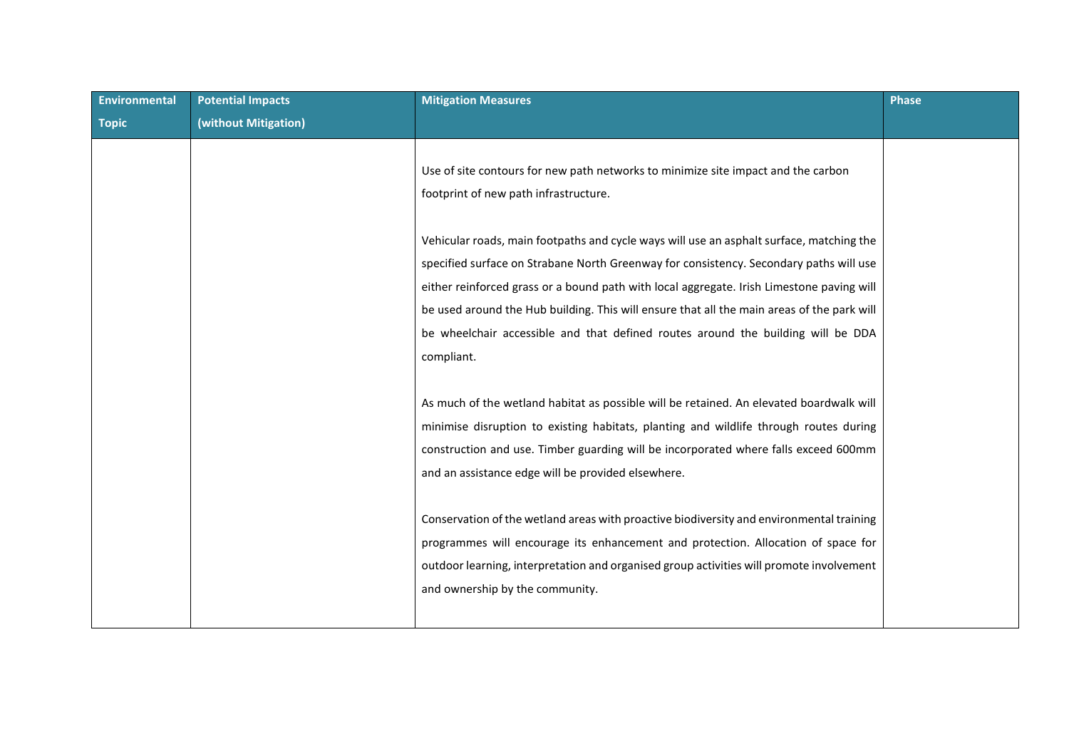| <b>Environmental</b> | <b>Potential Impacts</b> | <b>Mitigation Measures</b>                                                                 | <b>Phase</b> |
|----------------------|--------------------------|--------------------------------------------------------------------------------------------|--------------|
| <b>Topic</b>         | (without Mitigation)     |                                                                                            |              |
|                      |                          |                                                                                            |              |
|                      |                          | Use of site contours for new path networks to minimize site impact and the carbon          |              |
|                      |                          | footprint of new path infrastructure.                                                      |              |
|                      |                          |                                                                                            |              |
|                      |                          | Vehicular roads, main footpaths and cycle ways will use an asphalt surface, matching the   |              |
|                      |                          | specified surface on Strabane North Greenway for consistency. Secondary paths will use     |              |
|                      |                          | either reinforced grass or a bound path with local aggregate. Irish Limestone paving will  |              |
|                      |                          | be used around the Hub building. This will ensure that all the main areas of the park will |              |
|                      |                          | be wheelchair accessible and that defined routes around the building will be DDA           |              |
|                      |                          | compliant.                                                                                 |              |
|                      |                          |                                                                                            |              |
|                      |                          | As much of the wetland habitat as possible will be retained. An elevated boardwalk will    |              |
|                      |                          | minimise disruption to existing habitats, planting and wildlife through routes during      |              |
|                      |                          | construction and use. Timber guarding will be incorporated where falls exceed 600mm        |              |
|                      |                          | and an assistance edge will be provided elsewhere.                                         |              |
|                      |                          |                                                                                            |              |
|                      |                          | Conservation of the wetland areas with proactive biodiversity and environmental training   |              |
|                      |                          | programmes will encourage its enhancement and protection. Allocation of space for          |              |
|                      |                          | outdoor learning, interpretation and organised group activities will promote involvement   |              |
|                      |                          | and ownership by the community.                                                            |              |
|                      |                          |                                                                                            |              |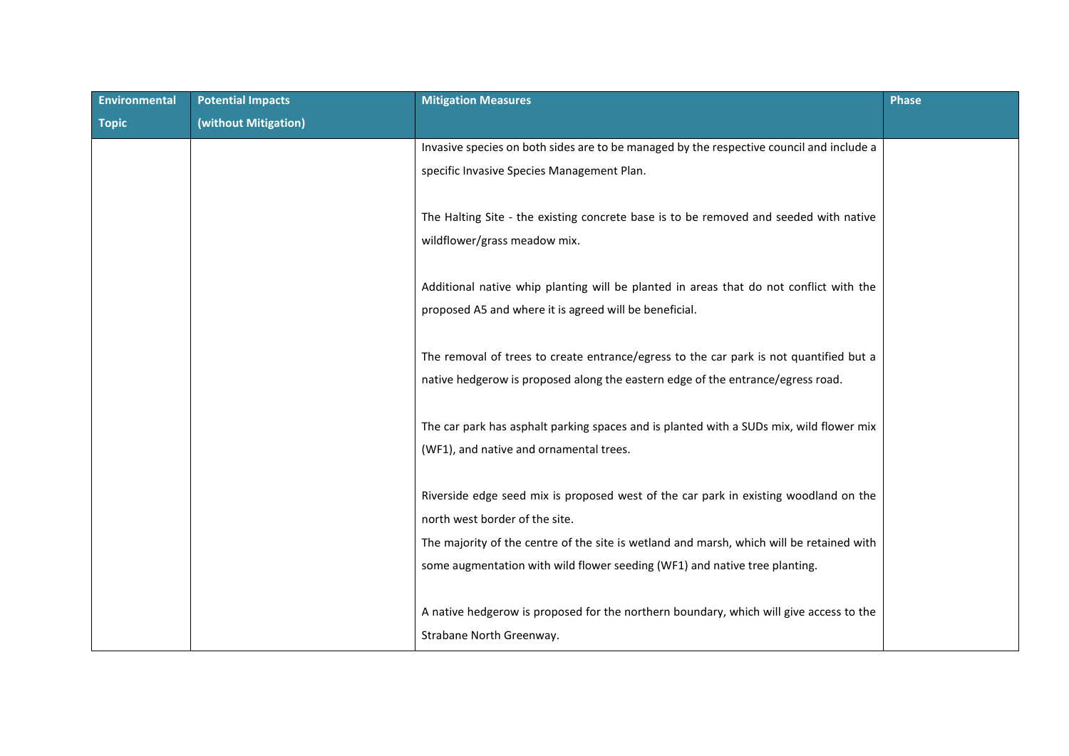| <b>Environmental</b> | <b>Potential Impacts</b> | <b>Mitigation Measures</b>                                                                                             | <b>Phase</b> |
|----------------------|--------------------------|------------------------------------------------------------------------------------------------------------------------|--------------|
| <b>Topic</b>         | (without Mitigation)     |                                                                                                                        |              |
|                      |                          | Invasive species on both sides are to be managed by the respective council and include a                               |              |
|                      |                          | specific Invasive Species Management Plan.                                                                             |              |
|                      |                          |                                                                                                                        |              |
|                      |                          | The Halting Site - the existing concrete base is to be removed and seeded with native                                  |              |
|                      |                          | wildflower/grass meadow mix.                                                                                           |              |
|                      |                          |                                                                                                                        |              |
|                      |                          | Additional native whip planting will be planted in areas that do not conflict with the                                 |              |
|                      |                          | proposed A5 and where it is agreed will be beneficial.                                                                 |              |
|                      |                          |                                                                                                                        |              |
|                      |                          | The removal of trees to create entrance/egress to the car park is not quantified but a                                 |              |
|                      |                          | native hedgerow is proposed along the eastern edge of the entrance/egress road.                                        |              |
|                      |                          |                                                                                                                        |              |
|                      |                          | The car park has asphalt parking spaces and is planted with a SUDs mix, wild flower mix                                |              |
|                      |                          | (WF1), and native and ornamental trees.                                                                                |              |
|                      |                          |                                                                                                                        |              |
|                      |                          | Riverside edge seed mix is proposed west of the car park in existing woodland on the<br>north west border of the site. |              |
|                      |                          |                                                                                                                        |              |
|                      |                          | The majority of the centre of the site is wetland and marsh, which will be retained with                               |              |
|                      |                          | some augmentation with wild flower seeding (WF1) and native tree planting.                                             |              |
|                      |                          |                                                                                                                        |              |
|                      |                          | A native hedgerow is proposed for the northern boundary, which will give access to the                                 |              |
|                      |                          | Strabane North Greenway.                                                                                               |              |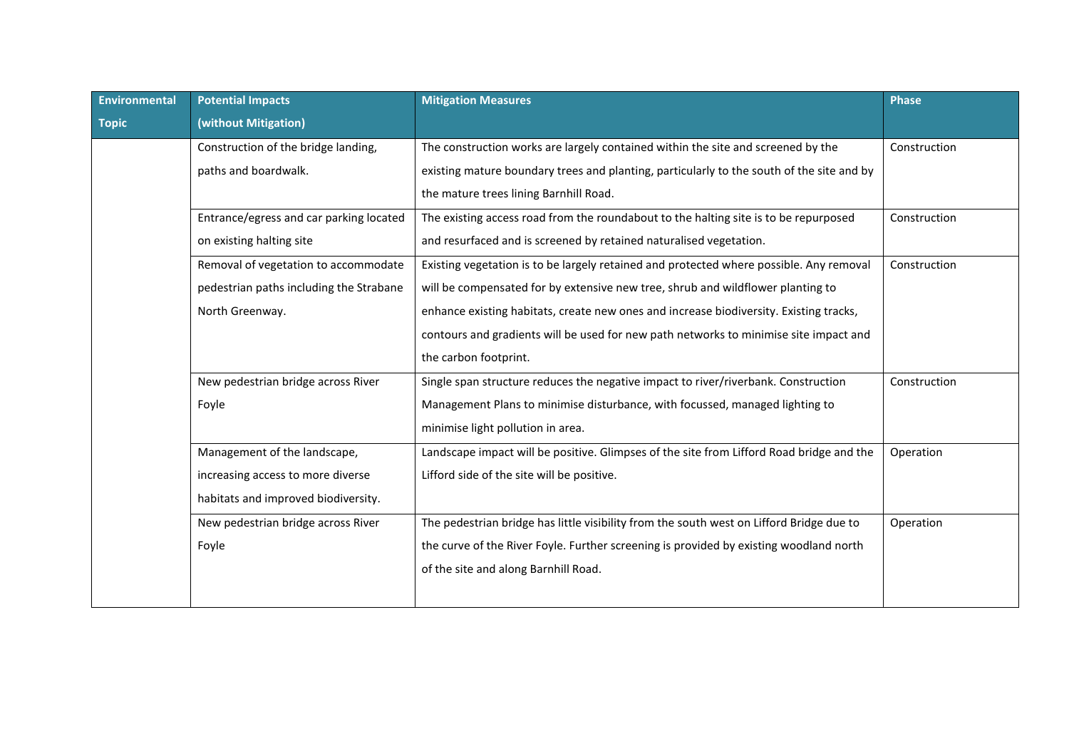| Environmental | <b>Potential Impacts</b>                | <b>Mitigation Measures</b>                                                                | <b>Phase</b> |
|---------------|-----------------------------------------|-------------------------------------------------------------------------------------------|--------------|
| <b>Topic</b>  | (without Mitigation)                    |                                                                                           |              |
|               | Construction of the bridge landing,     | The construction works are largely contained within the site and screened by the          | Construction |
|               | paths and boardwalk.                    | existing mature boundary trees and planting, particularly to the south of the site and by |              |
|               |                                         | the mature trees lining Barnhill Road.                                                    |              |
|               | Entrance/egress and car parking located | The existing access road from the roundabout to the halting site is to be repurposed      | Construction |
|               | on existing halting site                | and resurfaced and is screened by retained naturalised vegetation.                        |              |
|               | Removal of vegetation to accommodate    | Existing vegetation is to be largely retained and protected where possible. Any removal   | Construction |
|               | pedestrian paths including the Strabane | will be compensated for by extensive new tree, shrub and wildflower planting to           |              |
|               | North Greenway.                         | enhance existing habitats, create new ones and increase biodiversity. Existing tracks,    |              |
|               |                                         | contours and gradients will be used for new path networks to minimise site impact and     |              |
|               |                                         | the carbon footprint.                                                                     |              |
|               | New pedestrian bridge across River      | Single span structure reduces the negative impact to river/riverbank. Construction        | Construction |
|               | Foyle                                   | Management Plans to minimise disturbance, with focussed, managed lighting to              |              |
|               |                                         | minimise light pollution in area.                                                         |              |
|               | Management of the landscape,            | Landscape impact will be positive. Glimpses of the site from Lifford Road bridge and the  | Operation    |
|               | increasing access to more diverse       | Lifford side of the site will be positive.                                                |              |
|               | habitats and improved biodiversity.     |                                                                                           |              |
|               | New pedestrian bridge across River      | The pedestrian bridge has little visibility from the south west on Lifford Bridge due to  | Operation    |
|               | Foyle                                   | the curve of the River Foyle. Further screening is provided by existing woodland north    |              |
|               |                                         | of the site and along Barnhill Road.                                                      |              |
|               |                                         |                                                                                           |              |